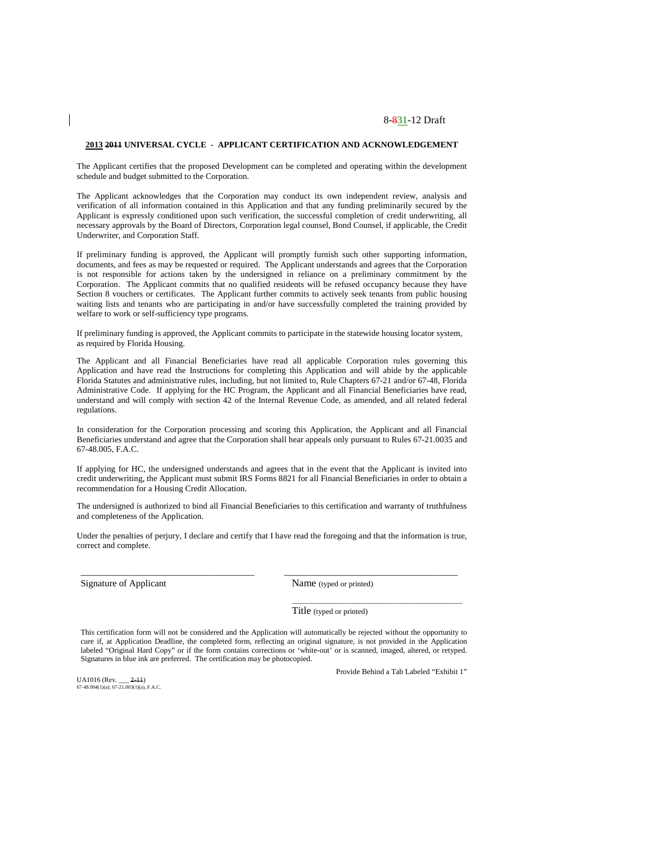#### **2013 2011 UNIVERSAL CYCLE - APPLICANT CERTIFICATION AND ACKNOWLEDGEMENT**

The Applicant certifies that the proposed Development can be completed and operating within the development schedule and budget submitted to the Corporation.

The Applicant acknowledges that the Corporation may conduct its own independent review, analysis and verification of all information contained in this Application and that any funding preliminarily secured by the Applicant is expressly conditioned upon such verification, the successful completion of credit underwriting, all necessary approvals by the Board of Directors, Corporation legal counsel, Bond Counsel, if applicable, the Credit Underwriter, and Corporation Staff.

If preliminary funding is approved, the Applicant will promptly furnish such other supporting information, documents, and fees as may be requested or required. The Applicant understands and agrees that the Corporation is not responsible for actions taken by the undersigned in reliance on a preliminary commitment by the Corporation. The Applicant commits that no qualified residents will be refused occupancy because they have Section 8 vouchers or certificates. The Applicant further commits to actively seek tenants from public housing waiting lists and tenants who are participating in and/or have successfully completed the training provided by welfare to work or self-sufficiency type programs.

If preliminary funding is approved, the Applicant commits to participate in the statewide housing locator system, as required by Florida Housing.

The Applicant and all Financial Beneficiaries have read all applicable Corporation rules governing this Application and have read the Instructions for completing this Application and will abide by the applicable Florida Statutes and administrative rules, including, but not limited to, Rule Chapters 67-21 and/or 67-48, Florida Administrative Code. If applying for the HC Program, the Applicant and all Financial Beneficiaries have read, understand and will comply with section 42 of the Internal Revenue Code, as amended, and all related federal regulations.

In consideration for the Corporation processing and scoring this Application, the Applicant and all Financial Beneficiaries understand and agree that the Corporation shall hear appeals only pursuant to Rules 67-21.0035 and 67-48.005, F.A.C.

If applying for HC, the undersigned understands and agrees that in the event that the Applicant is invited into credit underwriting, the Applicant must submit IRS Forms 8821 for all Financial Beneficiaries in order to obtain a recommendation for a Housing Credit Allocation.

The undersigned is authorized to bind all Financial Beneficiaries to this certification and warranty of truthfulness and completeness of the Application.

Under the penalties of perjury, I declare and certify that I have read the foregoing and that the information is true, correct and complete.

\_\_\_\_\_\_\_\_\_\_\_\_\_\_\_\_\_\_\_\_\_\_\_\_\_\_\_\_\_\_\_\_\_\_\_\_\_ \_\_\_\_\_\_\_\_\_\_\_\_\_\_\_\_\_\_\_\_\_\_\_\_\_\_\_\_\_\_\_\_\_\_\_\_\_

Signature of Applicant Name (typed or printed)

Title (typed or printed)

This certification form will not be considered and the Application will automatically be rejected without the opportunity to cure if, at Application Deadline, the completed form, reflecting an original signature, is not provided in the Application labeled "Original Hard Copy" or if the form contains corrections or 'white-out' or is scanned, imaged, altered, or retyped. Signatures in blue ink are preferred. The certification may be photocopied.

UA1016 (Rev. \_\_\_ <del>2-11</del>)<br>67-48.004(1)(a); 67-21.003(1)(a), F.A.C.

Provide Behind a Tab Labeled "Exhibit 1"

\_\_\_\_\_\_\_\_\_\_\_\_\_\_\_\_\_\_\_\_\_\_\_\_\_\_\_\_\_\_\_\_\_\_\_\_\_\_\_\_\_\_\_\_\_\_\_\_\_\_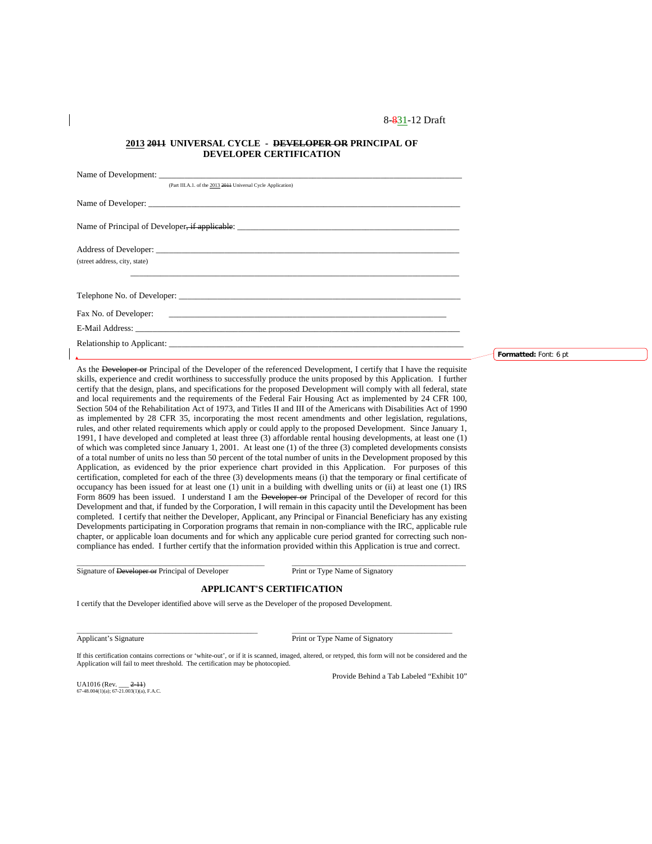### **2013 2011 UNIVERSAL CYCLE - DEVELOPER OR PRINCIPAL OF DEVELOPER CERTIFICATION**

| (Part III.A.1. of the 2013 2014 Universal Cycle Application)                      |
|-----------------------------------------------------------------------------------|
|                                                                                   |
|                                                                                   |
|                                                                                   |
|                                                                                   |
| (street address, city, state)                                                     |
| ,我们也不能在这里,我们的人们也不能在这里,我们也不能在这里的人们,我们也不能会在这里,我们也不能会在这里,我们也不能会在这里,我们也不能会不能会不能会不能会。我 |
|                                                                                   |
|                                                                                   |
|                                                                                   |
|                                                                                   |
| Relationship to Applicant:                                                        |
|                                                                                   |

As the Developer or Principal of the Developer of the referenced Development, I certify that I have the requisite skills, experience and credit worthiness to successfully produce the units proposed by this Application. I further certify that the design, plans, and specifications for the proposed Development will comply with all federal, state and local requirements and the requirements of the Federal Fair Housing Act as implemented by 24 CFR 100, Section 504 of the Rehabilitation Act of 1973, and Titles II and III of the Americans with Disabilities Act of 1990 as implemented by 28 CFR 35, incorporating the most recent amendments and other legislation, regulations, rules, and other related requirements which apply or could apply to the proposed Development. Since January 1, 1991, I have developed and completed at least three (3) affordable rental housing developments, at least one (1) of which was completed since January 1, 2001. At least one (1) of the three (3) completed developments consists of a total number of units no less than 50 percent of the total number of units in the Development proposed by this Application, as evidenced by the prior experience chart provided in this Application. For purposes of this certification, completed for each of the three (3) developments means (i) that the temporary or final certificate of occupancy has been issued for at least one (1) unit in a building with dwelling units or (ii) at least one (1) IRS Form 8609 has been issued. I understand I am the Developer or Principal of the Developer of record for this Development and that, if funded by the Corporation, I will remain in this capacity until the Development has been completed. I certify that neither the Developer, Applicant, any Principal or Financial Beneficiary has any existing Developments participating in Corporation programs that remain in non-compliance with the IRC, applicable rule chapter, or applicable loan documents and for which any applicable cure period granted for correcting such noncompliance has ended. I further certify that the information provided within this Application is true and correct.

Signature of Developer or Principal of Developer Print or Type Name of Signatory

# **APPLICANT'S CERTIFICATION**

\_\_\_\_\_\_\_\_\_\_\_\_\_\_\_\_\_\_\_\_\_\_\_\_\_\_\_\_\_\_\_\_\_\_\_\_\_\_\_\_\_\_\_\_\_\_\_\_\_\_\_\_\_ \_\_\_\_\_\_\_\_\_\_\_\_\_\_\_\_\_\_\_\_\_\_\_\_\_\_\_\_\_\_\_\_\_\_\_\_\_\_\_\_\_\_\_\_\_\_\_

\_\_\_\_\_\_\_\_\_\_\_\_\_\_\_\_\_\_\_\_\_\_\_\_\_\_\_\_\_\_\_\_\_\_\_\_\_\_\_\_\_\_\_\_\_\_\_\_\_\_\_\_\_\_\_ \_\_\_\_\_\_\_\_\_\_\_\_\_\_\_\_\_\_\_\_\_\_\_\_\_\_\_\_\_\_\_\_\_\_\_\_\_\_\_\_\_\_\_\_\_\_\_\_\_\_\_

I certify that the Developer identified above will serve as the Developer of the proposed Development.

Applicant's Signature Print or Type Name of Signatory

If this certification contains corrections or 'white-out', or if it is scanned, imaged, altered, or retyped, this form will not be considered and the Application will fail to meet threshold. The certification may be photocopied.

UA1016 (Rev. \_\_\_ <del>2-11</del>)<br>67-48.004(1)(a); 67-21.003(1)(a), F.A.C.

Provide Behind a Tab Labeled "Exhibit 10"

**Formatted:** Font: 6 pt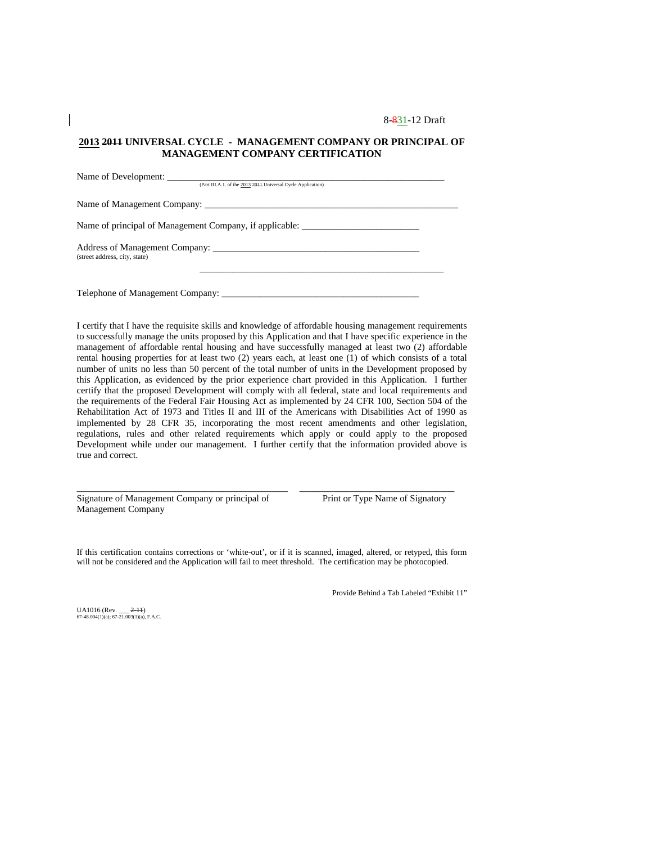# **2013 2011 UNIVERSAL CYCLE - MANAGEMENT COMPANY OR PRINCIPAL OF MANAGEMENT COMPANY CERTIFICATION**

| (Part III.A.1. of the 2013 2014 Universal Cycle Application)                      |
|-----------------------------------------------------------------------------------|
|                                                                                   |
|                                                                                   |
| Name of principal of Management Company, if applicable: _________________________ |
| (street address, city, state)                                                     |
|                                                                                   |
|                                                                                   |

I certify that I have the requisite skills and knowledge of affordable housing management requirements to successfully manage the units proposed by this Application and that I have specific experience in the management of affordable rental housing and have successfully managed at least two (2) affordable rental housing properties for at least two (2) years each, at least one (1) of which consists of a total number of units no less than 50 percent of the total number of units in the Development proposed by this Application, as evidenced by the prior experience chart provided in this Application. I further certify that the proposed Development will comply with all federal, state and local requirements and the requirements of the Federal Fair Housing Act as implemented by 24 CFR 100, Section 504 of the Rehabilitation Act of 1973 and Titles II and III of the Americans with Disabilities Act of 1990 as implemented by 28 CFR 35, incorporating the most recent amendments and other legislation, regulations, rules and other related requirements which apply or could apply to the proposed Development while under our management. I further certify that the information provided above is true and correct.

Signature of Management Company or principal of Print or Type Name of Signatory Management Company

If this certification contains corrections or 'white-out', or if it is scanned, imaged, altered, or retyped, this form will not be considered and the Application will fail to meet threshold. The certification may be photocopied.

\_\_\_\_\_\_\_\_\_\_\_\_\_\_\_\_\_\_\_\_\_\_\_\_\_\_\_\_\_\_\_\_\_\_\_\_\_\_\_\_\_\_\_\_\_ \_\_\_\_\_\_\_\_\_\_\_\_\_\_\_\_\_\_\_\_\_\_\_\_\_\_\_\_\_\_\_\_\_

Provide Behind a Tab Labeled "Exhibit 11"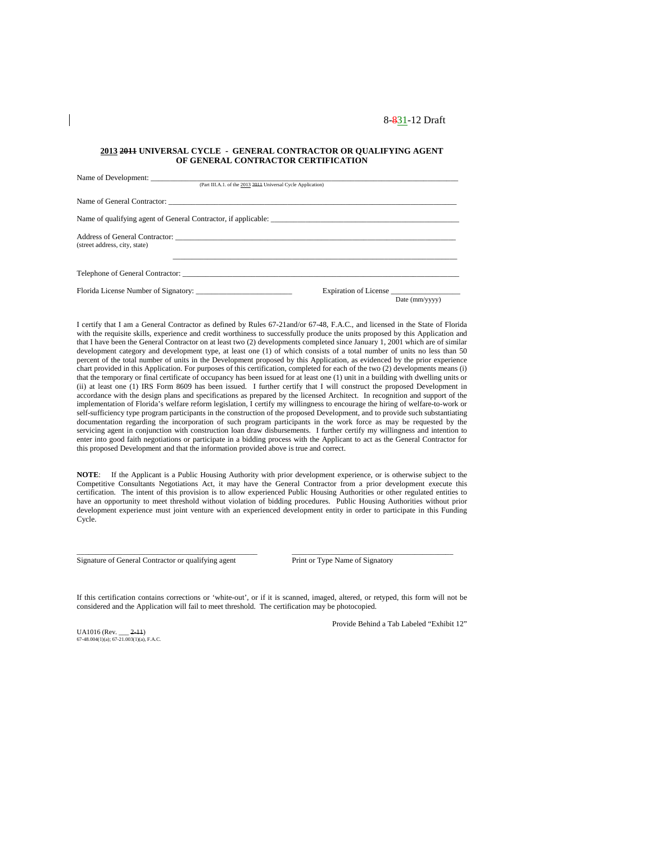### **2013 2011 UNIVERSAL CYCLE - GENERAL CONTRACTOR OR QUALIFYING AGENT OF GENERAL CONTRACTOR CERTIFICATION**

| (Part III.A.1. of the 2013 2014 Universal Cycle Application) |                                         |
|--------------------------------------------------------------|-----------------------------------------|
|                                                              |                                         |
|                                                              |                                         |
| (street address, city, state)                                |                                         |
| Telephone of General Contractor:                             |                                         |
|                                                              | Expiration of License<br>Date (mm/vvvv) |

I certify that I am a General Contractor as defined by Rules 67-21and/or 67-48, F.A.C., and licensed in the State of Florida with the requisite skills, experience and credit worthiness to successfully produce the units proposed by this Application and with the requisite skills, experience and credit worthiness to successfully produce the units p that I have been the General Contractor on at least two (2) developments completed since January 1, 2001 which are of similar development category and development type, at least one (1) of which consists of a total number of units no less than 50 percent of the total number of units in the Development proposed by this Application, as evidenced by the prior experience chart provided in this Application. For purposes of this certification, completed for each of the two (2) developments means (i) that the temporary or final certificate of occupancy has been issued for at least one (1) unit in a building with dwelling units or (ii) at least one (1) IRS Form 8609 has been issued. I further certify that I will construct the proposed Development in accordance with the design plans and specifications as prepared by the licensed Architect. In recognition and support of the implementation of Florida's welfare reform legislation, I certify my willingness to encourage the hiring of welfare-to-work or self-sufficiency type program participants in the construction of the proposed Development, and to provide such substantiating documentation regarding the incorporation of such program participants in the work force as may be requested by the servicing agent in conjunction with construction loan draw disbursements. I further certify my willingness and intention to enter into good faith negotiations or participate in a bidding process with the Applicant to act as the General Contractor for this proposed Development and that the information provided above is true and correct.

**NOTE**: If the Applicant is a Public Housing Authority with prior development experience, or is otherwise subject to the Competitive Consultants Negotiations Act, it may have the General Contractor from a prior development execute this certification. The intent of this provision is to allow experienced Public Housing Authorities or other regulated entities to have an opportunity to meet threshold without violation of bidding procedures. Public Housing Authorities without prior development experience must joint venture with an experienced development entity in order to participate in this Funding Cycle.

\_\_\_\_\_\_\_\_\_\_\_\_\_\_\_\_\_\_\_\_\_\_\_\_\_\_\_\_\_\_\_\_\_\_\_\_\_\_\_\_\_\_\_\_\_\_\_ \_\_\_\_\_\_\_\_\_\_\_\_\_\_\_\_\_\_\_\_\_\_\_\_\_\_\_\_\_\_\_\_\_\_\_\_\_\_\_\_\_\_

Signature of General Contractor or qualifying agent Print or Type Name of Signatory

If this certification contains corrections or 'white-out', or if it is scanned, imaged, altered, or retyped, this form will not be considered and the Application will fail to meet threshold. The certification may be photocopied.

UA1016 (Rev. \_\_\_ <del>2-11</del>)<br>67-48.004(1)(a); 67-21.003(1)(a), F.A.C.

Provide Behind a Tab Labeled "Exhibit 12"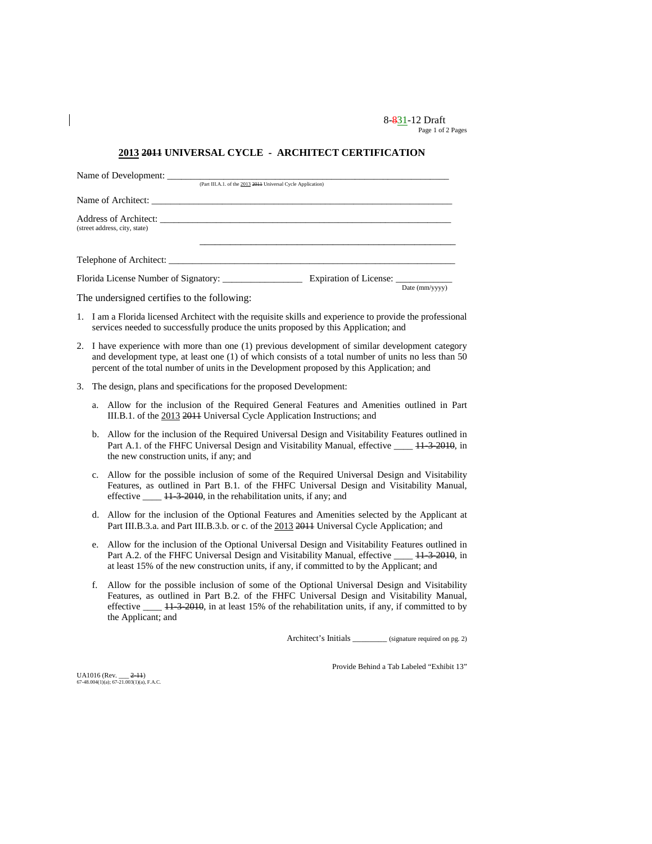8-831-12 Draft Page 1 of 2 Pages

# **2013 2011 UNIVERSAL CYCLE - ARCHITECT CERTIFICATION**

| Name of Development:                        |                                                              |                        |                |
|---------------------------------------------|--------------------------------------------------------------|------------------------|----------------|
|                                             | (Part III.A.1. of the 2013 2014 Universal Cycle Application) |                        |                |
| Name of Architect:                          |                                                              |                        |                |
| (street address, city, state)               |                                                              |                        |                |
| Telephone of Architect:                     |                                                              |                        |                |
| Florida License Number of Signatory:        |                                                              | Expiration of License: |                |
| The undersigned certifies to the following: |                                                              |                        | Date (mm/yyyy) |

- 1. I am a Florida licensed Architect with the requisite skills and experience to provide the professional services needed to successfully produce the units proposed by this Application; and
- 2. I have experience with more than one (1) previous development of similar development category and development type, at least one (1) of which consists of a total number of units no less than 50 percent of the total number of units in the Development proposed by this Application; and
- 3. The design, plans and specifications for the proposed Development:
	- a. Allow for the inclusion of the Required General Features and Amenities outlined in Part III.B.1. of the 2013 2011 Universal Cycle Application Instructions; and
	- b. Allow for the inclusion of the Required Universal Design and Visitability Features outlined in Part A.1. of the FHFC Universal Design and Visitability Manual, effective \_\_\_\_ 11-3-2010, in the new construction units, if any; and
	- c. Allow for the possible inclusion of some of the Required Universal Design and Visitability Features, as outlined in Part B.1. of the FHFC Universal Design and Visitability Manual, effective \_\_\_\_ 11-3-2010, in the rehabilitation units, if any; and
	- d. Allow for the inclusion of the Optional Features and Amenities selected by the Applicant at Part III.B.3.a. and Part III.B.3.b. or c. of the 2013 2014 Universal Cycle Application; and
	- e. Allow for the inclusion of the Optional Universal Design and Visitability Features outlined in Part A.2. of the FHFC Universal Design and Visitability Manual, effective \_\_\_\_ 11-3-2010, in at least 15% of the new construction units, if any, if committed to by the Applicant; and
	- f. Allow for the possible inclusion of some of the Optional Universal Design and Visitability Features, as outlined in Part B.2. of the FHFC Universal Design and Visitability Manual, effective \_\_\_\_ 11-3-2010, in at least 15% of the rehabilitation units, if any, if committed to by the Applicant; and

Architect's Initials \_\_\_\_\_\_\_\_ (signature required on pg. 2)

UA1016 (Rev. \_\_\_ <del>2-11</del>)<br>67-48.004(1)(a); 67-21.003(1)(a), F.A.C.

Provide Behind a Tab Labeled "Exhibit 13"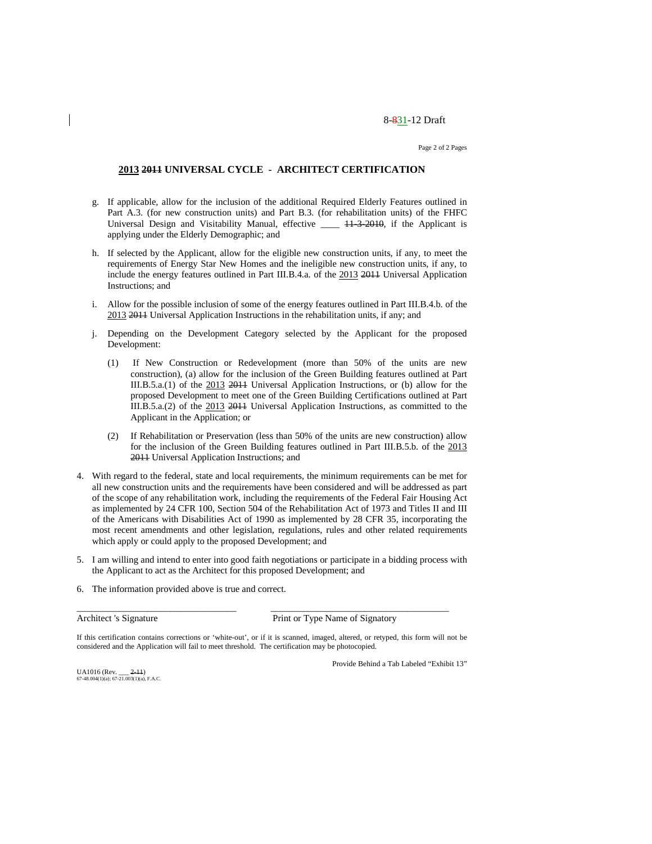Page 2 of 2 Pages

# **2013 2011 UNIVERSAL CYCLE - ARCHITECT CERTIFICATION**

- g. If applicable, allow for the inclusion of the additional Required Elderly Features outlined in Part A.3. (for new construction units) and Part B.3. (for rehabilitation units) of the FHFC Universal Design and Visitability Manual, effective \_\_\_\_\_ 11-3-2010, if the Applicant is applying under the Elderly Demographic; and
- h. If selected by the Applicant, allow for the eligible new construction units, if any, to meet the requirements of Energy Star New Homes and the ineligible new construction units, if any, to include the energy features outlined in Part III.B.4.a. of the 2013 2011 Universal Application Instructions; and
- i. Allow for the possible inclusion of some of the energy features outlined in Part III.B.4.b. of the 2013 2011 Universal Application Instructions in the rehabilitation units, if any; and
- j. Depending on the Development Category selected by the Applicant for the proposed Development:
	- (1) If New Construction or Redevelopment (more than 50% of the units are new construction), (a) allow for the inclusion of the Green Building features outlined at Part III.B.5.a.(1) of the 2013 2011 Universal Application Instructions, or (b) allow for the proposed Development to meet one of the Green Building Certifications outlined at Part III.B.5.a.(2) of the 2013 2011 Universal Application Instructions, as committed to the Applicant in the Application; or
	- (2) If Rehabilitation or Preservation (less than 50% of the units are new construction) allow for the inclusion of the Green Building features outlined in Part III.B.5.b. of the 2013 2011 Universal Application Instructions; and
- 4. With regard to the federal, state and local requirements, the minimum requirements can be met for all new construction units and the requirements have been considered and will be addressed as part of the scope of any rehabilitation work, including the requirements of the Federal Fair Housing Act as implemented by 24 CFR 100, Section 504 of the Rehabilitation Act of 1973 and Titles II and III of the Americans with Disabilities Act of 1990 as implemented by 28 CFR 35, incorporating the most recent amendments and other legislation, regulations, rules and other related requirements which apply or could apply to the proposed Development; and
- 5. I am willing and intend to enter into good faith negotiations or participate in a bidding process with the Applicant to act as the Architect for this proposed Development; and
- 6. The information provided above is true and correct.

Architect 's Signature Print or Type Name of Signatory

If this certification contains corrections or 'white-out', or if it is scanned, imaged, altered, or retyped, this form will not be considered and the Application will fail to meet threshold. The certification may be photocopied.

\_\_\_\_\_\_\_\_\_\_\_\_\_\_\_\_\_\_\_\_\_\_\_\_\_\_\_\_\_\_\_\_\_\_ \_\_\_\_\_\_\_\_\_\_\_\_\_\_\_\_\_\_\_\_\_\_\_\_\_\_\_\_\_\_\_\_\_\_\_\_\_\_

UA1016 (Rev. \_\_\_ <del>2-11</del>)<br>67-48.004(1)(a); 67-21.003(1)(a), F.A.C.

Provide Behind a Tab Labeled "Exhibit 13"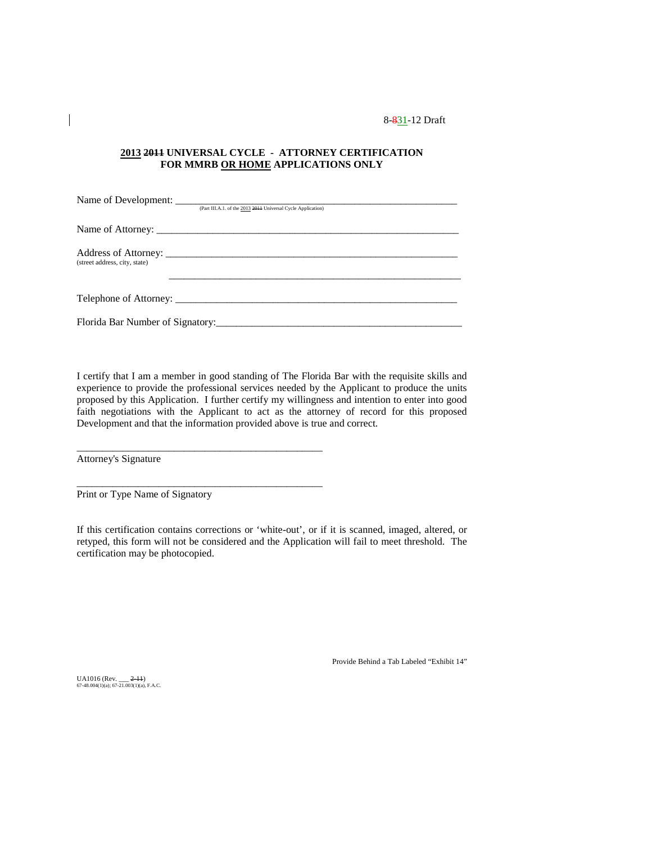# **2013 2011 UNIVERSAL CYCLE - ATTORNEY CERTIFICATION FOR MMRB OR HOME APPLICATIONS ONLY**

|                               | (Part III.A.1. of the 2013 2014 Universal Cycle Application) |  |
|-------------------------------|--------------------------------------------------------------|--|
|                               |                                                              |  |
| (street address, city, state) |                                                              |  |
|                               | Telephone of Attorney:                                       |  |
|                               | Florida Bar Number of Signatory:                             |  |

I certify that I am a member in good standing of The Florida Bar with the requisite skills and experience to provide the professional services needed by the Applicant to produce the units proposed by this Application. I further certify my willingness and intention to enter into good faith negotiations with the Applicant to act as the attorney of record for this proposed Development and that the information provided above is true and correct.

Attorney's Signature

Print or Type Name of Signatory

\_\_\_\_\_\_\_\_\_\_\_\_\_\_\_\_\_\_\_\_\_\_\_\_\_\_\_\_\_\_\_\_\_\_\_\_\_\_\_\_\_\_\_\_\_\_\_\_

\_\_\_\_\_\_\_\_\_\_\_\_\_\_\_\_\_\_\_\_\_\_\_\_\_\_\_\_\_\_\_\_\_\_\_\_\_\_\_\_\_\_\_\_\_\_\_\_

If this certification contains corrections or 'white-out', or if it is scanned, imaged, altered, or retyped, this form will not be considered and the Application will fail to meet threshold. The certification may be photocopied.

Provide Behind a Tab Labeled "Exhibit 14"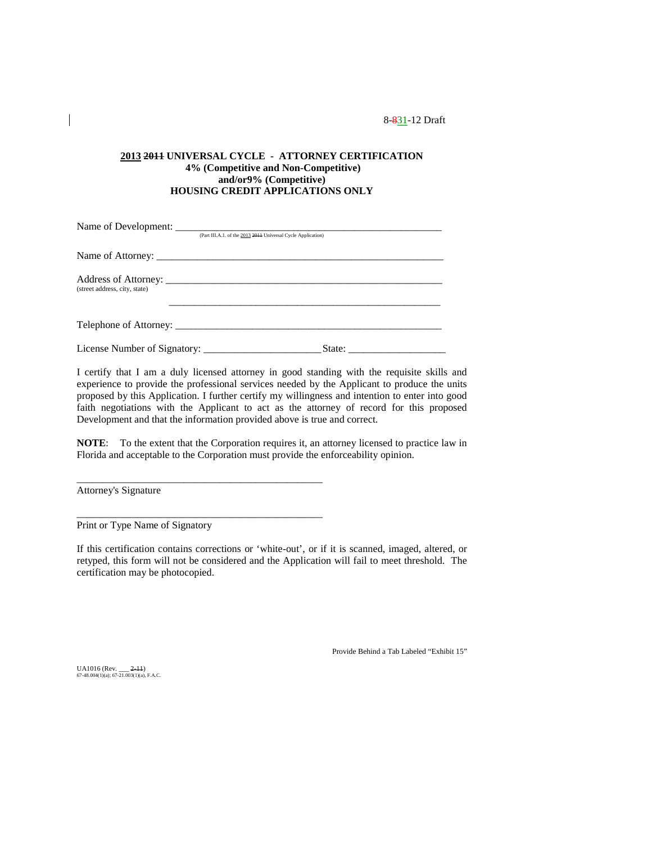# **2013 2011 UNIVERSAL CYCLE - ATTORNEY CERTIFICATION 4% (Competitive and Non-Competitive) and/or9% (Competitive) HOUSING CREDIT APPLICATIONS ONLY**

|                               | (Part III.A.1. of the 2013 2014 Universal Cycle Application) |  |
|-------------------------------|--------------------------------------------------------------|--|
|                               |                                                              |  |
| (street address, city, state) |                                                              |  |
|                               | Telephone of Attorney:                                       |  |
|                               |                                                              |  |

I certify that I am a duly licensed attorney in good standing with the requisite skills and experience to provide the professional services needed by the Applicant to produce the units proposed by this Application. I further certify my willingness and intention to enter into good faith negotiations with the Applicant to act as the attorney of record for this proposed Development and that the information provided above is true and correct.

**NOTE**: To the extent that the Corporation requires it, an attorney licensed to practice law in Florida and acceptable to the Corporation must provide the enforceability opinion.

Attorney's Signature

Print or Type Name of Signatory

\_\_\_\_\_\_\_\_\_\_\_\_\_\_\_\_\_\_\_\_\_\_\_\_\_\_\_\_\_\_\_\_\_\_\_\_\_\_\_\_\_\_\_\_\_\_\_\_

\_\_\_\_\_\_\_\_\_\_\_\_\_\_\_\_\_\_\_\_\_\_\_\_\_\_\_\_\_\_\_\_\_\_\_\_\_\_\_\_\_\_\_\_\_\_\_\_

If this certification contains corrections or 'white-out', or if it is scanned, imaged, altered, or retyped, this form will not be considered and the Application will fail to meet threshold. The certification may be photocopied.

Provide Behind a Tab Labeled "Exhibit 15"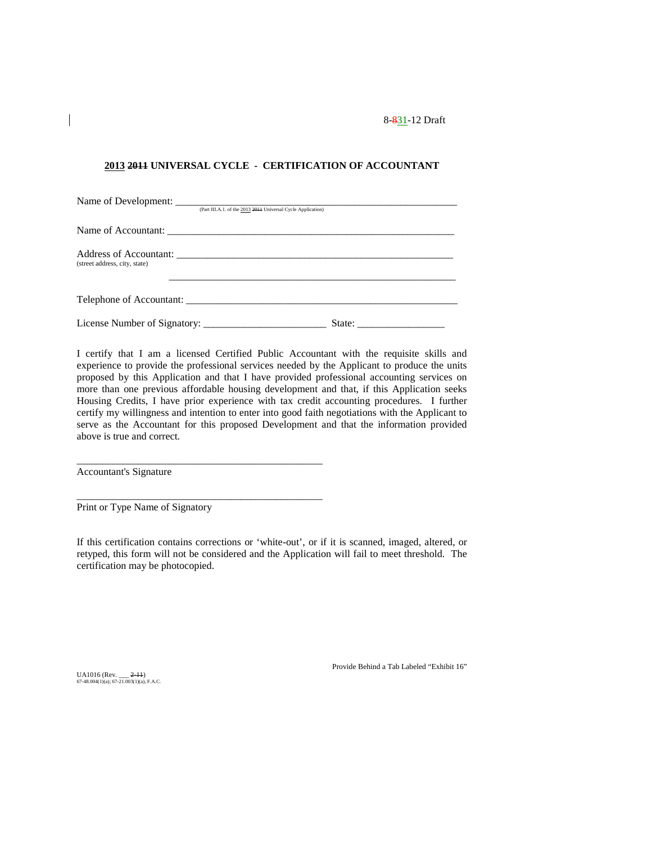# **2013 2011 UNIVERSAL CYCLE - CERTIFICATION OF ACCOUNTANT**

|                               | (Part III.A.1. of the 2013 2014 Universal Cycle Application) |
|-------------------------------|--------------------------------------------------------------|
|                               |                                                              |
| (street address, city, state) |                                                              |
|                               | Telephone of Accountant:                                     |
|                               |                                                              |

I certify that I am a licensed Certified Public Accountant with the requisite skills and experience to provide the professional services needed by the Applicant to produce the units proposed by this Application and that I have provided professional accounting services on more than one previous affordable housing development and that, if this Application seeks Housing Credits, I have prior experience with tax credit accounting procedures. I further certify my willingness and intention to enter into good faith negotiations with the Applicant to serve as the Accountant for this proposed Development and that the information provided above is true and correct.

Accountant's Signature

Print or Type Name of Signatory

\_\_\_\_\_\_\_\_\_\_\_\_\_\_\_\_\_\_\_\_\_\_\_\_\_\_\_\_\_\_\_\_\_\_\_\_\_\_\_\_\_\_\_\_\_\_\_\_

\_\_\_\_\_\_\_\_\_\_\_\_\_\_\_\_\_\_\_\_\_\_\_\_\_\_\_\_\_\_\_\_\_\_\_\_\_\_\_\_\_\_\_\_\_\_\_\_

If this certification contains corrections or 'white-out', or if it is scanned, imaged, altered, or retyped, this form will not be considered and the Application will fail to meet threshold. The certification may be photocopied.

Provide Behind a Tab Labeled "Exhibit 16"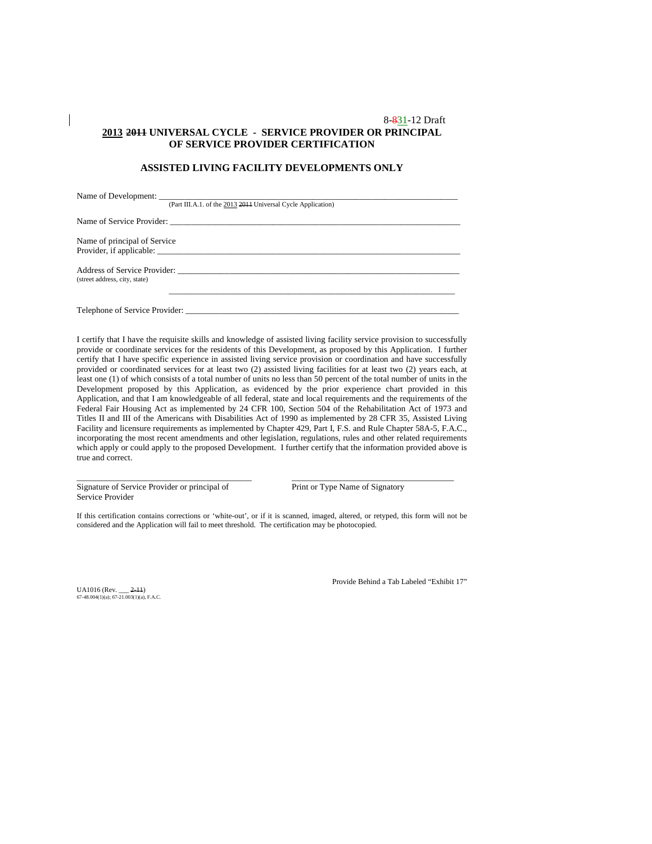# 8-831-12 Draft **2013 2011 UNIVERSAL CYCLE - SERVICE PROVIDER OR PRINCIPAL OF SERVICE PROVIDER CERTIFICATION**

# **ASSISTED LIVING FACILITY DEVELOPMENTS ONLY**

| (Part III.A.1. of the 2013 2014 Universal Cycle Application) |
|--------------------------------------------------------------|
|                                                              |
| Name of principal of Service                                 |
| (street address, city, state)                                |
| Telephone of Service Provider:                               |

I certify that I have the requisite skills and knowledge of assisted living facility service provision to successfully provide or coordinate services for the residents of this Development, as proposed by this Application. I further certify that I have specific experience in assisted living service provision or coordination and have successfully provided or coordinated services for at least two (2) assisted living facilities for at least two (2) years each, at least one (1) of which consists of a total number of units no less than 50 percent of the total number of units in the Development proposed by this Application, as evidenced by the prior experience chart provided in this Application, and that I am knowledgeable of all federal, state and local requirements and the requirements of the Federal Fair Housing Act as implemented by 24 CFR 100, Section 504 of the Rehabilitation Act of 1973 and Titles II and III of the Americans with Disabilities Act of 1990 as implemented by 28 CFR 35, Assisted Living Facility and licensure requirements as implemented by Chapter 429, Part I, F.S. and Rule Chapter 58A-5, F.A.C., incorporating the most recent amendments and other legislation, regulations, rules and other related requirements which apply or could apply to the proposed Development. I further certify that the information provided above is true and correct.

Signature of Service Provider or principal of Print or Type Name of Signatory Service Provider

If this certification contains corrections or 'white-out', or if it is scanned, imaged, altered, or retyped, this form will not be considered and the Application will fail to meet threshold. The certification may be photocopied.

\_\_\_\_\_\_\_\_\_\_\_\_\_\_\_\_\_\_\_\_\_\_\_\_\_\_\_\_\_\_\_\_\_\_\_\_\_\_\_\_\_ \_\_\_\_\_\_\_\_\_\_\_\_\_\_\_\_\_\_\_\_\_\_\_\_\_\_\_\_\_\_\_\_\_\_\_\_\_\_

UA1016 (Rev. \_\_\_ <del>2-11</del>)<br>67-48.004(1)(a); 67-21.003(1)(a), F.A.C.

Provide Behind a Tab Labeled "Exhibit 17"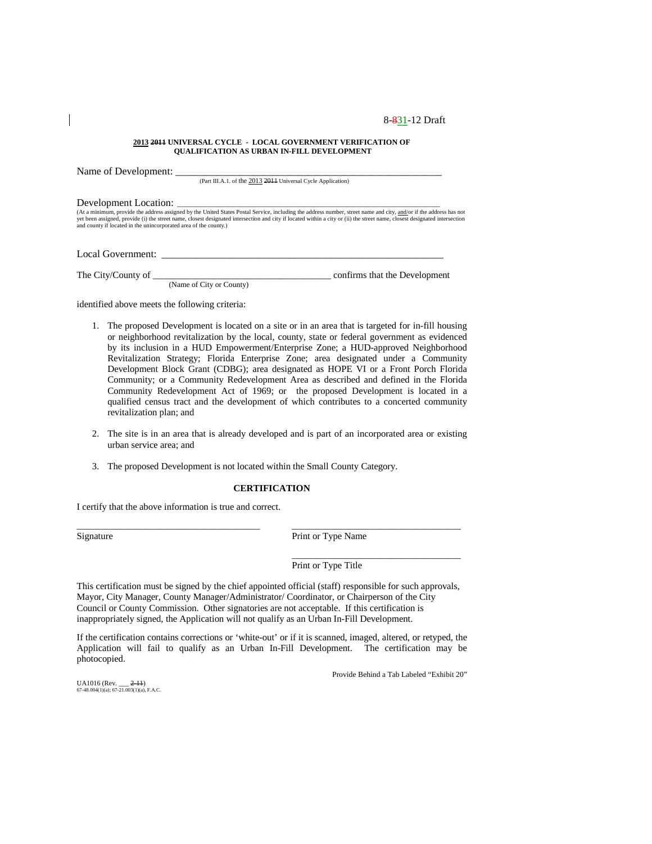#### **2013 2011 UNIVERSAL CYCLE - LOCAL GOVERNMENT VERIFICATION OF QUALIFICATION AS URBAN IN-FILL DEVELOPMENT**

| Name of Development:                                                                      |                                                                                                                                                                                                                                                                                                                                                  |
|-------------------------------------------------------------------------------------------|--------------------------------------------------------------------------------------------------------------------------------------------------------------------------------------------------------------------------------------------------------------------------------------------------------------------------------------------------|
|                                                                                           | (Part III.A.1. of the 2013 2011 Universal Cycle Application)                                                                                                                                                                                                                                                                                     |
| Development Location:<br>and county if located in the unincorporated area of the county.) | (At a minimum, provide the address assigned by the United States Postal Service, including the address number, street name and city, and/or if the address has not<br>yet been assigned, provide (i) the street name, closest designated intersection and city if located within a city or (ii) the street name, closest designated intersection |
| Local Government:                                                                         |                                                                                                                                                                                                                                                                                                                                                  |
|                                                                                           | confirms that the Development                                                                                                                                                                                                                                                                                                                    |
| (Name of City or County)                                                                  |                                                                                                                                                                                                                                                                                                                                                  |
| identified above meets the following criteria:                                            |                                                                                                                                                                                                                                                                                                                                                  |

1. The proposed Development is located on a site or in an area that is targeted for in-fill housing or neighborhood revitalization by the local, county, state or federal government as evidenced by its inclusion in a HUD Empowerment/Enterprise Zone; a HUD-approved Neighborhood Revitalization Strategy; Florida Enterprise Zone; area designated under a Community

- Development Block Grant (CDBG); area designated as HOPE VI or a Front Porch Florida Community; or a Community Redevelopment Area as described and defined in the Florida Community Redevelopment Act of 1969; or the proposed Development is located in a qualified census tract and the development of which contributes to a concerted community revitalization plan; and
- 2. The site is in an area that is already developed and is part of an incorporated area or existing urban service area; and
- 3. The proposed Development is not located within the Small County Category.

# **CERTIFICATION**

\_\_\_\_\_\_\_\_\_\_\_\_\_\_\_\_\_\_\_\_\_\_\_\_\_\_\_\_\_\_\_\_\_\_\_\_\_\_\_ \_\_\_\_\_\_\_\_\_\_\_\_\_\_\_\_\_\_\_\_\_\_\_\_\_\_\_\_\_\_\_\_\_\_\_\_

I certify that the above information is true and correct.

Signature Print or Type Name

Print or Type Title

This certification must be signed by the chief appointed official (staff) responsible for such approvals, Mayor, City Manager, County Manager/Administrator/ Coordinator, or Chairperson of the City Council or County Commission. Other signatories are not acceptable. If this certification is inappropriately signed, the Application will not qualify as an Urban In-Fill Development.

If the certification contains corrections or 'white-out' or if it is scanned, imaged, altered, or retyped, the Application will fail to qualify as an Urban In-Fill Development. The certification may be photocopied.

Provide Behind a Tab Labeled "Exhibit 20"

\_\_\_\_\_\_\_\_\_\_\_\_\_\_\_\_\_\_\_\_\_\_\_\_\_\_\_\_\_\_\_\_\_\_\_\_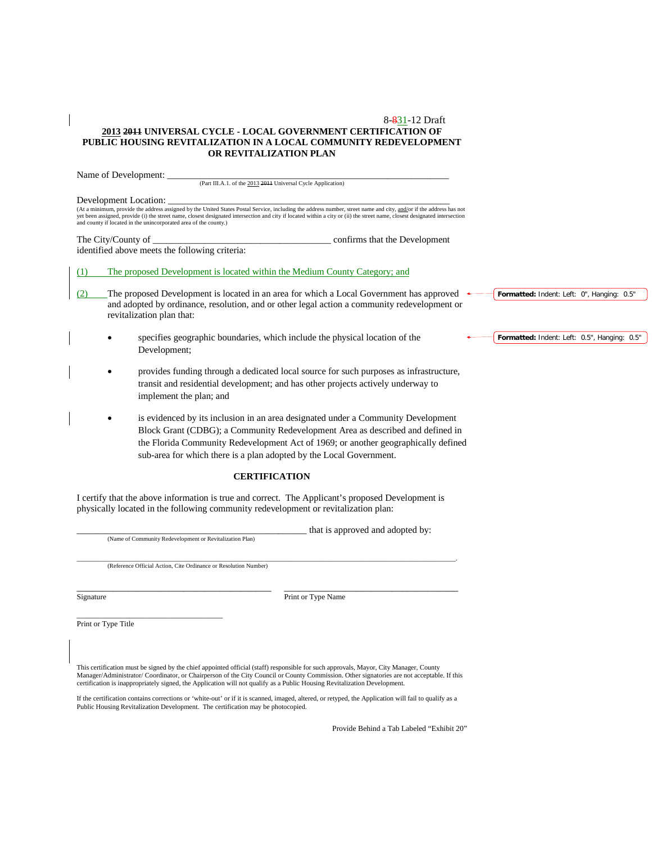# 8-831-12 Draft **2013 2011 UNIVERSAL CYCLE - LOCAL GOVERNMENT CERTIFICATION OF PUBLIC HOUSING REVITALIZATION IN A LOCAL COMMUNITY REDEVELOPMENT OR REVITALIZATION PLAN**

| Name of Development: _                                                                                                                                                                                                                                                                                                                                                                                                                        |                                              |
|-----------------------------------------------------------------------------------------------------------------------------------------------------------------------------------------------------------------------------------------------------------------------------------------------------------------------------------------------------------------------------------------------------------------------------------------------|----------------------------------------------|
| (Part III.A.1. of the 2013 2014 Universal Cycle Application)                                                                                                                                                                                                                                                                                                                                                                                  |                                              |
| Development Location:<br>(At a minimum, provide the address assigned by the United States Postal Service, including the address number, street name and city, and/or if the address has not<br>yet been assigned, provide (i) the street name, closest designated intersection and city if located within a city or (ii) the street name, closest designated intersection<br>and county if located in the unincorporated area of the county.) |                                              |
| The City/County of<br>confirms that the Development<br>identified above meets the following criteria:                                                                                                                                                                                                                                                                                                                                         |                                              |
| The proposed Development is located within the Medium County Category; and<br>(1)                                                                                                                                                                                                                                                                                                                                                             |                                              |
| The proposed Development is located in an area for which a Local Government has approved<br>(2)<br>and adopted by ordinance, resolution, and or other legal action a community redevelopment or<br>revitalization plan that:                                                                                                                                                                                                                  | Formatted: Indent: Left: 0", Hanging: 0.5"   |
| specifies geographic boundaries, which include the physical location of the<br>Development;                                                                                                                                                                                                                                                                                                                                                   | Formatted: Indent: Left: 0.5", Hanging: 0.5" |
| provides funding through a dedicated local source for such purposes as infrastructure,<br>transit and residential development; and has other projects actively underway to<br>implement the plan; and                                                                                                                                                                                                                                         |                                              |
| is evidenced by its inclusion in an area designated under a Community Development<br>٠<br>Block Grant (CDBG); a Community Redevelopment Area as described and defined in<br>the Florida Community Redevelopment Act of 1969; or another geographically defined<br>sub-area for which there is a plan adopted by the Local Government.                                                                                                         |                                              |
| <b>CERTIFICATION</b>                                                                                                                                                                                                                                                                                                                                                                                                                          |                                              |

I certify that the above information is true and correct. The Applicant's proposed Development is physically located in the following community redevelopment or revitalization plan:

(Name of Community Redevelopment or Revitalization Plan)

\_\_\_\_\_\_\_\_\_\_\_\_\_\_\_\_\_\_\_\_\_\_\_\_\_\_\_\_\_\_\_\_\_\_\_\_\_\_

\_\_\_\_\_\_\_\_\_\_\_\_\_\_\_\_\_\_\_\_\_\_\_\_\_\_\_\_\_\_\_\_\_\_\_\_\_\_\_\_\_\_\_\_\_\_\_\_\_\_\_\_\_\_\_\_\_\_\_\_\_\_\_\_\_\_\_\_\_\_\_\_\_\_\_\_\_\_\_\_\_\_\_\_\_\_\_\_\_\_\_\_\_\_\_\_\_\_\_\_\_\_\_\_\_\_\_\_\_\_\_. (Reference Official Action, Cite Ordinance or Resolution Number)

\_\_\_\_\_\_\_\_\_\_\_\_\_\_\_\_\_\_\_\_\_\_\_\_\_\_\_\_\_\_\_\_\_\_\_\_\_\_ \_\_\_\_\_\_\_\_\_\_\_\_\_\_\_\_\_\_\_\_\_\_\_\_\_\_\_\_\_\_\_\_\_\_ Signature Print or Type Name

\_\_\_\_\_\_\_\_\_\_\_\_\_\_\_\_\_\_\_\_\_\_\_\_\_\_\_\_\_\_\_\_\_\_\_\_\_\_\_\_\_\_\_\_\_\_\_\_\_ that is approved and adopted by:

Print or Type Title

This certification must be signed by the chief appointed official (staff) responsible for such approvals, Mayor, City Manager, County<br>Manager/Administrator/ Coordinator, or Chairperson of the City Council or County Commiss certification is inappropriately signed, the Application will not qualify as a Public Housing Revitalization Development.

If the certification contains corrections or 'white-out' or if it is scanned, imaged, altered, or retyped, the Application will fail to qualify as a Public Housing Revitalization Development. The certification may be photocopied.

Provide Behind a Tab Labeled "Exhibit 20"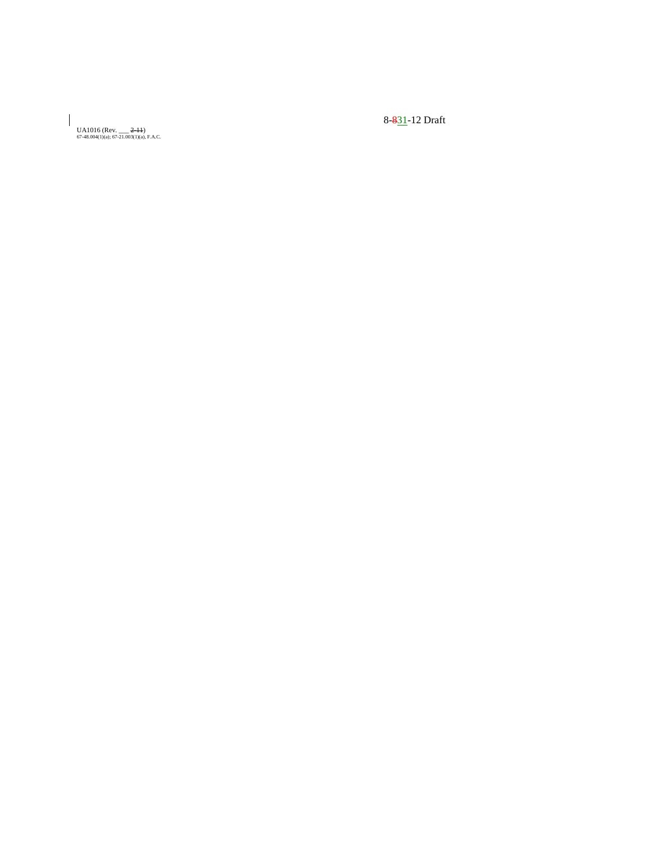UA1016 (Rev. \_\_\_ <del>2-11</del>)<br>67-48.004(1)(a); 67-21.003(1)(a), F.A.C.

 $\overline{\phantom{a}}$ 

8-831-12 Draft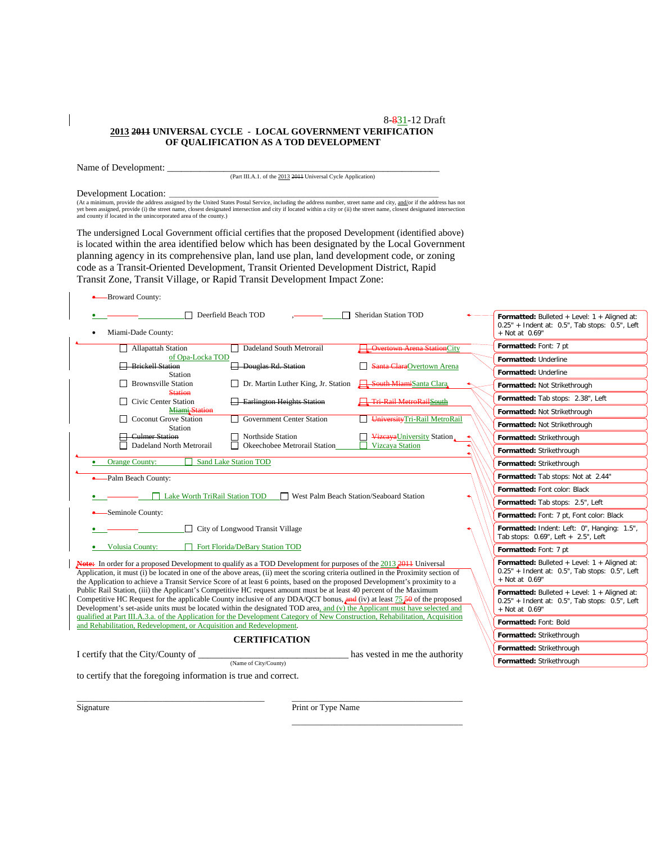# 8-831-12 Draft **2013 2011 UNIVERSAL CYCLE - LOCAL GOVERNMENT VERIFICATION OF QUALIFICATION AS A TOD DEVELOPMENT**

Name of Development:

(Part III.A.1. of the 2013 2011 Universal Cycle Application)

 $\overline{\phantom{a}}$ 

Development Location:<br>(At a minimum, provide the address assigned by the United States Postal Service, including the address number, street name and city, and/or if the address has not<br>yet been assigned, provide (i) the st

The undersigned Local Government official certifies that the proposed Development (identified above) is located within the area identified below which has been designated by the Local Government planning agency in its comprehensive plan, land use plan, land development code, or zoning code as a Transit-Oriented Development, Transit Oriented Development District, Rapid Transit Zone, Transit Village, or Rapid Transit Development Impact Zone:

| -Broward County:                                                                                                                                                                                                                                                                                                                                                                                                       |                                                                                                                            |
|------------------------------------------------------------------------------------------------------------------------------------------------------------------------------------------------------------------------------------------------------------------------------------------------------------------------------------------------------------------------------------------------------------------------|----------------------------------------------------------------------------------------------------------------------------|
| Deerfield Beach TOD<br>Sheridan Station TOD<br>Miami-Dade County:                                                                                                                                                                                                                                                                                                                                                      | Formatted: Bulleted + Level: $1 +$ Aligned at:<br>$0.25"$ + Indent at: $0.5"$ , Tab stops: $0.5"$ , Left<br>+ Not at 0.69" |
| Dadeland South Metrorail<br><b>Covertown Arena StationCity</b><br><b>Allapattah Station</b>                                                                                                                                                                                                                                                                                                                            | Formatted: Font: 7 pt                                                                                                      |
| of Opa-Locka TOD<br><b>Brickell Station</b>                                                                                                                                                                                                                                                                                                                                                                            | Formatted: Underline                                                                                                       |
| <b>E</b> Douglas Rd. Station<br><b>Santa Clara</b> Overtown Arena<br>Station                                                                                                                                                                                                                                                                                                                                           | Formatted: Underline                                                                                                       |
| <b>Brownsville Station</b><br>South MiamiSanta Clara<br>Dr. Martin Luther King, Jr. Station<br><b>Station</b>                                                                                                                                                                                                                                                                                                          | Formatted: Not Strikethrough                                                                                               |
| <b>Tri Rail MetroRailSouth</b><br>Civic Center Station<br>$\Box$ Earlington Heights Station                                                                                                                                                                                                                                                                                                                            | Formatted: Tab stops: 2.38", Left                                                                                          |
| Miami, Station                                                                                                                                                                                                                                                                                                                                                                                                         | Formatted: Not Strikethrough                                                                                               |
| Government Center Station<br>UniversityTri-Rail MetroRail<br><b>Coconut Grove Station</b><br>Station                                                                                                                                                                                                                                                                                                                   | Formatted: Not Strikethrough                                                                                               |
| <b>El</b> Culmer Station<br>Northside Station<br>Vizcaya University Station.                                                                                                                                                                                                                                                                                                                                           | Formatted: Strikethrough                                                                                                   |
| Dadeland North Metrorail<br>Okeechobee Metrorail Station<br><b>Vizcava Station</b>                                                                                                                                                                                                                                                                                                                                     | Formatted: Strikethrough                                                                                                   |
| <b>Orange County:</b><br>Sand Lake Station TOD                                                                                                                                                                                                                                                                                                                                                                         | Formatted: Strikethrough                                                                                                   |
| -Palm Beach County:                                                                                                                                                                                                                                                                                                                                                                                                    | Formatted: Tab stops: Not at 2.44"                                                                                         |
|                                                                                                                                                                                                                                                                                                                                                                                                                        | Formatted: Font color: Black                                                                                               |
| □ Lake Worth TriRail Station TOD<br>West Palm Beach Station/Seaboard Station<br>$\Box$                                                                                                                                                                                                                                                                                                                                 | Formatted: Tab stops: 2.5", Left                                                                                           |
| Seminole County:                                                                                                                                                                                                                                                                                                                                                                                                       | Formatted: Font: 7 pt, Font color: Black                                                                                   |
| City of Longwood Transit Village                                                                                                                                                                                                                                                                                                                                                                                       | Formatted: Indent: Left: 0", Hanging: 1.5",<br>Tab stops: 0.69", Left + 2.5", Left                                         |
| <b>Volusia County:</b><br>Fort Florida/DeBary Station TOD                                                                                                                                                                                                                                                                                                                                                              | Formatted: Font: 7 pt                                                                                                      |
| <b>Note:</b> In order for a proposed Development to qualify as a TOD Development for purposes of the $\frac{2013}{6}$ $\frac{2011}{10}$ Universal<br>Application, it must (i) be located in one of the above areas, (ii) meet the scoring criteria outlined in the Proximity section of<br>the Application to achieve a Transit Service Score of at least 6 points, based on the proposed Development's proximity to a | Formatted: Bulleted + Level: $1 +$ Aligned at:<br>0.25" + Indent at: 0.5", Tab stops: 0.5", Left<br>$+$ Not at 0.69"       |
| Public Rail Station, (iii) the Applicant's Competitive HC request amount must be at least 40 percent of the Maximum<br>Competitive HC Request for the applicable County inclusive of any DDA/QCT bonus, and (iv) at least $\frac{75}{50}$ of the proposed<br>Development's set-aside units must be located within the designated TOD area, and (v) the Applicant must have selected and                                | Formatted: Bulleted + Level: $1 +$ Aligned at:<br>$0.25"$ + Indent at: $0.5"$ , Tab stops: $0.5"$ , Left<br>+ Not at 0.69" |
| qualified at Part III.A.3.a. of the Application for the Development Category of New Construction, Rehabilitation, Acquisition<br>and Rehabilitation, Redevelopment, or Acquisition and Redevelopment.                                                                                                                                                                                                                  | Formatted: Font: Bold                                                                                                      |
| <b>CERTIFICATION</b>                                                                                                                                                                                                                                                                                                                                                                                                   | Formatted: Strikethrough                                                                                                   |
| I certify that the City/County of<br>has vested in me the authority                                                                                                                                                                                                                                                                                                                                                    | Formatted: Strikethrough                                                                                                   |
| (Name of City/County)                                                                                                                                                                                                                                                                                                                                                                                                  | Formatted: Strikethrough                                                                                                   |

to certify that the foregoing information is true and correct.

Signature Print or Type Name

\_\_\_\_\_\_\_\_\_\_\_\_\_\_\_\_\_\_\_\_\_\_\_\_\_\_\_\_\_\_\_\_\_\_\_\_\_\_\_\_

\_\_\_\_\_\_\_\_\_\_\_\_\_\_\_\_\_\_\_\_\_\_\_\_\_\_\_\_\_\_\_\_\_\_\_\_\_\_\_\_\_\_\_\_ \_\_\_\_\_\_\_\_\_\_\_\_\_\_\_\_\_\_\_\_\_\_\_\_\_\_\_\_\_\_\_\_\_\_\_\_\_\_\_\_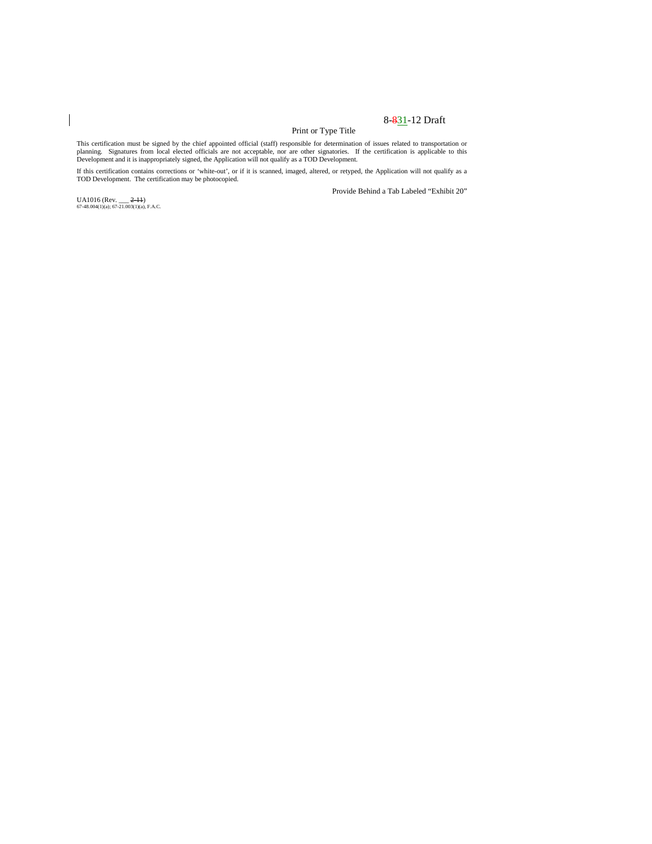# Print or Type Title

This certification must be signed by the chief appointed official (staff) responsible for determination of issues related to transportation or<br>planning. Signatures from local elected officials are not acceptable, nor are o

If this certification contains corrections or 'white-out', or if it is scanned, imaged, altered, or retyped, the Application will not qualify as a TOD Development. The certification may be photocopied.

Provide Behind a Tab Labeled "Exhibit 20"

UA1016 (Rev. \_\_\_ <del>2-11</del>)<br>67-48.004(1)(a); 67-21.003(1)(a), F.A.C.

 $\overline{\phantom{a}}$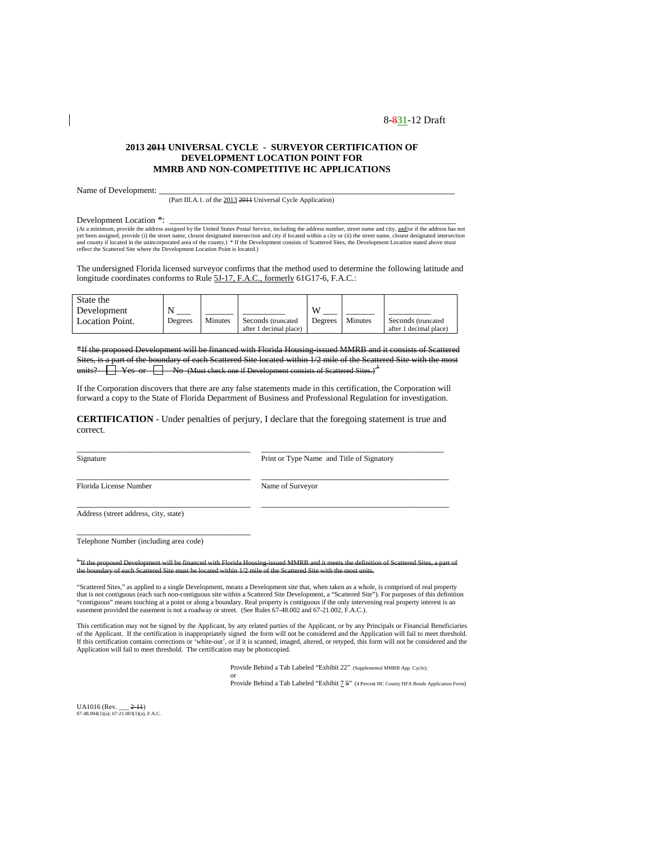# **2013 2011 UNIVERSAL CYCLE - SURVEYOR CERTIFICATION OF DEVELOPMENT LOCATION POINT FOR MMRB AND NON-COMPETITIVE HC APPLICATIONS**

Name of Development:

(Part III.A.1. of the 2013 2011 Universal Cycle Application)

Development Location  $*$ :

(At a minimum, provide the address assigned by the United States Postal Service, including the address number, street name and city, and/or if the address has not yet been assigned, provide (i) the street name, closest designated intersection and city if located within a city or (ii) the street name, closest designated intersection<br>and county if located in the unincorporated area of reflect the Scattered Site where the Development Location Point is located.)

The undersigned Florida licensed surveyor confirms that the method used to determine the following latitude and longitude coordinates conforms to Rule 5J-17, F.A.C., formerly 61G17-6, F.A.C.:

| State the       |         |         |                        |         |         |                        |
|-----------------|---------|---------|------------------------|---------|---------|------------------------|
| Development     |         |         |                        |         |         |                        |
| Location Point. | Degrees | Minutes | Seconds (truncated)    | Degrees | Minutes | Seconds (truncated)    |
|                 |         |         | after 1 decimal place) |         |         | after 1 decimal place) |

\*If the proposed Development will be financed with Florida Housing-issued MMRB and it consists of Scattered Sites, is a part of the boundary of each Scattered Site located within 1/2 mile of the Scattered Site with the most **Wes or No (Must check one if Development consists of Scattered Sites.)** 1

If the Corporation discovers that there are any false statements made in this certification, the Corporation will forward a copy to the State of Florida Department of Business and Professional Regulation for investigation.

**CERTIFICATION** - Under penalties of perjury, I declare that the foregoing statement is true and correct.

\_\_\_\_\_\_\_\_\_\_\_\_\_\_\_\_\_\_\_\_\_\_\_\_\_\_\_\_\_\_\_\_\_\_\_\_\_ \_\_\_\_\_\_\_\_\_\_\_\_\_\_\_\_\_\_\_\_\_\_\_\_\_\_\_\_\_\_\_\_\_\_\_\_\_\_\_

Signature Print or Type Name and Title of Signatory

Florida License Number Name of Surveyor

\_\_\_\_\_\_\_\_\_\_\_\_\_\_\_\_\_\_\_\_\_\_\_\_\_\_\_\_\_\_\_\_\_\_\_\_\_ \_\_\_\_\_\_\_\_\_\_\_\_\_\_\_\_\_\_\_\_\_\_\_\_\_\_\_\_\_\_\_\_\_\_\_\_\_\_\_\_

\_\_\_\_\_\_\_\_\_\_\_\_\_\_\_\_\_\_\_\_\_\_\_\_\_\_\_\_\_\_\_\_\_\_\_\_\_ \_\_\_\_\_\_\_\_\_\_\_\_\_\_\_\_\_\_\_\_\_\_\_\_\_\_\_\_\_\_\_\_\_\_\_\_\_\_\_\_ Address (street address, city, state)

Telephone Number (including area code)

\_\_\_\_\_\_\_\_\_\_\_\_\_\_\_\_\_\_\_\_\_\_\_\_\_\_\_\_\_\_\_\_\_\_\_\_\_

<sup>1</sup> If the proposed Development will be financed with Florida Housing-issued MMRB and it meets the definition of Scattered Sites, a part of the boundary of each Scattered Site must be located within 1/2 mile of the Scattered Site with the most units.

"Scattered Sites," as applied to a single Development, means a Development site that, when taken as a whole, is comprised of real property that is not contiguous (each such non-contiguous site within a Scattered Site Development, a "Scattered Site"). For purposes of this definition "contiguous" means touching at a point or along a boundary. Real property is contiguous if the only intervening real property interest is an<br>easement provided the easement is not a roadway or street. (See Rules 67-48.002 a

This certification may not be signed by the Applicant, by any related parties of the Applicant, or by any Principals or Financial Beneficiaries of the Applicant. If the certification is inappropriately signed the form will not be considered and the Application will fail to meet threshold.<br>If this certification contains corrections or 'white-out', or if it is scann Application will fail to meet threshold. The certification may be photocopied.

Provide Behind a Tab Labeled "Exhibit 22" (Supplemental MMRB App. Cycle);

or<br>Provide Behind a Tab Labeled "Exhibit <u>7</u> <del>5</del>" (4 Percent HC County HFA Bonds Application Form)

 $UA1016$  (Rev.  $2-11$ ) 67-48.004(1)(a); 67-21.003(1)(a), F.A.C.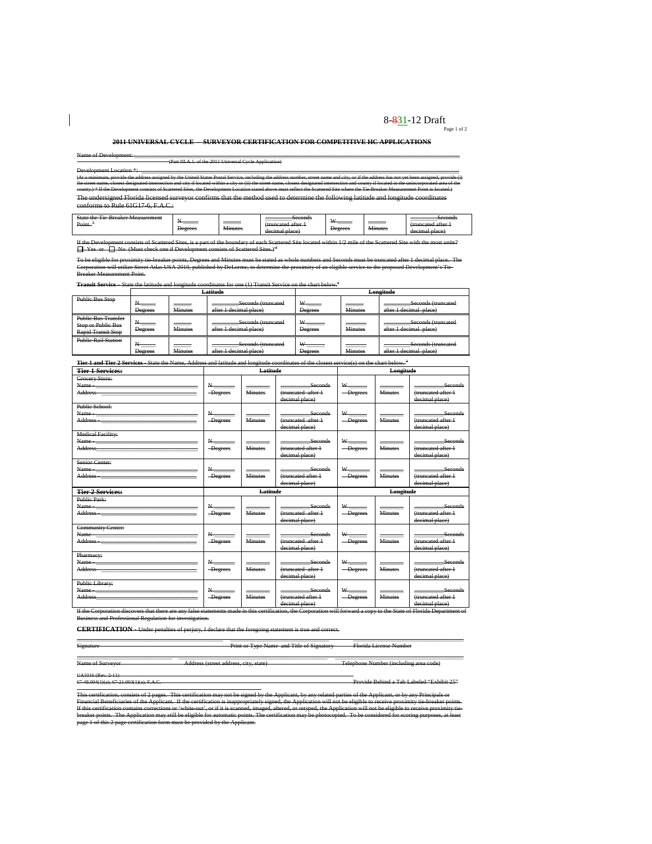# 8-831-12 Draft  $P_{\text{Page 1 of 2}}$

#### **2011 UNIVERSAL CYCLE - SURVEYOR CERTIFICATION FOR COMPETITIVE HC APPLICATIONS**

Name of Development: \_\_\_\_\_\_\_\_\_\_\_\_\_\_\_\_\_\_\_\_\_\_\_\_\_\_\_\_\_\_\_\_\_\_\_\_\_\_\_\_\_\_\_\_\_\_\_\_\_\_\_\_\_\_\_\_\_\_\_\_\_\_\_\_\_\_\_\_\_\_\_\_\_\_\_\_\_\_\_\_\_\_\_\_\_\_\_\_\_\_\_\_\_\_\_\_\_\_\_\_\_\_\_\_\_\_\_\_\_ (Part III.A.1. of the 2011 Universal Cycle Application)

 $\overline{\phantom{a}}$ 

Development Location \*:<br>(At a minimum, provide the address assigned by the United States Postal Service, including the address number, street nume and city, or if the address has not yet been assigned, provide (i)<br>the stre county.) \* If the Development consists of Scattered Sites, the Development Location alsoed above must reflect the Scatte description and the Beraker Measurement Point is located.)<br>The undersigned Florida licensed surveyor conforms to Rule 61G17-6, F.A.C.:

| Ctota<br>raaker Measuremant<br><del>oute the Tie breaker wiedstrement</del><br>Point. | ______<br>Degrees | ______<br>.<br>Minutes | Secondo<br>s <del>econus</del><br>termontod ottor<br>,,,,,,,,,,,,,,,,,,,,,,,,<br>decimal place.<br><del>uccimal place</del> | $\cdot$<br>Degrees | $ -$<br>Minuto<br><del>winne</del> . | Second<br>s <del>econus</del><br>truncated after<br><del></del><br>B1000<br><del>uceman pate</del> |
|---------------------------------------------------------------------------------------|-------------------|------------------------|-----------------------------------------------------------------------------------------------------------------------------|--------------------|--------------------------------------|----------------------------------------------------------------------------------------------------|
|---------------------------------------------------------------------------------------|-------------------|------------------------|-----------------------------------------------------------------------------------------------------------------------------|--------------------|--------------------------------------|----------------------------------------------------------------------------------------------------|

If the Development consists of Scattered Sites, is a part of the boundary of each Scattered Site located within 1/2 mile of the Scattered Site with the most units?<br>□ Yes or □ No (Must check one if Development consists of

ble for proximity tie-breaker points, Degrees and Minutes must be stated as whole numbers and Seconds must be truncated after 1 decimal place. The<br>n will utilize Street Atlas USA 2010, published by DeLorme, to determine th e Street Atlas USA 2010, published by DeLorme, to determine<br>Point Breaker Measurement Point.

**Transit Service** – State the latitude and longitude coordinates for one (1) Transit Service on the chart below.<sup>3</sup><br>**Latitude Longitude** 

|                                                                                      |                |                | <del>Latıtude</del>                                                              | <del>Longitude</del> |                |                                                                                   |  |
|--------------------------------------------------------------------------------------|----------------|----------------|----------------------------------------------------------------------------------|----------------------|----------------|-----------------------------------------------------------------------------------|--|
| <b>Public Bus Stop</b>                                                               | <b>Degrees</b> | <b>Minutes</b> | Seconds (truncated<br>after 1 decimal place)                                     | W<br><b>Degrees</b>  | <b>Minutes</b> | Seconds (truncated<br>after 1 decimal place)<br><del>anci i uccinal biacc</del> ) |  |
| <b>Public Bus Transfer</b><br><b>Stop or Public Bus</b><br><b>Rapid Transit Stop</b> | Degrees        | <b>Minutes</b> | Seconds (truncated<br>after 1 decimal place)                                     | Degrees              | <b>Minutes</b> | Seconds (truncated<br>after I decimal place)                                      |  |
| <b>Public Rail Station</b>                                                           | <b>Degrees</b> | <b>Minutes</b> | Seconds (truncated<br>after 1 decimal place)<br><del>anci 1 ucennai piace.</del> | <b>Degrees</b>       | <b>Minutes</b> | Seconds (truncated<br>after 1 decimal place)<br><del>anci i uccinal biacc</del> ) |  |

|                                                                                                                                                                                                                                                  | Tier 1 and Tier 2 Services State the Name, Address and latitude and longitude coordinates of the closest service(s) on the chart below. <sup>3</sup> |                |                                                        |                                               |                |                                                        |
|--------------------------------------------------------------------------------------------------------------------------------------------------------------------------------------------------------------------------------------------------|------------------------------------------------------------------------------------------------------------------------------------------------------|----------------|--------------------------------------------------------|-----------------------------------------------|----------------|--------------------------------------------------------|
| <b>Tier 1 Services:</b>                                                                                                                                                                                                                          |                                                                                                                                                      | Latitude       |                                                        |                                               | Longitude      |                                                        |
| Grocery Store:<br>Address and the contract of the contract of the contract of the contract of the contract of the contract of the contract of the contract of the contract of the contract of the contract of the contract of the contract of th | $N_{\text{max}}$<br>-Degrees                                                                                                                         | <b>Minutes</b> | Seconds<br>(truncated after 1<br>decimal place)        | $W$ <sub>-1</sub><br>$-\n$ Degrees            | <b>Minutes</b> | Seconds<br>(truncated after 1<br>decimal place)        |
| Public School:                                                                                                                                                                                                                                   | $N-$<br>-Degrees                                                                                                                                     | <b>Minutes</b> | <b>Seconds</b><br>(truncated after 1<br>decimal place) | $W$ <sub>------</sub><br>-Degrees             | <b>Minutes</b> | Seconds<br>(truncated after 1<br>decimal place)        |
| <b>Medical Facility:</b><br>Address and the contract of the contract of the contract of the contract of the contract of the contract of the                                                                                                      | $N-$<br>-Degrees                                                                                                                                     | <b>Minutes</b> | Seconds<br>(truncated after 1<br>decimal place)        | $W =$<br>-Degrees                             | <b>Minutes</b> | <b>Seconds</b><br>(truncated after 1<br>decimal place) |
| Senior Center:<br>Name - The Committee of the Committee of the Committee of the Committee of the Committee of the Committee of the Committee of the Committee of the Committee of the Committee of the Committee of the Committee of the Committ | $N_{-}$<br>$-\rho$ egrees                                                                                                                            | <b>Minutes</b> | Seconds<br>(truncated after 1<br>decimal place)        | $W_{\underline{\text{max}}}$<br>$-\n$ Degrees | <b>Minutes</b> | Seconds<br>(truncated after 1<br>decimal place)        |
|                                                                                                                                                                                                                                                  |                                                                                                                                                      |                |                                                        |                                               |                |                                                        |
| <b>Tier 2 Services:</b>                                                                                                                                                                                                                          |                                                                                                                                                      | Latitude       |                                                        |                                               | Longitude      |                                                        |
| Public Park:<br>Address and the contract of the contract of the contract of the contract of the contract of the contract of the contract of the contract of the contract of the contract of the contract of the contract of the contract of th   | N<br>-Degrees                                                                                                                                        | <b>Minutes</b> | Seconds<br>(truncated after 1<br>decimal place)        | $W_{\perp}$<br>-Degrees                       | <b>Minutes</b> | Seconds<br>(truncated after +<br>decimal place)        |
| <b>Community Center:</b><br>Name<br>Address and the contract of the contract of the contract of the contract of the contract of the contract of the                                                                                              | -Degrees                                                                                                                                             | <b>Minutes</b> | <b>Seconds</b><br>(truncated after 1<br>decimal place) | $W$ <sub>------</sub><br>-Degrees             | <b>Minutes</b> | Seconds<br>(truncated after 1<br>decimal place)        |
| Pharmacy:<br>Public Library:                                                                                                                                                                                                                     | N<br>-Degrees                                                                                                                                        | <b>Minutes</b> | Seconds<br>(truncated after 1<br>decimal place)        | $\mathbf{w}_{\frac{1}{2}}$<br>-Degrees        | <b>Minutes</b> | Seconds<br>(truncated after +<br>decimal place)        |

**Business and Professional Regulation for investigation.** 

**CERTIFICATION** - Under penalties of perjury, I declare that the foregoing statement is true and correct.

\_\_\_\_\_\_\_\_\_\_\_\_\_\_\_\_\_\_\_\_\_\_\_\_\_\_\_\_\_\_\_\_\_\_\_\_\_\_\_\_\_\_\_\_\_\_\_\_\_ \_\_\_\_\_\_\_\_\_\_\_\_\_\_\_\_\_\_\_\_\_\_\_\_\_\_\_\_\_\_\_\_\_ \_\_\_\_\_\_\_\_\_\_\_\_\_\_\_\_\_\_\_\_\_\_\_\_\_\_\_\_\_\_\_\_\_\_\_\_\_ Signature Print or Type Name and Title of Signatory Florida License Number

\_\_\_\_\_\_\_\_\_\_\_\_\_\_\_\_\_\_\_\_\_\_\_\_\_\_\_\_\_\_\_\_ \_\_\_\_\_\_\_\_\_\_\_\_\_\_\_\_\_\_\_\_\_\_\_\_\_\_\_\_\_\_\_\_\_\_\_\_\_\_\_\_\_\_\_\_\_\_\_\_\_\_ \_\_\_\_\_\_\_\_\_\_\_\_\_\_\_\_\_\_\_\_\_\_\_\_\_\_\_\_\_\_\_\_\_\_\_\_\_\_\_\_\_\_\_ Name of Surveyor Address (street address, city, state) Telephone Number (including area code)

 $2.11$ 

67-48.004(1)(a); 67-21.003(1)(a), F.A.C. Provide Behind a Tab Labeled "Exhibit 25"

If the Corporation discovers that there are any false statements made in this certification, the Corporation will forward a copy to the State of Florida Department of

This certification, consists of 2-pages. "This certification may not be signed by the Applicant, by cancel and<br>Financial Beneficiaries of the Applicant. If the certification is inappropriately signed and the the interest i breaker points. The Application may still be eligible for automatic points. The certification may be photocopied. To be considered for scoring purposes, at least<br>page 1 of this 2 page certification form must be provided by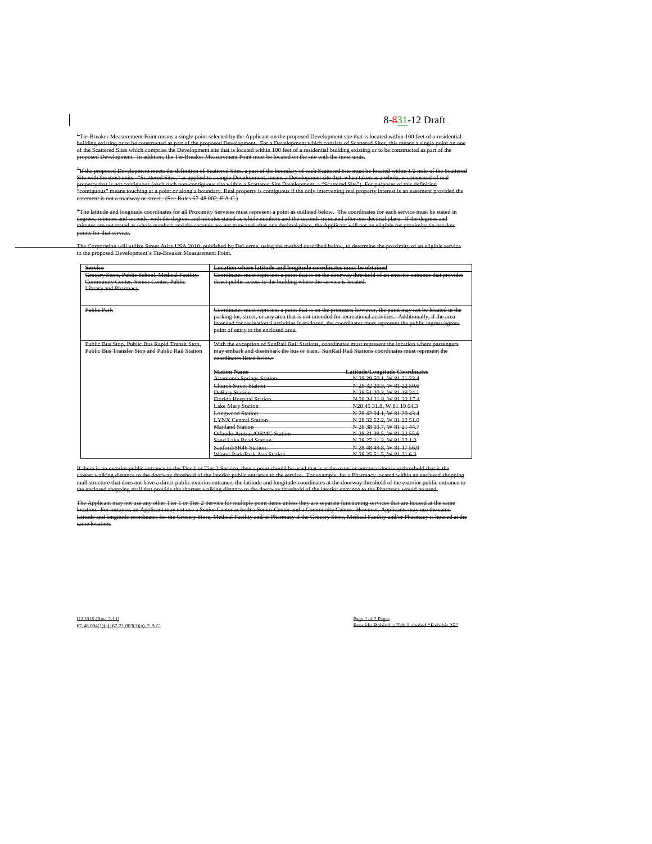<sup>4</sup> Tie Breaker Measurement Point means a single point selected by the Applicant on the proposed Development site that is located within 100 feet of a residential<br>building existing or to be constructed as part of the propo of the Scattered Sites which comprise the Development site that is located within 100 feet of a residential building existing or to be constructed as part of the proposed Development. In addition, the Tie-Breaker Measurement Point must be located on the site with the most units.

<sup>2</sup> If the proposed Development meets the definition of Scattered Sites, a part of the boundary of each Scattered Site must be located within 1/2 mile of the Scattered Site with the most units. "Scattered Sites," as applied to a single Development, means a Development site that, when taken as a whole, is comprised of real property that is not continue that is not continued to the continued Site Development, a stattered Site Development, a "Scattered Site Development". The second Site Development of this definition "contiguous" means touching at a point or along a boundary. Real property is contiguous if the only intervening real property interest is an easement provided the ea boundary. Rearp.<br>67-48.002, F.A.C.)

 $^3$  The latitude and longitude coordinates for all Proximity Services must represent a point as outlined below. The coordinates for each service must be stated in vith the degrees and minutes stated as whole numbers and the seconds truncated after one decimal place. If the degree minutes are not stated as whole numbers and the seconds are not truncated after one decimal place, the Applicant will not be eligible for proximity tie-breaker .<br>wice.

The Corporation will utilize Street Atlas USA 2010, published by DeLorme, using the method described below, to determine the proximity of an eligible service<br>to the proposed Development's Tie Breaker Measurement Point.

| <b>Service</b>                                                                             | Location where latitude and longitude coordinates must be obtained                                           |                                                                                                           |  |  |  |  |
|--------------------------------------------------------------------------------------------|--------------------------------------------------------------------------------------------------------------|-----------------------------------------------------------------------------------------------------------|--|--|--|--|
| Grocery Store, Public School, Medical Facility,<br>Community Center, Senior Center, Public | direct public access to the building where the service is located.                                           | Coordinates must represent a point that is on the doorway threshold of an exterior entrance that provides |  |  |  |  |
| <b>Library and Pharmacy</b>                                                                |                                                                                                              |                                                                                                           |  |  |  |  |
|                                                                                            |                                                                                                              |                                                                                                           |  |  |  |  |
|                                                                                            |                                                                                                              |                                                                                                           |  |  |  |  |
| <b>Public Park</b>                                                                         | Coordinates must represent a point that is on the premises; however, the point may not be located in the     |                                                                                                           |  |  |  |  |
|                                                                                            | parking lot, street, or any area that is not intended for recreational activities. Additionally, if the area |                                                                                                           |  |  |  |  |
|                                                                                            | intended for recreational activities is enclosed, the coordinates must represent the public ingress/egress   |                                                                                                           |  |  |  |  |
|                                                                                            | point of entry to the enclosed area.                                                                         |                                                                                                           |  |  |  |  |
|                                                                                            |                                                                                                              |                                                                                                           |  |  |  |  |
| Public Bus Stop, Public Bus Rapid Transit Stop,                                            | With the exception of SunRail Rail Stations, coordinates must represent the location where passengers        |                                                                                                           |  |  |  |  |
| Public Bus Transfer Stop and Public Rail Station                                           | may embark and disembark the bus or train. SunRail Rail Stations coordinates must represent the              |                                                                                                           |  |  |  |  |
|                                                                                            | coordinates listed below-                                                                                    |                                                                                                           |  |  |  |  |
|                                                                                            |                                                                                                              |                                                                                                           |  |  |  |  |
|                                                                                            | <b>Station Name</b>                                                                                          | <b>Latitude/Longitude Coordinates</b>                                                                     |  |  |  |  |
|                                                                                            | <b>Altamonte Springs Station</b>                                                                             | N 28 39 50 1. W 81 21 23 4                                                                                |  |  |  |  |
|                                                                                            | <b>Church Street Station</b>                                                                                 | N 28 32 20.3, W 81 22 50.6                                                                                |  |  |  |  |
|                                                                                            | <b>DeBary Station</b>                                                                                        | N 28 51 20.3, W 81 19 24.1                                                                                |  |  |  |  |
|                                                                                            | <b>Florida Hospital Station</b>                                                                              | N 28 34 21.8, W 81 22 17.4                                                                                |  |  |  |  |
|                                                                                            | <b>Lake Mary Station</b>                                                                                     | N28 45 31.8, W 81 19 04.3                                                                                 |  |  |  |  |
|                                                                                            | <b>Longwood Station</b>                                                                                      | N 28 42 04.1, W 81 20 43.4                                                                                |  |  |  |  |
|                                                                                            | <b>LYNX Central Station</b>                                                                                  | N 28 32 52.2, W 81 22 51.0                                                                                |  |  |  |  |
|                                                                                            | <b>Maitland Station</b>                                                                                      | N 28 38 03.7, W 81 21 44.7                                                                                |  |  |  |  |
|                                                                                            | Orlando Amtrak/ORMC Station                                                                                  | N 28 31 39 5, W 81 22 55 6                                                                                |  |  |  |  |
|                                                                                            | Sand Lake Road Station                                                                                       | N 28 27 11.3, W 81 22 1.0                                                                                 |  |  |  |  |
|                                                                                            | Sanford/SR46 Station                                                                                         | N 28 48 49.8, W 81 17 56.9                                                                                |  |  |  |  |
|                                                                                            | Winter Park/Park Ave Station                                                                                 | N 28 35 51 5, W 81 21 6.0                                                                                 |  |  |  |  |

If there is no exterior public entrance to the Tier 1 or Tier 2 Service, then a point should be used that is at the exterior entrance doorway threshold that is the to the doorway threshold of the interior public entrance to the service. For example, for a Pharmacy located v<br>ot have a direct public exterior entrance, the latitude and longitude coordinates at the doorway threshold of t o me goorway threshold of the interior public entrance to the service. For example, for a Pharmacy located within an enclose<br>31 have a direct public exterior entrance, the latitude and longitude coordinates at the doorway the enclosed shopping mall that provide the shortest walking distance to the doorway threshold of the interior entrance to the Pharmacy would be used.

The Applicant may not use any other Tier 1 or Tier 2 Service for multiple point items unless they are separate functioning services that are housed at the same location. For instance, an Applicant may not use a Senior Center as both a Senior Center and a Community Center. However, Applicants may use the same<br>latitude and longitude coordinates for the Grocery Store, Medical Facili same location.

 $\overline{\phantom{a}}$ 

UA1016 (Rev. 2-11)<br>67-48.004(1)(a); 67-21.003(1)(a), F.A.C. Pages 2 of 2 Pages 2 of 2 Pages 2 of 2 Pages 2 of 2 Pages 2 of 2 Page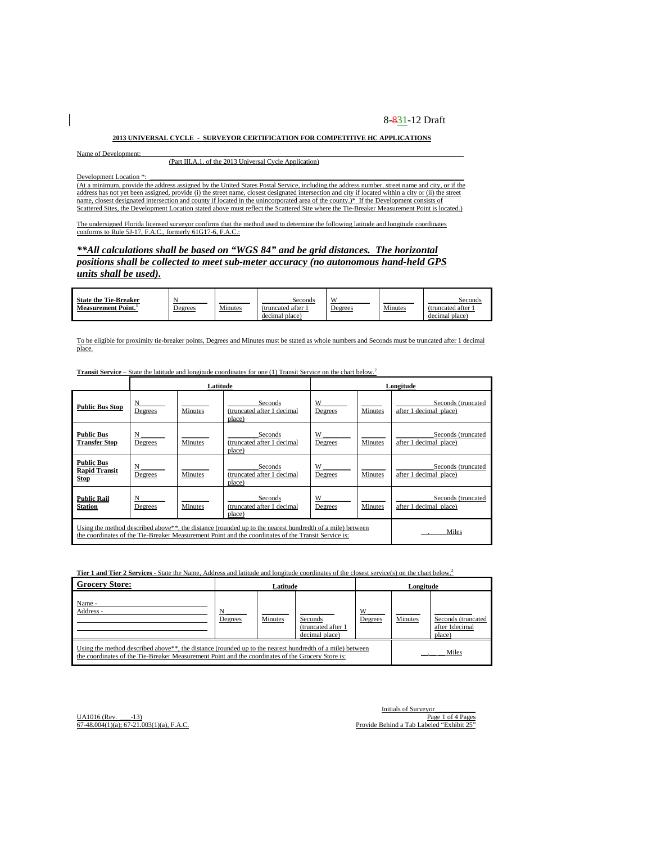#### **2013 UNIVERSAL CYCLE - SURVEYOR CERTIFICATION FOR COMPETITIVE HC APPLICATIONS**

Name of Development:

(Part III.A.1. of the 2013 Universal Cycle Application)

Development Location \*:

(At a minimum, provide the address assigned by the United States Postal Service, including the address number, street name and city, or if the address has not yet been assigned, provide (i) the street name, closest designated intersection and city if located within a city or (ii) the street name, closest designated intersection and county if located in the unincorporated area of the county.)\* If the Development consists of Scattered Sites, the Development Location stated above must reflect the Scattered Site where the Tie-Breaker Measurement Point is located.)

The undersigned Florida licensed surveyor confirms that the method used to determine the following latitude and longitude coordinates conforms to Rule 5J-17, F.A.C., formerly 61G17-6, F.A.C.:

# *\*\*All calculations shall be based on "WGS 84" and be grid distances. The horizontal positions shall be collected to meet sub-meter accuracy (no autonomous hand-held GPS units shall be used).*

| <b>State the Tie-Breaker</b><br>Measurement Point. <sup>1</sup> | Degrees | Minutes | Seconds<br>(truncated after<br>decimal place) | <b>VY</b><br><b>Degrees</b> | Minutes | Seconds<br>truncated after<br>decimal place) |
|-----------------------------------------------------------------|---------|---------|-----------------------------------------------|-----------------------------|---------|----------------------------------------------|
|-----------------------------------------------------------------|---------|---------|-----------------------------------------------|-----------------------------|---------|----------------------------------------------|

To be eligible for proximity tie-breaker points, Degrees and Minutes must be stated as whole numbers and Seconds must be truncated after 1 decimal place.

**Transit Service** – State the latitude and longitude coordinates for one (1) Transit Service on the chart below.<sup>2</sup>

|                                                          |              | Latitude |                                                                                                                                                                                                                              |              |                | Longitude                                    |
|----------------------------------------------------------|--------------|----------|------------------------------------------------------------------------------------------------------------------------------------------------------------------------------------------------------------------------------|--------------|----------------|----------------------------------------------|
| <b>Public Bus Stop</b>                                   | N<br>Degrees | Minutes  | Seconds<br>(truncated after 1 decimal<br>place)                                                                                                                                                                              | W<br>Degrees | Minutes        | Seconds (truncated<br>after 1 decimal place) |
| <b>Public Bus</b><br><b>Transfer Stop</b>                | N<br>Degrees | Minutes  | Seconds<br>(truncated after 1 decimal<br>place)                                                                                                                                                                              | W<br>Degrees | <b>Minutes</b> | Seconds (truncated<br>after 1 decimal place) |
| <b>Public Bus</b><br><b>Rapid Transit</b><br><b>Stop</b> | N<br>Degrees | Minutes  | Seconds<br>(truncated after 1 decimal<br>place)                                                                                                                                                                              | W<br>Degrees | Minutes        | Seconds (truncated<br>after 1 decimal place) |
| <b>Public Rail</b><br><b>Station</b>                     | N<br>Degrees | Minutes  | Seconds<br>(truncated after 1 decimal<br>place)                                                                                                                                                                              | W<br>Degrees | Minutes        | Seconds (truncated<br>after 1 decimal place) |
|                                                          |              |          | Using the method described above <sup>**</sup> , the distance (rounded up to the nearest hundredth of a mile) between<br>the coordinates of the Tie-Breaker Measurement Point and the coordinates of the Transit Service is: |              |                | Miles                                        |

**Tier 1 and Tier 2 Services** - State the Name, Address and latitude and longitude coordinates of the closest service(s) on the chart below.2

| <b>Grocery Store:</b>                                                                                                                                                                                                      | Latitude |                |                                                  | Longitude    |                |                                                |
|----------------------------------------------------------------------------------------------------------------------------------------------------------------------------------------------------------------------------|----------|----------------|--------------------------------------------------|--------------|----------------|------------------------------------------------|
| Name -<br>Address -                                                                                                                                                                                                        | Degrees  | <b>Minutes</b> | Seconds<br>(truncated after 1)<br>decimal place) | W<br>Degrees | <b>Minutes</b> | Seconds (truncated<br>after 1decimal<br>place) |
| Using the method described above <sup>**</sup> , the distance (rounded up to the nearest hundredth of a mile) between<br>the coordinates of the Tie-Breaker Measurement Point and the coordinates of the Grocery Store is: |          |                |                                                  |              | Miles          |                                                |

 $67-48.004(1)(a)$ ;  $67-21.003(1)(a)$ , F.A.C.

Initials of Surveyor<br>Page 1 of 4 Pages UA1016 (Rev. -13)<br>  $\frac{Page 1 of 4 Pages}{97-48.004(1)(a); 67-21.003(1)(a)}$ , F.A.C.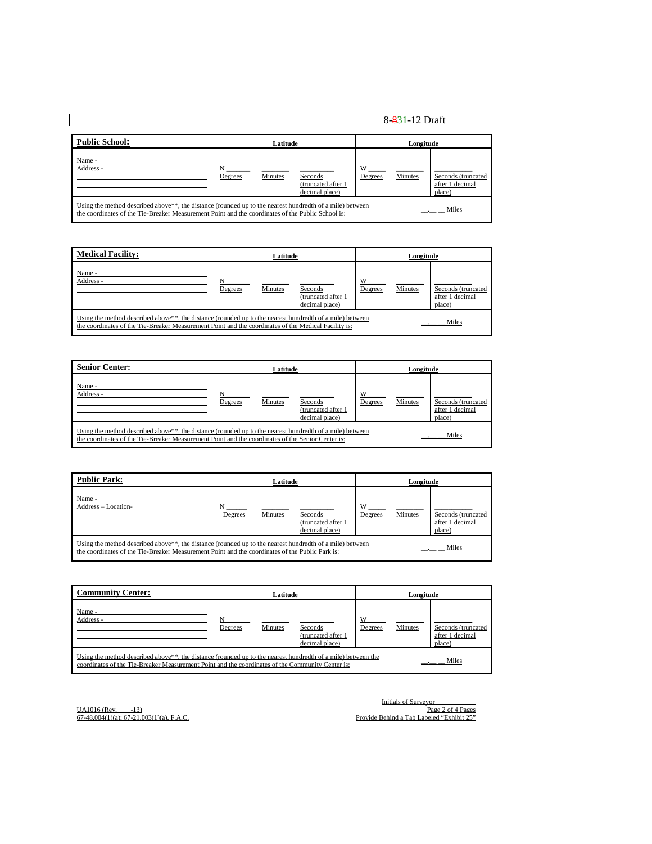| <b>Public School:</b> | Latitude                                                                                                                                                                                                                   |         |                                                  | Longitude    |         |                                                 |  |
|-----------------------|----------------------------------------------------------------------------------------------------------------------------------------------------------------------------------------------------------------------------|---------|--------------------------------------------------|--------------|---------|-------------------------------------------------|--|
| Name -<br>Address -   | Degrees                                                                                                                                                                                                                    | Minutes | Seconds<br>(truncated after 1)<br>decimal place) | W<br>Degrees | Minutes | Seconds (truncated<br>after 1 decimal<br>place) |  |
|                       | Using the method described above <sup>**</sup> , the distance (rounded up to the nearest hundredth of a mile) between<br>the coordinates of the Tie-Breaker Measurement Point and the coordinates of the Public School is: |         |                                                  |              |         |                                                 |  |

| <b>Medical Facility:</b>                                                                                                                                                                                                      | Latitude |                |                                                 |              | Longitude |                                                 |  |
|-------------------------------------------------------------------------------------------------------------------------------------------------------------------------------------------------------------------------------|----------|----------------|-------------------------------------------------|--------------|-----------|-------------------------------------------------|--|
| Name -<br>Address -                                                                                                                                                                                                           | Degrees  | <b>Minutes</b> | Seconds<br>(truncated after 1<br>decimal place) | W<br>Degrees | Minutes   | Seconds (truncated<br>after 1 decimal<br>place) |  |
| Using the method described above <sup>**</sup> , the distance (rounded up to the nearest hundredth of a mile) between<br>the coordinates of the Tie-Breaker Measurement Point and the coordinates of the Medical Facility is: |          |                |                                                 |              |           | Miles                                           |  |

| <b>Senior Center:</b>                                                                                                                                                                                                      | Latitude |         |                                                 |              | Longitude |                                                 |  |
|----------------------------------------------------------------------------------------------------------------------------------------------------------------------------------------------------------------------------|----------|---------|-------------------------------------------------|--------------|-----------|-------------------------------------------------|--|
| Name -<br>Address -                                                                                                                                                                                                        | Degrees  | Minutes | Seconds<br>(truncated after 1<br>decimal place) | W<br>Degrees | Minutes   | Seconds (truncated<br>after 1 decimal<br>place) |  |
| Using the method described above <sup>**</sup> , the distance (rounded up to the nearest hundredth of a mile) between<br>the coordinates of the Tie-Breaker Measurement Point and the coordinates of the Senior Center is: |          |         |                                                 |              |           | Miles                                           |  |

| <b>Public Park:</b>                                                                                                                                                                                                      | Latitude |         |                                                  |              | Longitude |                                                 |  |
|--------------------------------------------------------------------------------------------------------------------------------------------------------------------------------------------------------------------------|----------|---------|--------------------------------------------------|--------------|-----------|-------------------------------------------------|--|
| Name -<br>Address-Location-                                                                                                                                                                                              | Degrees  | Minutes | Seconds<br>(truncated after 1)<br>decimal place) | W<br>Degrees | Minutes   | Seconds (truncated<br>after 1 decimal<br>place) |  |
| Using the method described above <sup>**</sup> , the distance (rounded up to the nearest hundredth of a mile) between<br>the coordinates of the Tie-Breaker Measurement Point and the coordinates of the Public Park is: |          |         | Miles                                            |              |           |                                                 |  |

| <b>Community Center:</b>                                                                                                                                                                                                      | Latitude |                |                                                 |              | Longitude |                                                 |  |
|-------------------------------------------------------------------------------------------------------------------------------------------------------------------------------------------------------------------------------|----------|----------------|-------------------------------------------------|--------------|-----------|-------------------------------------------------|--|
| Name -<br>Address -                                                                                                                                                                                                           | Degrees  | <b>Minutes</b> | Seconds<br>(truncated after 1<br>decimal place) | W<br>Degrees | Minutes   | Seconds (truncated<br>after 1 decimal<br>place) |  |
| Using the method described above <sup>**</sup> , the distance (rounded up to the nearest hundredth of a mile) between the<br>coordinates of the Tie-Breaker Measurement Point and the coordinates of the Community Center is: |          |                |                                                 |              |           | Miles                                           |  |

 $\overline{\phantom{a}}$ 

Initials of Surveyor<br>Page 2 of 4 Pages<br>"67-48.004(1)(a); 67-21.003(1)(a), F.A.C. Provide Behind a Tab Labeled "Exhibit 25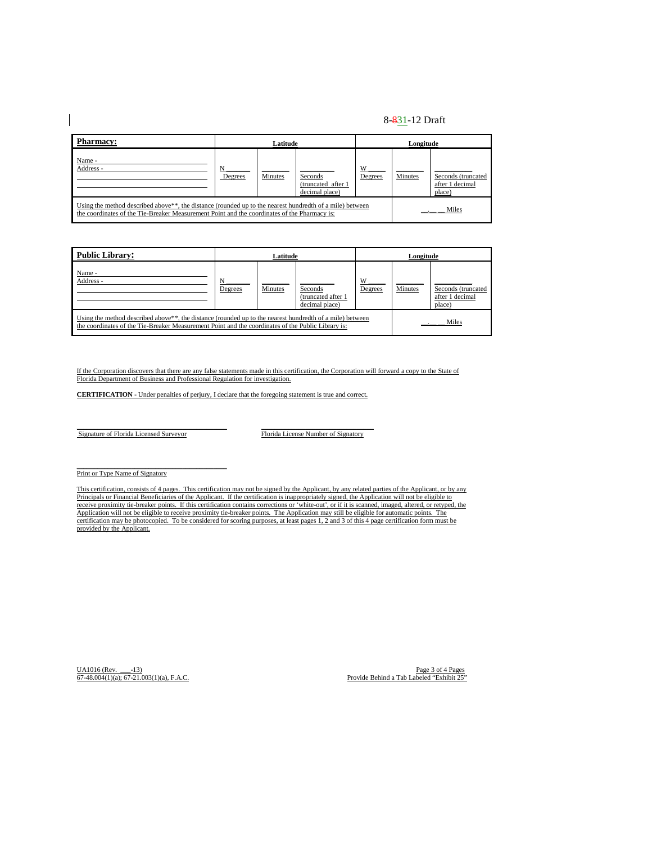| <b>Pharmacy:</b>                                                                                                                                                                                                               | Latitude |         |                                                 | Longitude    |         |                                                 |
|--------------------------------------------------------------------------------------------------------------------------------------------------------------------------------------------------------------------------------|----------|---------|-------------------------------------------------|--------------|---------|-------------------------------------------------|
| Name -<br>Address -                                                                                                                                                                                                            | Degrees  | Minutes | Seconds<br>(truncated after 1<br>decimal place) | W<br>Degrees | Minutes | Seconds (truncated<br>after 1 decimal<br>place) |
| Using the method described above <sup>**</sup> , the distance (rounded up to the nearest hundredth of a mile) between<br>Miles<br>the coordinates of the Tie-Breaker Measurement Point and the coordinates of the Pharmacy is: |          |         |                                                 |              |         |                                                 |

| <b>Public Library:</b>                                                                                                                                                                                                               | Latitude<br>Longitude |         |                                                 |              |         |                                                 |
|--------------------------------------------------------------------------------------------------------------------------------------------------------------------------------------------------------------------------------------|-----------------------|---------|-------------------------------------------------|--------------|---------|-------------------------------------------------|
| Name -<br>Address -                                                                                                                                                                                                                  | Degrees               | Minutes | Seconds<br>(truncated after 1<br>decimal place) | W<br>Degrees | Minutes | Seconds (truncated<br>after 1 decimal<br>place) |
| Using the method described above <sup>**</sup> , the distance (rounded up to the nearest hundredth of a mile) between<br>Miles<br>the coordinates of the Tie-Breaker Measurement Point and the coordinates of the Public Library is: |                       |         |                                                 |              |         |                                                 |

If the Corporation discovers that there are any false statements made in this certification, the Corporation will forward a copy to the State of Florida Department of Business and Professional Regulation for investigation.

**CERTIFICATION** - Under penalties of perjury, I declare that the foregoing statement is true and correct.

Signature of Florida Licensed Surveyor Florida License Number of Signatory

Print or Type Name of Signatory

This certification, consists of 4 pages. This certification may not be signed by the Applicant, by any related parties of the Applicant, or by any Principals or Financial Beneficiaries of the Applicant. If the certification is inappropriately signed, the Application will not be eligible to receive proximity tie-breaker points. If this certification contains corrections or 'white-out', or if it is scanned, imaged, altered, or retyped, the<br>Application will not be eligible to receive proximity tie-breaker point certification may be photocopied. To be considered for scoring purposes, at least pages 1, 2 and 3 of this 4 page certification form must be provided by the Applicant.

UA1016 (Rev. \_\_\_-13) Page 3 of 4 Pages 67-48.004(1)(a); 67-21.003(1)(a), F.A.C. Provide Behind a Tab Labeled "Exhibit 25"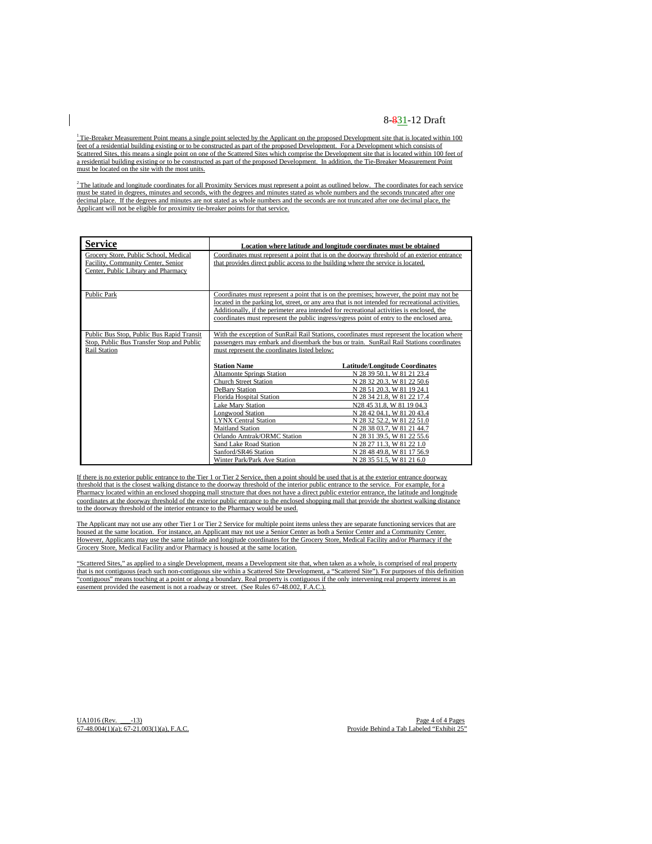$1$ <sup>1</sup> Tie-Breaker Measurement Point means a single point selected by the Applicant on the proposed Development site that is located within 100 feet of a residential building existing or to be constructed as part of the proposed Development. For a Development which consists of Scattered Sites, this means a single point on one of the Scattered Sites which comprise the Development site that is located within 100 feet of a residential building existing or to be constructed as part of the proposed Development. In addition, the Tie-Breaker Measurement Point must be located on the site with the most units.

 $2$ The latitude and longitude coordinates for all Proximity Services must represent a point as outlined below. The coordinates for each service must be stated in degrees, minutes and seconds, with the degrees and minutes stated as whole numbers and the seconds truncated after one decimal place. If the degrees and minutes are not stated as whole numbers and the seconds are not truncated after one decimal place, the Applicant will not be eligible for proximity tie-breaker points for that service.

| <b>Service</b>                                                            |                                                                                  | Location where latitude and longitude coordinates must be obtained                                |
|---------------------------------------------------------------------------|----------------------------------------------------------------------------------|---------------------------------------------------------------------------------------------------|
| Grocery Store, Public School, Medical                                     |                                                                                  | Coordinates must represent a point that is on the doorway threshold of an exterior entrance       |
| Facility, Community Center, Senior<br>Center, Public Library and Pharmacy | that provides direct public access to the building where the service is located. |                                                                                                   |
|                                                                           |                                                                                  |                                                                                                   |
|                                                                           |                                                                                  |                                                                                                   |
| Public Park                                                               |                                                                                  | Coordinates must represent a point that is on the premises; however, the point may not be         |
|                                                                           |                                                                                  | located in the parking lot, street, or any area that is not intended for recreational activities. |
|                                                                           |                                                                                  | Additionally, if the perimeter area intended for recreational activities is enclosed, the         |
|                                                                           |                                                                                  | coordinates must represent the public ingress/egress point of entry to the enclosed area.         |
| Public Bus Stop, Public Bus Rapid Transit                                 |                                                                                  | With the exception of SunRail Rail Stations, coordinates must represent the location where        |
| Stop, Public Bus Transfer Stop and Public                                 |                                                                                  | passengers may embark and disembark the bus or train. SunRail Rail Stations coordinates           |
| Rail Station                                                              | must represent the coordinates listed below:                                     |                                                                                                   |
|                                                                           | <b>Station Name</b>                                                              | <b>Latitude/Longitude Coordinates</b>                                                             |
|                                                                           | <b>Altamonte Springs Station</b>                                                 | N 28 39 50.1, W 81 21 23.4                                                                        |
|                                                                           | <b>Church Street Station</b>                                                     | N 28 32 20.3, W 81 22 50.6                                                                        |
|                                                                           | DeBary Station                                                                   | N 28 51 20.3, W 81 19 24.1                                                                        |
|                                                                           | Florida Hospital Station                                                         | N 28 34 21.8, W 81 22 17.4                                                                        |
|                                                                           | Lake Mary Station                                                                | N28 45 31.8, W 81 19 04.3                                                                         |
|                                                                           | <b>Longwood Station</b>                                                          | N 28 42 04.1, W 81 20 43.4                                                                        |
|                                                                           | <b>LYNX Central Station</b>                                                      | N 28 32 52.2, W 81 22 51.0                                                                        |
|                                                                           | <b>Maitland Station</b>                                                          | N 28 38 03.7, W 81 21 44.7                                                                        |
|                                                                           | Orlando Amtrak/ORMC Station                                                      | N 28 31 39.5, W 81 22 55.6                                                                        |
|                                                                           | Sand Lake Road Station                                                           | N 28 27 11.3, W 81 22 1.0                                                                         |
|                                                                           | Sanford/SR46 Station                                                             | N 28 48 49.8, W 81 17 56.9                                                                        |
|                                                                           | Winter Park/Park Ave Station                                                     | N 28 35 51.5, W 81 21 6.0                                                                         |

If there is no exterior public entrance to the Tier 1 or Tier 2 Service, then a point should be used that is at the exterior entrance doorway threshold that is the closest walking distance to the doorway threshold of the interior public entrance to the service. For example, for a Pharmacy located within an enclosed shopping mall structure that does not have a direct public exterior entrance, the latitude and longitude coordinates at the doorway threshold of the exterior public entrance to the enclosed shopping mall that provide the shortest walking distance to the doorway threshold of the interior entrance to the Pharmacy would be used.

The Applicant may not use any other Tier 1 or Tier 2 Service for multiple point items unless they are separate functioning services that are housed at the same location. For instance, an Applicant may not use a Senior Center as both a Senior Center and a Community Center. However, Applicants may use the same latitude and longitude coordinates for the Grocery Store, Medical Facility and/or Pharmacy if the Grocery Store, Medical Facility and/or Pharmacy is housed at the same location.

"Scattered Sites," as applied to a single Development, means a Development site that, when taken as a whole, is comprised of real property that is not contiguous (each such non-contiguous site within a Scattered Site Development, a "Scattered Site"). For purposes of this definition "contiguous" means touching at a point or along a boundary. Real property is contiguous if the only intervening real property interest is an easement provided the easement is not a roadway or street. (See Rules 67-48.002, F.A.C.).

UA1016 (Rev. -13)<br>  $\frac{Page 4 \text{ of } 4 \text{ Pages}}{67-48.004(1)(a), 67-21.003(1)(a), F.A.C.}$ <br>
Provide Behind a Tab Labeled "Exhibit 25"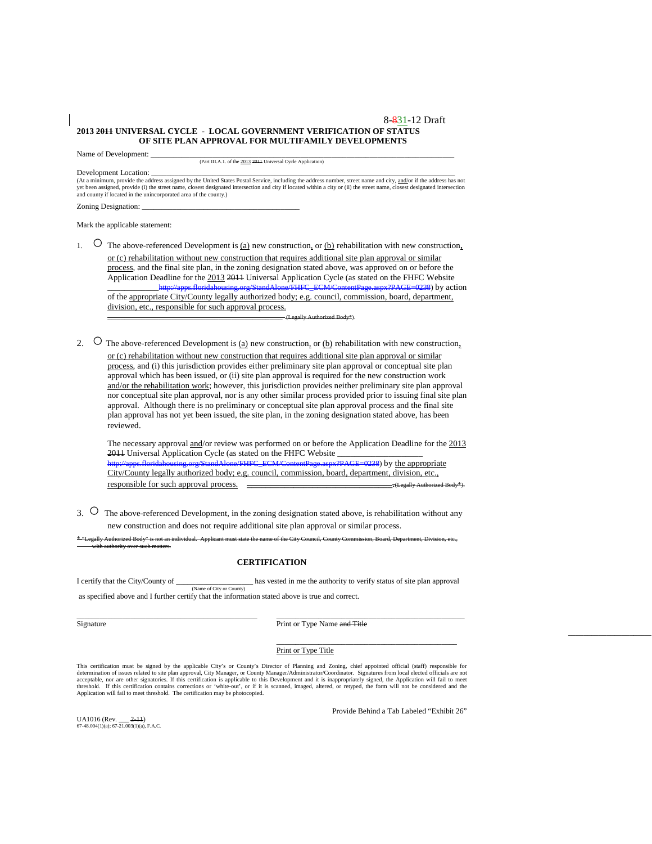#### 8-831-12 Draft **2013 2011 UNIVERSAL CYCLE - LOCAL GOVERNMENT VERIFICATION OF STATUS OF SITE PLAN APPROVAL FOR MULTIFAMILY DEVELOPMENTS**

Name of Development:

(Part III.A.1. of the 2013 2011 Universal Cycle Application)

Development Location:<br>(At a minimum, provide the address assigned by the United States Postal Service, including the address number, street name and city, and/or if the address has not yet been assigned, provide (i) the street name, closest designated intersection and city if located within a city or (ii) the street name, closest designated intersection<br>and county if located in the unincorporated area of

Zoning Designation:

Mark the applicable statement:

- 1.  $\circ$  The above-referenced Development is <u>(a)</u> new construction, or <u>(b)</u> rehabilitation with new construction, or (c) rehabilitation without new construction that requires additional site plan approval or similar process, and the final site plan, in the zoning designation stated above, was approved on or before the Application Deadline for the  $2013$  2011 Universal Application Cycle (as stated on the FHFC Website<br>http://anns.floridabousing.org/StandAlone/FHFC\_FCM/ContentPage.aspx?PAGE=0238) by act aspx?PAGE=0238) by action of the appropriate City/County legally authorized body; e.g. council, commission, board, department, division, etc., responsible for such approval process. \_\_\_\_\_\_\_\_\_\_\_\_\_\_\_\_\_\_\_\_\_\_\_\_\_\_\_\_\_\_\_\_\_\_\_\_\_\_\_\_\_ (Legally Authorized Body\*).
- 2.  $\circ$  The above-referenced Development is <u>(a)</u> new construction, or <u>(b)</u> rehabilitation with new construction, or (c) rehabilitation without new construction that requires additional site plan approval or similar process, and (i) this jurisdiction provides either preliminary site plan approval or conceptual site plan approval which has been issued, or (ii) site plan approval is required for the new construction work and/or the rehabilitation work; however, this jurisdiction provides neither preliminary site plan approval nor conceptual site plan approval, nor is any other similar process provided prior to issuing final site plan approval. Although there is no preliminary or conceptual site plan approval process and the final site plan approval has not yet been issued, the site plan, in the zoning designation stated above, has been reviewed.

The necessary approval and/or review was performed on or before the Application Deadline for the 2013 2011 Universal Application Cycle (as stated on the FHFC Website Luminian floridations in core/StandAlone/FHFC ECM/ContentPage.aspx? =0238) by the appropriate City/County legally authorized body; e.g. council, commission, board, department, division, etc., responsible for such approval process.  $\Box$ 

3. <sup>O</sup> The above-referenced Development, in the zoning designation stated above, is rehabilitation without any new construction and does not require additional site plan approval or similar process.

\* "Legally Authorized Body" is not an individual. Applicant must state the name of the City Council, County Commission, Board, Department, Division, etc.,

## **CERTIFICATION**

I certify that the City/County of  $\frac{N_{\text{Mme of City or County}}}{N_{\text{Mme of City or County}}}$  has vested in me the authority to verify status of site plan approval as specified above and I further certify that the information stated above is true and correct.

\_\_\_\_\_\_\_\_\_\_\_\_\_\_\_\_\_\_\_\_\_\_\_\_\_\_\_\_\_\_\_\_\_\_\_\_\_\_\_\_\_\_\_\_\_\_\_ \_\_\_\_\_\_\_\_\_\_\_\_\_\_\_\_\_\_\_\_\_\_\_\_\_\_\_\_\_\_\_\_\_\_\_\_\_\_\_\_\_\_\_\_\_\_\_\_\_

Signature Print or Type Name and Title

### Print or Type Title

This certification must be signed by the applicable City's or County's Director of Planning and Zoning, chief appointed official (staff) responsible for<br>determination of issues related to site plan approval, City Manager, acceptable, nor are other signatories. If this certification is applicable to this Development and it is inappropriately signed, the Application will fail to meet<br>threshold. If this certification contains corrections or 'w

Provide Behind a Tab Labeled "Exhibit 26"

\_\_\_\_\_\_\_\_\_\_\_\_\_\_\_\_\_\_\_\_\_\_\_\_\_\_\_\_\_\_\_\_\_\_\_\_\_\_\_\_\_\_\_\_\_\_\_

\_\_\_\_\_\_\_\_\_\_\_\_\_\_\_\_\_\_\_\_\_\_

UA1016 (Rev. \_\_\_ <del>2-11</del>)<br>67-48.004(1)(a); 67-21.003(1)(a), F.A.C.

with authority over such matters.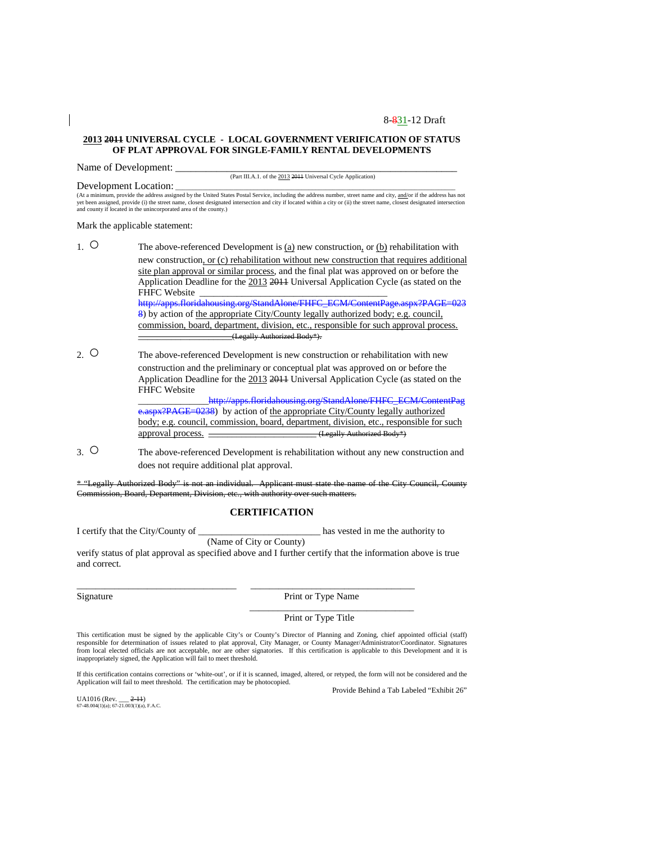# **2013 2011 UNIVERSAL CYCLE - LOCAL GOVERNMENT VERIFICATION OF STATUS OF PLAT APPROVAL FOR SINGLE-FAMILY RENTAL DEVELOPMENTS**

Name of Development:

(Part III.A.1. of the 2013 2011 Universal Cycle Application)

Development Location:

(At a minimum, provide the address assigned by the United States Postal Service, including the address number, street name and city, and/or if the address has not yet been assigned, provide (i) the street name, closest designated intersection and city if located within a city or (ii) the street name, closest designated intersection<br>and county if located in the unincorporated area of

Mark the applicable statement:

1.  $\circ$  The above-referenced Development is (a) new construction, or (b) rehabilitation with new construction, or (c) rehabilitation without new construction that requires additional site plan approval or similar process, and the final plat was approved on or before the Application Deadline for the 2013 2011 Universal Application Cycle (as stated on the FHFC Website [http://apps.floridahousing.org/StandAlone/FHFC\\_ECM/ContentPage.aspx?PAGE=023](http://apps.floridahousing.org/StandAlone/FHFC_ECM/ContentPage.aspx?PAGE=0238) [8\)](http://apps.floridahousing.org/StandAlone/FHFC_ECM/ContentPage.aspx?PAGE=0238) by action of the appropriate City/County legally authorized body; e.g. council, commission, board, department, division, etc., responsible for such approval process. \_\_\_\_\_\_\_\_\_\_\_\_\_\_\_\_\_\_\_\_(Legally Authorized Body\*).

2. O The above-referenced Development is new construction or rehabilitation with new construction and the preliminary or conceptual plat was approved on or before the Application Deadline for the 2013 2011 Universal Application Cycle (as stated on the FHFC Website

http://apps.floridahousing.org/StandAlone/FHFC\_ECM/ContentPag [e.aspx?PAGE=0238\)](http://apps.floridahousing.org/StandAlone/FHFC_ECM/ContentPage.aspx?PAGE=0238) by action of the appropriate City/County legally authorized body; e.g. council, commission, board, department, division, etc., responsible for such approval process. \_\_\_\_\_\_\_\_\_\_\_\_\_\_\_\_\_\_\_\_\_\_\_\_\_(Legally Authorized Body\*)

3. ○ The above-referenced Development is rehabilitation without any new construction and does not require additional plat approval.

\* "Legally Authorized Body" is not an individual. Applicant must state the name of the City Council, County Commission, Board, Department, Division, etc., with authority over such matters.

# **CERTIFICATION**

I certify that the City/County of \_\_\_\_\_\_\_\_\_\_\_\_\_\_\_\_\_\_\_\_\_\_\_\_\_\_ has vested in me the authority to (Name of City or County)

\_\_\_\_\_\_\_\_\_\_\_\_\_\_\_\_\_\_\_\_\_\_\_\_\_\_\_\_\_\_\_\_\_\_ \_\_\_\_\_\_\_\_\_\_\_\_\_\_\_\_\_\_\_\_\_\_\_\_\_\_\_\_\_\_\_\_\_\_\_

verify status of plat approval as specified above and I further certify that the information above is true and correct.

Signature Print or Type Name

Print or Type Title

\_\_\_\_\_\_\_\_\_\_\_\_\_\_\_\_\_\_\_\_\_\_\_\_\_\_\_\_\_\_\_\_\_\_\_

This certification must be signed by the applicable City's or County's Director of Planning and Zoning, chief appointed official (staff) responsible for determination of issues related to plat approval, City Manager, or County Manager/Administrator/Coordinator. Signatures<br>from local elected officials are not acceptable, nor are other signatories. If this ce inappropriately signed, the Application will fail to meet threshold.

If this certification contains corrections or 'white-out', or if it is scanned, imaged, altered, or retyped, the form will not be considered and the Application will fail to meet threshold. The certification may be photocopied.

UA1016 (Rev. \_\_\_ <del>2-11</del>)<br>67-48.004(1)(a); 67-21.003(1)(a), F.A.C.

Provide Behind a Tab Labeled "Exhibit 26"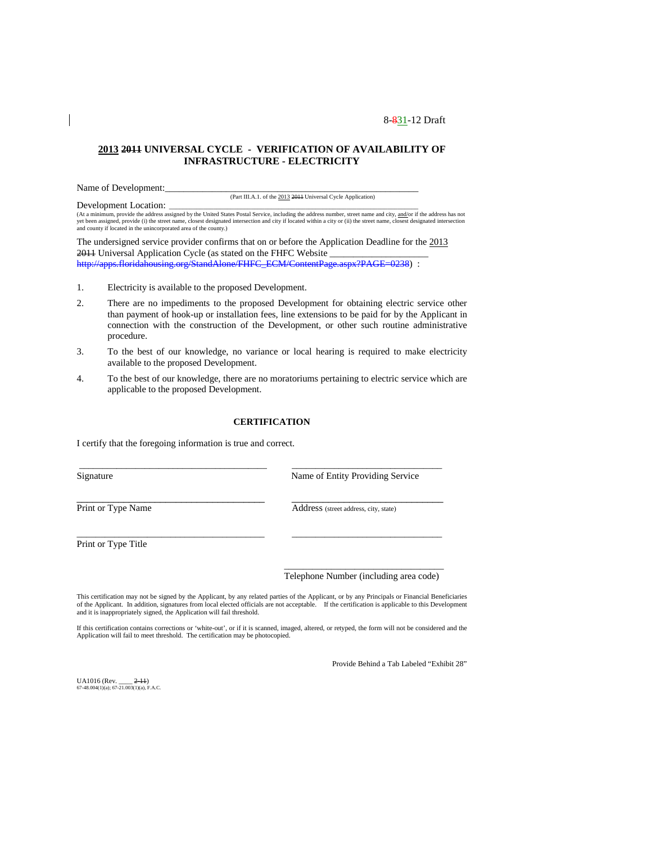# **2013 2011 UNIVERSAL CYCLE - VERIFICATION OF AVAILABILITY OF INFRASTRUCTURE - ELECTRICITY**

Name of Development:

(Part III.A.1. of the 2013 2011 Universal Cycle Application)

Development Location:<br>(At a minimum, provide the address assigned by the United States Postal Service, including the address number, street name and city, <u>and/</u>or if the address has not<br>yet been assigned, provide (i) the

The undersigned service provider confirms that on or before the Application Deadline for the 2013 2011 Universal Application Cycle (as stated on the FHFC Website [http://apps.floridahousing.org/StandAlone/FHFC\\_ECM/ContentPage.aspx?PAGE=0238\)](http://apps.floridahousing.org/StandAlone/FHFC_ECM/ContentPage.aspx?PAGE=0238) :

- 1. Electricity is available to the proposed Development.
- 2. There are no impediments to the proposed Development for obtaining electric service other than payment of hook-up or installation fees, line extensions to be paid for by the Applicant in connection with the construction of the Development, or other such routine administrative procedure.
- 3. To the best of our knowledge, no variance or local hearing is required to make electricity available to the proposed Development.
- 4. To the best of our knowledge, there are no moratoriums pertaining to electric service which are applicable to the proposed Development.

# **CERTIFICATION**

\_\_\_\_\_\_\_\_\_\_\_\_\_\_\_\_\_\_\_\_\_\_\_\_\_\_\_\_\_\_\_\_\_\_\_\_\_\_\_\_ \_\_\_\_\_\_\_\_\_\_\_\_\_\_\_\_\_\_\_\_\_\_\_\_\_\_\_\_\_\_\_\_

 $\_$  ,  $\_$  ,  $\_$  ,  $\_$  ,  $\_$  ,  $\_$  ,  $\_$  ,  $\_$  ,  $\_$  ,  $\_$  ,  $\_$  ,  $\_$  ,  $\_$  ,  $\_$  ,  $\_$  ,  $\_$  ,  $\_$  ,  $\_$  ,  $\_$ 

\_\_\_\_\_\_\_\_\_\_\_\_\_\_\_\_\_\_\_\_\_\_\_\_\_\_\_\_\_\_\_\_\_\_\_\_\_\_\_\_ \_\_\_\_\_\_\_\_\_\_\_\_\_\_\_\_\_\_\_\_\_\_\_\_\_\_\_\_\_\_\_\_

I certify that the foregoing information is true and correct.

Signature Name of Entity Providing Service

Print or Type Name Address (street address, city, state)

Print or Type Title

\_\_\_\_\_\_\_\_\_\_\_\_\_\_\_\_\_\_\_\_\_\_\_\_\_\_\_\_\_\_\_\_\_\_ Telephone Number (including area code)

This certification may not be signed by the Applicant, by any related parties of the Applicant, or by any Principals or Financial Beneficiaries of the Applicant. In addition, signatures from local elected officials are not acceptable. If the certification is applicable to this Development and it is inappropriately signed, the Application will fail threshold.

If this certification contains corrections or 'white-out', or if it is scanned, imaged, altered, or retyped, the form will not be considered and the Application will fail to meet threshold. The certification may be photocopied.

Provide Behind a Tab Labeled "Exhibit 28"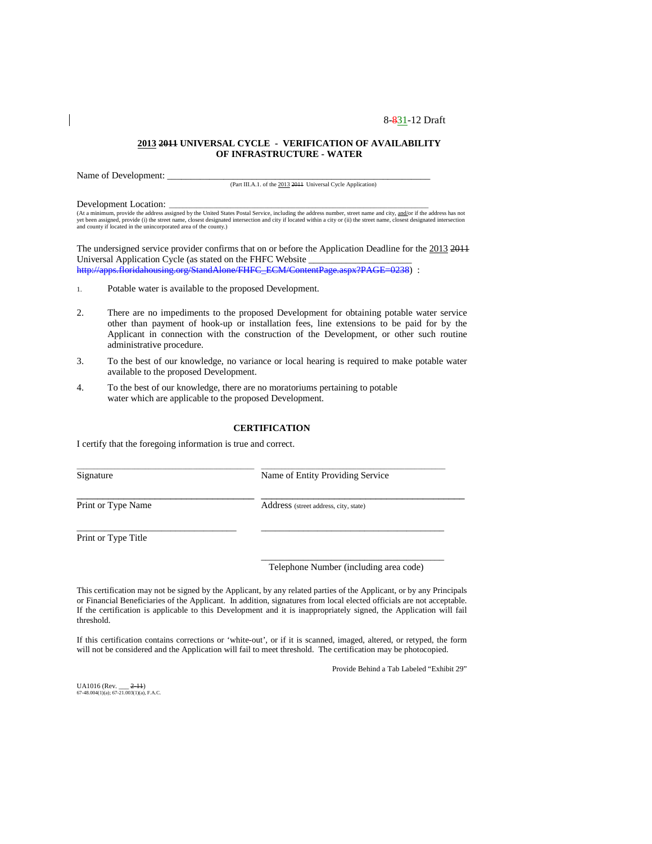## **2013 2011 UNIVERSAL CYCLE - VERIFICATION OF AVAILABILITY OF INFRASTRUCTURE - WATER**

Name of Development:

(Part III.A.1. of the 2013 2011 Universal Cycle Application)

Development Location:<br>(At a minimum, provide the address assigned by the United States Postal Service, including the address number, street name and city, <u>and/</u>or if the address has not<br>yet been assigned, provide (i) the

The undersigned service provider confirms that on or before the Application Deadline for the 2013 2011 Universal Application Cycle (as stated on the FHFC Website \_ [http://apps.floridahousing.org/StandAlone/FHFC\\_ECM/ContentPage.aspx?PAGE=0238\)](http://apps.floridahousing.org/StandAlone/FHFC_ECM/ContentPage.aspx?PAGE=0238) :

1. Potable water is available to the proposed Development.

- 2. There are no impediments to the proposed Development for obtaining potable water service other than payment of hook-up or installation fees, line extensions to be paid for by the Applicant in connection with the construction of the Development, or other such routine administrative procedure.
- 3. To the best of our knowledge, no variance or local hearing is required to make potable water available to the proposed Development.
- 4. To the best of our knowledge, there are no moratoriums pertaining to potable water which are applicable to the proposed Development.

# **CERTIFICATION**

\_\_\_\_\_\_\_\_\_\_\_\_\_\_\_\_\_\_\_\_\_\_\_\_\_\_\_\_\_\_\_\_\_\_\_\_\_\_\_\_\_\_\_\_\_\_\_\_\_\_\_\_ \_\_\_\_\_\_\_\_\_\_\_\_\_\_\_\_\_\_\_\_\_\_\_\_\_\_\_\_\_\_\_\_\_\_\_\_\_\_\_\_\_\_\_\_\_\_\_\_\_\_\_\_\_\_

\_\_\_\_\_\_\_\_\_\_\_\_\_\_\_\_\_\_\_\_\_\_\_\_\_\_\_\_\_\_\_\_\_\_ \_\_\_\_\_\_\_\_\_\_\_\_\_\_\_\_\_\_\_\_\_\_\_\_\_\_\_\_\_\_\_\_\_\_\_\_\_\_\_

\_\_\_\_\_\_\_\_\_\_\_\_\_\_\_\_\_\_\_\_\_\_\_\_\_\_\_\_\_\_\_\_\_\_ \_\_\_\_\_\_\_\_\_\_\_\_\_\_\_\_\_\_\_\_\_\_\_\_\_\_\_\_\_\_\_\_\_\_\_\_\_\_\_

I certify that the foregoing information is true and correct.

Signature Name of Entity Providing Service

Print or Type Name Address (street address, city, state)

Print or Type Title

\_\_\_\_\_\_\_\_\_\_\_\_\_\_\_\_\_\_\_\_\_\_\_\_\_\_\_\_\_\_\_\_\_\_\_\_\_\_\_ Telephone Number (including area code)

This certification may not be signed by the Applicant, by any related parties of the Applicant, or by any Principals or Financial Beneficiaries of the Applicant. In addition, signatures from local elected officials are not acceptable. If the certification is applicable to this Development and it is inappropriately signed, the Application will fail threshold.

If this certification contains corrections or 'white-out', or if it is scanned, imaged, altered, or retyped, the form will not be considered and the Application will fail to meet threshold. The certification may be photocopied.

Provide Behind a Tab Labeled "Exhibit 29"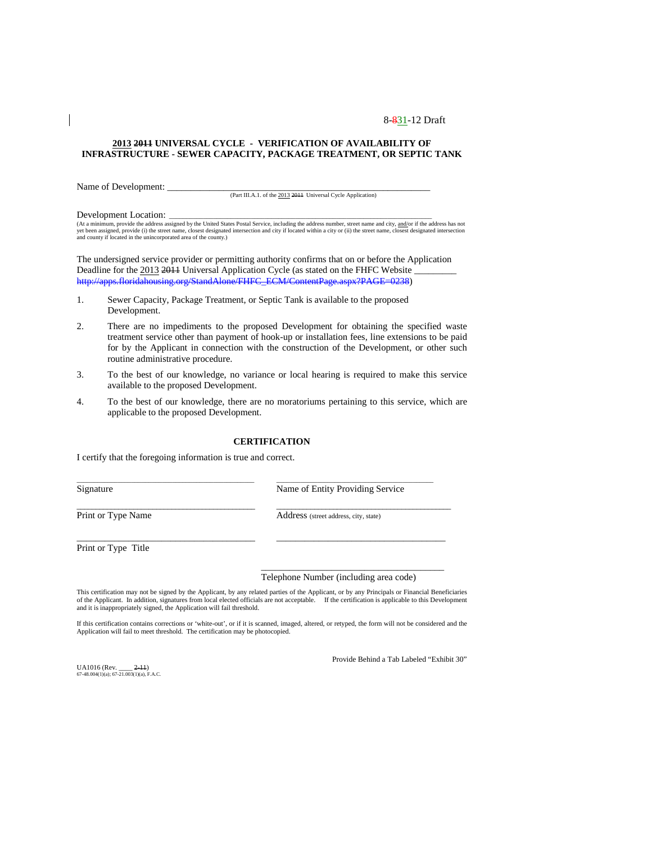## **2013 2011 UNIVERSAL CYCLE - VERIFICATION OF AVAILABILITY OF INFRASTRUCTURE - SEWER CAPACITY, PACKAGE TREATMENT, OR SEPTIC TANK**

Name of Development:

(Part III.A.1. of the 2013 2011 Universal Cycle Application)

Development Location:

(At a minimum, provide the address assigned by the United States Postal Service, including the address number, street name and city, and/or if the address has not<br>yet been assigned, provide (i) the street name, closest des and county if located in the unincorporated area of the county.)

The undersigned service provider or permitting authority confirms that on or before the Application Deadline for the 2013 2014 Universal Application Cycle (as stated on the FHFC Website [http://apps.floridahousing.org/StandAlone/FHFC\\_ECM/ContentPage.aspx?PAGE=0238\)](http://apps.floridahousing.org/StandAlone/FHFC_ECM/ContentPage.aspx?PAGE=0238)

- 1. Sewer Capacity, Package Treatment, or Septic Tank is available to the proposed Development.
- 2. There are no impediments to the proposed Development for obtaining the specified waste treatment service other than payment of hook-up or installation fees, line extensions to be paid for by the Applicant in connection with the construction of the Development, or other such routine administrative procedure.
- 3. To the best of our knowledge, no variance or local hearing is required to make this service available to the proposed Development.
- 4. To the best of our knowledge, there are no moratoriums pertaining to this service, which are applicable to the proposed Development.

# **CERTIFICATION**

\_\_\_\_\_\_\_\_\_\_\_\_\_\_\_\_\_\_\_\_\_\_\_\_\_\_\_\_\_\_\_\_\_\_\_\_\_\_\_\_\_\_\_\_\_\_\_\_\_\_\_\_ \_\_\_\_\_\_\_\_\_\_\_\_\_\_\_\_\_\_\_\_\_\_\_\_\_\_\_\_\_\_\_\_\_\_\_\_\_\_\_\_\_\_\_\_\_\_

 $\_$  ,  $\_$  ,  $\_$  ,  $\_$  ,  $\_$  ,  $\_$  ,  $\_$  ,  $\_$  ,  $\_$  ,  $\_$  ,  $\_$  ,  $\_$  ,  $\_$  ,  $\_$  ,  $\_$  ,  $\_$  ,  $\_$  ,  $\_$  ,  $\_$ 

\_\_\_\_\_\_\_\_\_\_\_\_\_\_\_\_\_\_\_\_\_\_\_\_\_\_\_\_\_\_\_\_\_\_\_\_\_\_ \_\_\_\_\_\_\_\_\_\_\_\_\_\_\_\_\_\_\_\_\_\_\_\_\_\_\_\_\_\_\_\_\_\_\_\_

I certify that the foregoing information is true and correct.

Signature Name of Entity Providing Service

Print or Type Name Address (street address, city, state)

Print or Type Title

Telephone Number (including area code)

\_\_\_\_\_\_\_\_\_\_\_\_\_\_\_\_\_\_\_\_\_\_\_\_\_\_\_\_\_\_\_\_\_\_\_\_\_\_\_

This certification may not be signed by the Applicant, by any related parties of the Applicant, or by any Principals or Financial Beneficiaries<br>of the Applicant. In addition, signatures from local elected officials are not and it is inappropriately signed, the Application will fail threshold.

If this certification contains corrections or 'white-out', or if it is scanned, imaged, altered, or retyped, the form will not be considered and the Application will fail to meet threshold. The certification may be photocopied.

Provide Behind a Tab Labeled "Exhibit 30"

UA1016 (Rev. \_\_\_\_ 2-11)  $67-48.004(1)(a)$ ;  $67-21.003(1)(a)$ , F.A.C.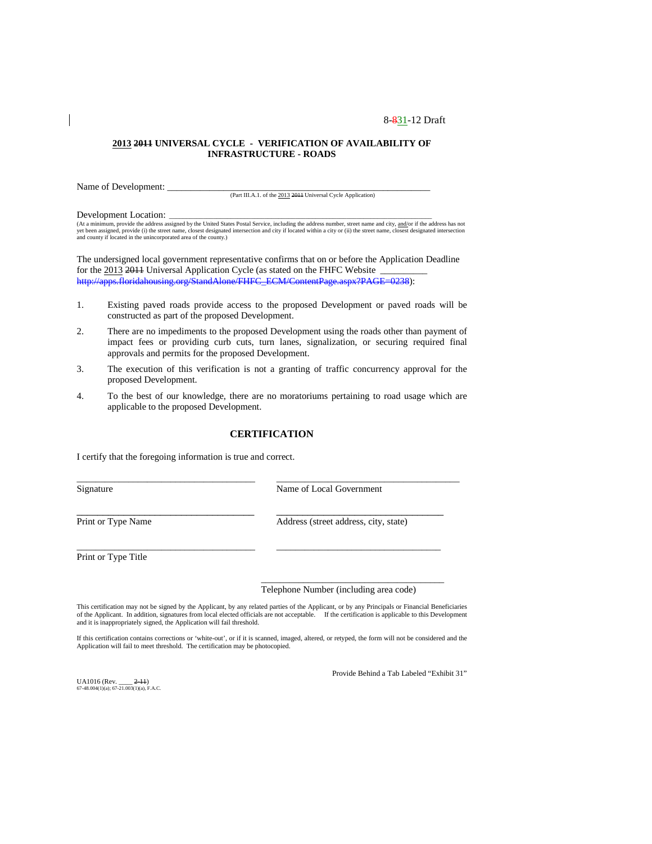# **2013 2011 UNIVERSAL CYCLE - VERIFICATION OF AVAILABILITY OF INFRASTRUCTURE - ROADS**

Name of Development:

(Part III.A.1. of the 2013 2011 Universal Cycle Application)

Development Location:

(At a minimum, provide the address assigned by the United States Postal Service, including the address number, street name and city, and/or if the address has not<br>yet been assigned, provide (i) the street name, closest des and county if located in the unincorporated area of the county.)

The undersigned local government representative confirms that on or before the Application Deadline for the 2013 2011 Universal Application Cycle (as stated on the FHFC Website [http://apps.floridahousing.org/StandAlone/FHFC\\_ECM/ContentPage.aspx?PAGE=0238\)](http://apps.floridahousing.org/StandAlone/FHFC_ECM/ContentPage.aspx?PAGE=0238):

- 1. Existing paved roads provide access to the proposed Development or paved roads will be constructed as part of the proposed Development.
- 2. There are no impediments to the proposed Development using the roads other than payment of impact fees or providing curb cuts, turn lanes, signalization, or securing required final approvals and permits for the proposed Development.
- 3. The execution of this verification is not a granting of traffic concurrency approval for the proposed Development.
- 4. To the best of our knowledge, there are no moratoriums pertaining to road usage which are applicable to the proposed Development.

# **CERTIFICATION**

\_\_\_\_\_\_\_\_\_\_\_\_\_\_\_\_\_\_\_\_\_\_\_\_\_\_\_\_\_\_\_\_\_\_\_\_\_\_ \_\_\_\_\_\_\_\_\_\_\_\_\_\_\_\_\_\_\_\_\_\_\_\_\_\_\_\_\_\_\_\_\_\_\_\_\_\_\_

\_\_\_\_\_\_\_\_\_\_\_\_\_\_\_\_\_\_\_\_\_\_\_\_\_\_\_\_\_\_\_\_\_\_\_\_\_\_ \_\_\_\_\_\_\_\_\_\_\_\_\_\_\_\_\_\_\_\_\_\_\_\_\_\_\_\_\_\_\_\_\_\_\_

I certify that the foregoing information is true and correct.

Signature Name of Local Government

\_\_\_\_\_\_\_\_\_\_\_\_\_\_\_\_\_\_\_\_\_\_\_\_\_\_\_\_\_\_\_\_\_\_ \_\_\_\_\_\_\_\_\_\_\_\_\_\_\_\_\_\_\_\_\_\_\_\_\_\_\_\_\_\_\_\_ Print or Type Name Address (street address, city, state)

Print or Type Title

#### Telephone Number (including area code)

\_\_\_\_\_\_\_\_\_\_\_\_\_\_\_\_\_\_\_\_\_\_\_\_\_\_\_\_\_\_\_\_\_\_\_\_\_\_\_

This certification may not be signed by the Applicant, by any related parties of the Applicant, or by any Principals or Financial Beneficiaries of the Applicant. In addition, signatures from local elected officials are not acceptable. If the certification is applicable to this Development and it is inappropriately signed, the Application will fail threshold.

If this certification contains corrections or 'white-out', or if it is scanned, imaged, altered, or retyped, the form will not be considered and the Application will fail to meet threshold. The certification may be photocopied.

UA1016 (Rev. \_\_\_\_ <del>2-11</del>)<br>67-48.004(1)(a); 67-21.003(1)(a), F.A.C.

Provide Behind a Tab Labeled "Exhibit 31"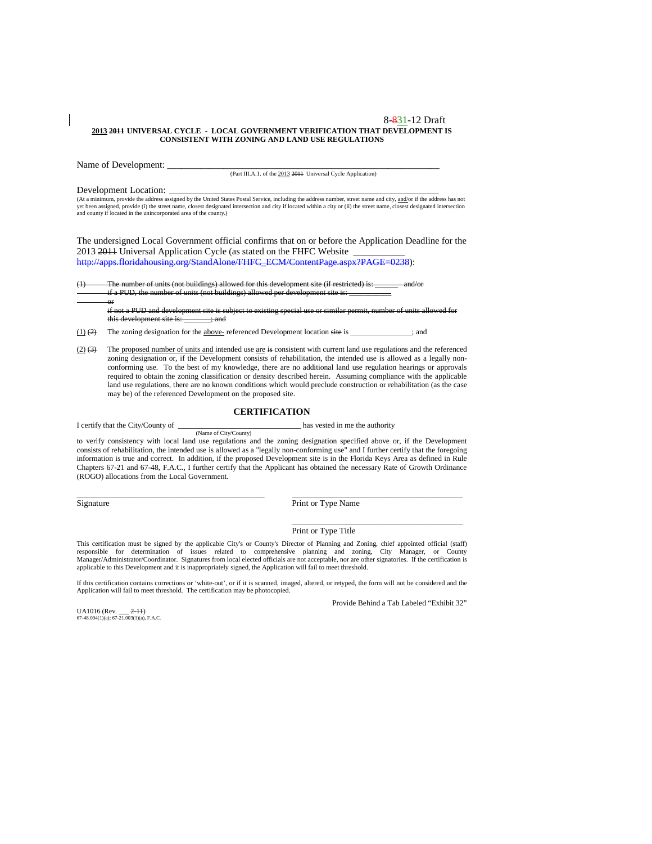#### 8-831-12 Draft **2013 2011 UNIVERSAL CYCLE - LOCAL GOVERNMENT VERIFICATION THAT DEVELOPMENT IS CONSISTENT WITH ZONING AND LAND USE REGULATIONS**

Name of Development: \_\_\_\_\_\_\_\_\_\_\_\_\_\_\_\_\_\_\_\_\_\_\_\_\_\_\_\_\_\_\_\_\_\_\_\_\_\_\_\_\_\_\_\_\_\_\_\_\_\_\_\_\_\_\_\_\_\_

(Part III.A.1. of the 2013 2011 Universal Cycle Application)

or

**Development Location:**<br>(At a minimum, provide the address assigned by the United States Postal Service, including the address number, street name and city, <u>and/</u>or if the address has not<br>yet been assigned, provide (i) th and county if located in the unincorporated area of the county.)

The undersigned Local Government official confirms that on or before the Application Deadline for the 2013 2014 Universal Application Cycle (as stated on the FHFC Website

[http://apps.floridahousing.org/StandAlone/FHFC\\_ECM/ContentPage.aspx?PAGE=0238\)](http://apps.floridahousing.org/StandAlone/FHFC_ECM/ContentPage.aspx?PAGE=0238):

The number of units (not buildings) allowed for this development site (if restricted) is: if a PUD, the number of units (not buildings) allowed per development site is:

if not a PUD and development site is subject to existing special use or similar permit, number of units allowed for this development site is: \_\_\_\_\_\_\_; and

 $(1)$   $(2)$  The zoning designation for the above-referenced Development location site is \_\_\_\_\_\_\_\_\_\_\_; and

(2)  $(3)$  The proposed number of units and intended use are is consistent with current land use regulations and the referenced zoning designation or, if the Development consists of rehabilitation, the intended use is allowed as a legally nonconforming use. To the best of my knowledge, there are no additional land use regulation hearings or approvals required to obtain the zoning classification or density described herein. Assuming compliance with the applicable land use regulations, there are no known conditions which would preclude construction or rehabilitation (as the case may be) of the referenced Development on the proposed site.

# **CERTIFICATION**

I certify that the City/County of  $\qquad$  has vested in me the authority (Name of City/County)

to verify consistency with local land use regulations and the zoning designation specified above or, if the Development consists of rehabilitation, the intended use is allowed as a "legally non-conforming use" and I further certify that the foregoing information is true and correct. In addition, if the proposed Development site is in the Florida Keys Area as defined in Rule Chapters 67-21 and 67-48, F.A.C., I further certify that the Applicant has obtained the necessary Rate of Growth Ordinance (ROGO) allocations from the Local Government.

\_\_\_\_\_\_\_\_\_\_\_\_\_\_\_\_\_\_\_\_\_\_\_\_\_\_\_\_\_\_\_\_\_\_\_\_\_\_\_\_\_\_\_\_ \_\_\_\_\_\_\_\_\_\_\_\_\_\_\_\_\_\_\_\_\_\_\_\_\_\_\_\_\_\_\_\_\_\_\_\_\_\_\_\_

Signature Print or Type Name

#### Print or Type Title

This certification must be signed by the applicable City's or County's Director of Planning and Zoning, chief appointed official (staff) responsible for determination of issues related to comprehensive planning and zoning, City Manager, or County Manager/Administrator/Coordinator. Signatures from local elected officials are not acceptable, nor are other signatories. If the certification is applicable to this Development and it is inappropriately signed, the Application will fail to meet threshold.

If this certification contains corrections or 'white-out', or if it is scanned, imaged, altered, or retyped, the form will not be considered and the Application will fail to meet threshold. The certification may be photocopied.

Provide Behind a Tab Labeled "Exhibit 32"

\_\_\_\_\_\_\_\_\_\_\_\_\_\_\_\_\_\_\_\_\_\_\_\_\_\_\_\_\_\_\_\_\_\_\_\_\_\_\_\_

 $UA1016$  (Rev.  $2-11$ )  $67-48.004(1)(a)$ ;  $67-21.003(1)(a)$ , F.A.C.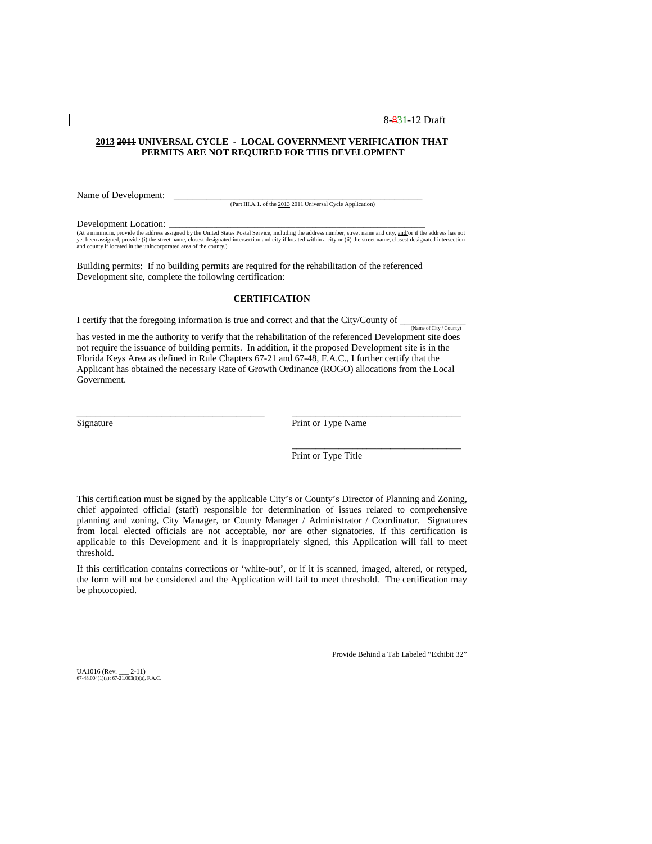# **2013 2011 UNIVERSAL CYCLE - LOCAL GOVERNMENT VERIFICATION THAT PERMITS ARE NOT REQUIRED FOR THIS DEVELOPMENT**

Name of Development: \_

(Part III.A.1. of the 2013 2011 Universal Cycle Application)

Development Location: \_

(At a minimum, provide the address assigned by the United States Postal Service, including the address number, street name and city, and/or if the address has not<br>yet been assigned, provide (i) the street name, closest des and county if located in the unincorporated area of the county.)

Building permits: If no building permits are required for the rehabilitation of the referenced Development site, complete the following certification:

# **CERTIFICATION**

I certify that the foregoing information is true and correct and that the City/County of  $\frac{N_{\text{dimer of City}/\text{Country}}}{N_{\text{dimer of City}/\text{Country}}}$ 

has vested in me the authority to verify that the rehabilitation of the referenced Development site does not require the issuance of building permits. In addition, if the proposed Development site is in the Florida Keys Area as defined in Rule Chapters 67-21 and 67-48, F.A.C., I further certify that the Applicant has obtained the necessary Rate of Growth Ordinance (ROGO) allocations from the Local Government.

\_\_\_\_\_\_\_\_\_\_\_\_\_\_\_\_\_\_\_\_\_\_\_\_\_\_\_\_\_\_\_\_\_\_\_\_\_\_\_\_ \_\_\_\_\_\_\_\_\_\_\_\_\_\_\_\_\_\_\_\_\_\_\_\_\_\_\_\_\_\_\_\_\_\_\_\_

Signature Print or Type Name

Print or Type Title

\_\_\_\_\_\_\_\_\_\_\_\_\_\_\_\_\_\_\_\_\_\_\_\_\_\_\_\_\_\_\_\_\_\_\_\_

This certification must be signed by the applicable City's or County's Director of Planning and Zoning, chief appointed official (staff) responsible for determination of issues related to comprehensive planning and zoning, City Manager, or County Manager / Administrator / Coordinator. Signatures from local elected officials are not acceptable, nor are other signatories. If this certification is applicable to this Development and it is inappropriately signed, this Application will fail to meet threshold.

If this certification contains corrections or 'white-out', or if it is scanned, imaged, altered, or retyped, the form will not be considered and the Application will fail to meet threshold. The certification may be photocopied.

Provide Behind a Tab Labeled "Exhibit 32"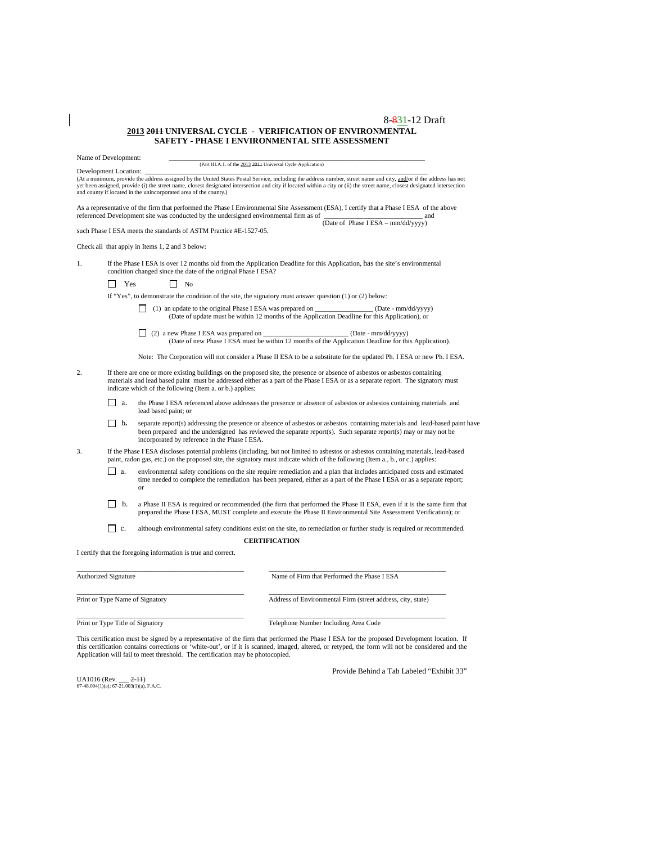#### 8-831-12 Draft **2013 2011 UNIVERSAL CYCLE - VERIFICATION OF ENVIRONMENTAL SAFETY - PHASE I ENVIRONMENTAL SITE ASSESSMENT**

Name of Development:

(Part III.A.1. of the 2013 2011 Universal Cycle Application)

Development Location:<br>(At a minimum, provide the address assigned by the United States Postal Service, including the address number, street name and city, <u>and/</u>or if the address has not yet been assigned, provide (i) the street name, closest designated intersection and city if located within a city or (ii) the street name, closest designated intersection<br>and county if located in the unincorporated area of

As a representative of the firm that performed the Phase I Environmental Site Assessment (ESA), I certify that a Phase I ESA of the above referenced Development site was conducted by the undersigned environmental firm as of  $\frac{1}{(Date of Phase IESA - \text{mm}/dd/yyyy)}$ 

such Phase I ESA meets the standards of ASTM Practice #E-1527-05.

Check all that apply in Items 1, 2 and 3 below:

1. If the Phase I ESA is over 12 months old from the Application Deadline for this Application, has the site's environmental condition changed since the date of the original Phase I ESA?

No Yes No

If "Yes", to demonstrate the condition of the site, the signatory must answer question (1) or (2) below:

- (1) an update to the original Phase I ESA was prepared on \_\_\_\_\_\_\_\_\_\_\_\_\_\_\_\_\_ (Date mm/dd/yyyy) (Date of update must be within 12 months of the Application Deadline for this Application), or
- (2) a new Phase I ESA was prepared on \_\_\_\_\_\_\_\_\_\_\_\_\_\_\_\_\_\_\_\_\_\_\_\_\_ (Date mm/dd/yyyy) (Date of new Phase I ESA must be within 12 months of the Application Deadline for this Application).

Note: The Corporation will not consider a Phase II ESA to be a substitute for the updated Ph. I ESA or new Ph. I ESA.

- 2. If there are one or more existing buildings on the proposed site, the presence or absence of asbestos or asbestos containing<br>materials and lead based paint must be addressed either as a part of the Phase I ESA or as a s indicate which of the following (Item a. or b.) applies:
	- a. the Phase I ESA referenced above addresses the presence or absence of asbestos or asbestos containing materials and lead based paint; or
	- **b.** separate report(s) addressing the presence or absence of asbestos or asbestos containing materials and lead-based paint have been prepared and the undersigned has reviewed the separate report(s). Such separate report(s) may or may not be incorporated by reference in the Phase I ESA.

3. If the Phase I ESA discloses potential problems (including, but not limited to asbestos or asbestos containing materials, lead-based paint, radon gas, etc.) on the proposed site, the signatory must indicate which of the

- a. environmental safety conditions on the site require remediation and a plan that includes anticipated costs and estimated time needed to complete the remediation has been prepared, either as a part of the Phase I ESA or as a separate report; or
- b. a Phase II ESA is required or recommended (the firm that performed the Phase II ESA, even if it is the same firm that prepared the Phase I ESA, MUST complete and execute the Phase II Environmental Site Assessment Verification); or

 $\Box$  c. although environmental safety conditions exist on the site, no remediation or further study is required or recommended. **CERTIFICATION**

I certify that the foregoing information is true and correct.

| <b>Authorized Signature</b>      | Name of Firm that Performed the Phase I ESA                 |
|----------------------------------|-------------------------------------------------------------|
| Print or Type Name of Signatory  | Address of Environmental Firm (street address, city, state) |
| Print or Type Title of Signatory | Telephone Number Including Area Code                        |

This certification must be signed by a representative of the firm that performed the Phase I ESA for the proposed Development location.If this certification contains corrections or 'white-out', or if it is scanned, imaged, altered, or retyped, the form will not be considered and the Application will fail to meet threshold. The certification may be photocopied.

UA1016 (Rev. \_\_\_ <del>2-11</del>)<br>67-48.004(1)(a); 67-21.003(1)(a), F.A.C.

Provide Behind a Tab Labeled "Exhibit 33"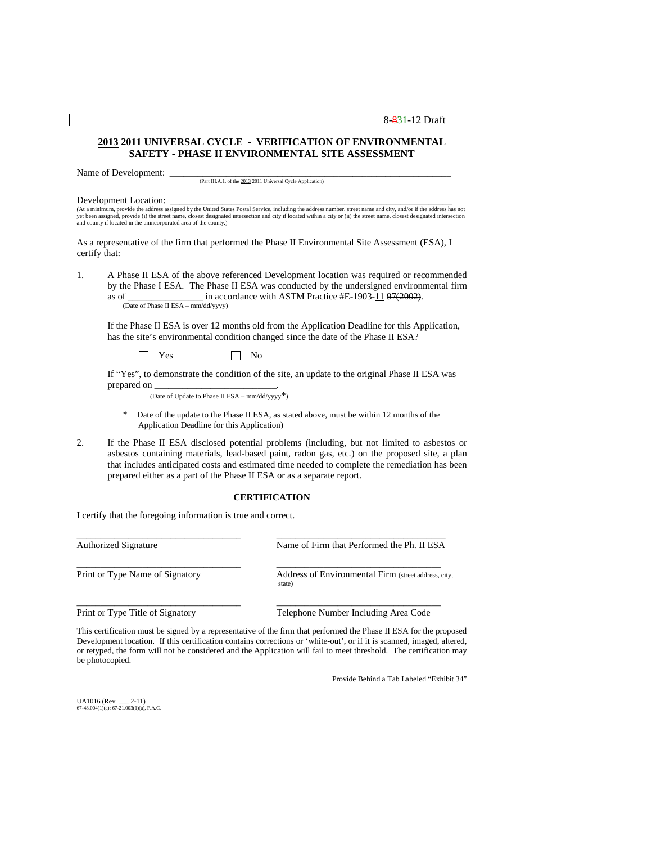# **2013 2011 UNIVERSAL CYCLE - VERIFICATION OF ENVIRONMENTAL SAFETY - PHASE II ENVIRONMENTAL SITE ASSESSMENT**

Name of Development:

(Part III.A.1. of the 2013 2011 Universal Cycle Application)

Development Location:<br>(At a minimum, provide the address assigned by the United States Postal Service, including the address number, street name and city, and/or if the address has not<br>yet been assigned, provide (i) the st

As a representative of the firm that performed the Phase II Environmental Site Assessment (ESA), I certify that:

1. A Phase II ESA of the above referenced Development location was required or recommended by the Phase I ESA. The Phase II ESA was conducted by the undersigned environmental firm as of  $\frac{1}{2}$  in accordance with ASTM Practice #E-1903-11 97(2002).

(Date of Phase II ESA – mm/dd/yyyy)

If the Phase II ESA is over 12 months old from the Application Deadline for this Application, has the site's environmental condition changed since the date of the Phase II ESA?

 $\Box$  Yes  $\Box$  No

If "Yes", to demonstrate the condition of the site, an update to the original Phase II ESA was prepared on

(Date of Update to Phase II ESA – mm/dd/yyyy\*)

- \* Date of the update to the Phase II ESA, as stated above, must be within 12 months of the Application Deadline for this Application)
- 2. If the Phase II ESA disclosed potential problems (including, but not limited to asbestos or asbestos containing materials, lead-based paint, radon gas, etc.) on the proposed site, a plan that includes anticipated costs and estimated time needed to complete the remediation has been prepared either as a part of the Phase II ESA or as a separate report.

# **CERTIFICATION**

I certify that the foregoing information is true and correct.

\_\_\_\_\_\_\_\_\_\_\_\_\_\_\_\_\_\_\_\_\_\_\_\_\_\_\_\_\_\_\_\_\_\_\_ \_\_\_\_\_\_\_\_\_\_\_\_\_\_\_\_\_\_\_\_\_\_\_\_\_\_\_\_\_\_\_\_\_\_\_\_ Authorized Signature Name of Firm that Performed the Ph. II ESA \_\_\_\_\_\_\_\_\_\_\_\_\_\_\_\_\_\_\_\_\_\_\_\_\_\_\_\_\_\_\_\_\_\_\_ \_\_\_\_\_\_\_\_\_\_\_\_\_\_\_\_\_\_\_\_\_\_\_\_\_\_\_\_\_\_\_\_\_\_\_ Print or Type Name of Signatory Address of Environmental Firm (street address, city, state) \_\_\_\_\_\_\_\_\_\_\_\_\_\_\_\_\_\_\_\_\_\_\_\_\_\_\_\_\_\_\_\_\_\_\_ \_\_\_\_\_\_\_\_\_\_\_\_\_\_\_\_\_\_\_\_\_\_\_\_\_\_\_\_\_\_\_\_\_\_\_ Print or Type Title of Signatory Telephone Number Including Area Code

This certification must be signed by a representative of the firm that performed the Phase II ESA for the proposed Development location.If this certification contains corrections or 'white-out', or if it is scanned, imaged, altered, or retyped, the form will not be considered and the Application will fail to meet threshold. The certification may be photocopied.

Provide Behind a Tab Labeled "Exhibit 34"

 $UA1016$  (Rev.  $2-11$ )  $67-48.004(1)(a)$ ;  $67-21.003(1)(a)$ , F.A.C.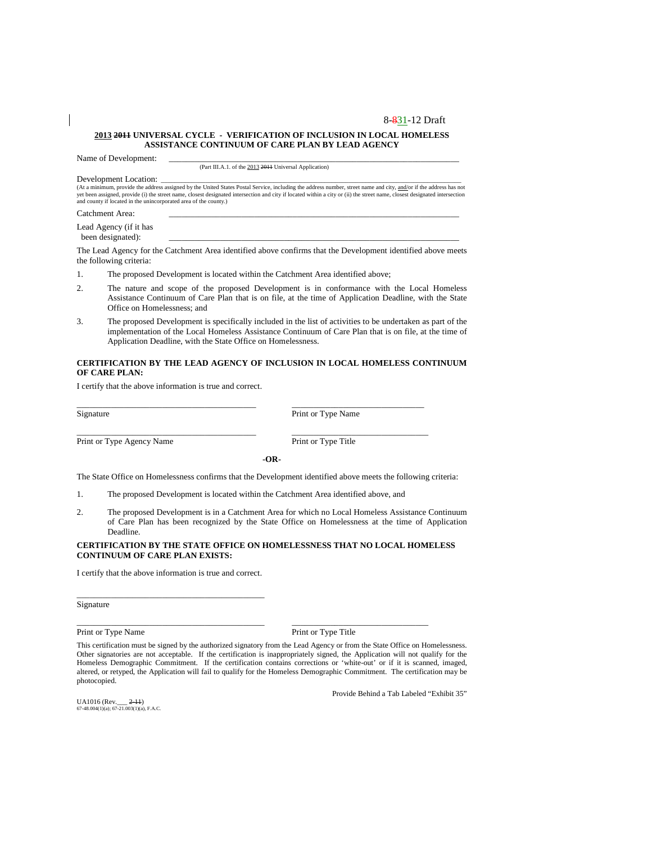# **2013 2011 UNIVERSAL CYCLE - VERIFICATION OF INCLUSION IN LOCAL HOMELESS ASSISTANCE CONTINUUM OF CARE PLAN BY LEAD AGENCY**

Name of Development:

(Part III.A.1. of the 2013 2011 Universal Application)

Development Location:<br>(At a minimum, provide the address assigned by the United States Postal Service, including the address number, street name and city, <u>and/</u>or if the address has not<br>yet been assigned, provide (i) the

Catchment Area:

Lead Agency (if it has been designated):

The Lead Agency for the Catchment Area identified above confirms that the Development identified above meets the following criteria:

- 1. The proposed Development is located within the Catchment Area identified above;
- 2. The nature and scope of the proposed Development is in conformance with the Local Homeless Assistance Continuum of Care Plan that is on file, at the time of Application Deadline, with the State Office on Homelessness; and
- 3. The proposed Development is specifically included in the list of activities to be undertaken as part of the implementation of the Local Homeless Assistance Continuum of Care Plan that is on file, at the time of Application Deadline, with the State Office on Homelessness.

## **CERTIFICATION BY THE LEAD AGENCY OF INCLUSION IN LOCAL HOMELESS CONTINUUM OF CARE PLAN:**

I certify that the above information is true and correct.

Signature Print or Type Name

Print or Type Agency Name Print or Type Title

\_\_\_\_\_\_\_\_\_\_\_\_\_\_\_\_\_\_\_\_\_\_\_\_\_\_\_\_\_\_\_\_\_\_\_\_\_\_\_\_\_\_ \_\_\_\_\_\_\_\_\_\_\_\_\_\_\_\_\_\_\_\_\_\_\_\_\_\_\_\_\_\_\_\_

**-OR-**

The State Office on Homelessness confirms that the Development identified above meets the following criteria:

1. The proposed Development is located within the Catchment Area identified above, and

\_\_\_\_\_\_\_\_\_\_\_\_\_\_\_\_\_\_\_\_\_\_\_\_\_\_\_\_\_\_\_\_\_\_\_\_\_\_\_\_\_\_ \_\_\_\_\_\_\_\_\_\_\_\_\_\_\_\_\_\_\_\_\_\_\_\_\_\_\_\_\_\_\_

2. The proposed Development is in a Catchment Area for which no Local Homeless Assistance Continuum of Care Plan has been recognized by the State Office on Homelessness at the time of Application Deadline.

#### **CERTIFICATION BY THE STATE OFFICE ON HOMELESSNESS THAT NO LOCAL HOMELESS CONTINUUM OF CARE PLAN EXISTS:**

I certify that the above information is true and correct. \_\_\_\_\_\_\_\_\_\_\_\_\_\_\_\_\_\_\_\_\_\_\_\_\_\_\_\_\_\_\_\_\_\_\_\_\_\_\_\_\_\_\_\_

Signature

Print or Type Name Print or Type Title

This certification must be signed by the authorized signatory from the Lead Agency or from the State Office on Homelessness. Other signatories are not acceptable. If the certification is inappropriately signed, the Application will not qualify for the Homeless Demographic Commitment. If the certification contains corrections or 'white-out' or if it is scanned, imaged, altered, or retyped, the Application will fail to qualify for the Homeless Demographic Commitment. The certification may be photocopied.

\_\_\_\_\_\_\_\_\_\_\_\_\_\_\_\_\_\_\_\_\_\_\_\_\_\_\_\_\_\_\_\_\_\_\_\_\_\_\_\_\_\_\_\_ \_\_\_\_\_\_\_\_\_\_\_\_\_\_\_\_\_\_\_\_\_\_\_\_\_\_\_\_\_\_\_\_

Provide Behind a Tab Labeled "Exhibit 35"

8-831-12 Draft

UA1016 (Rev.\_\_\_ 2-11)  $67-48.004(1)(a)$ ;  $67-21.003(1)(a)$ , F.A.C.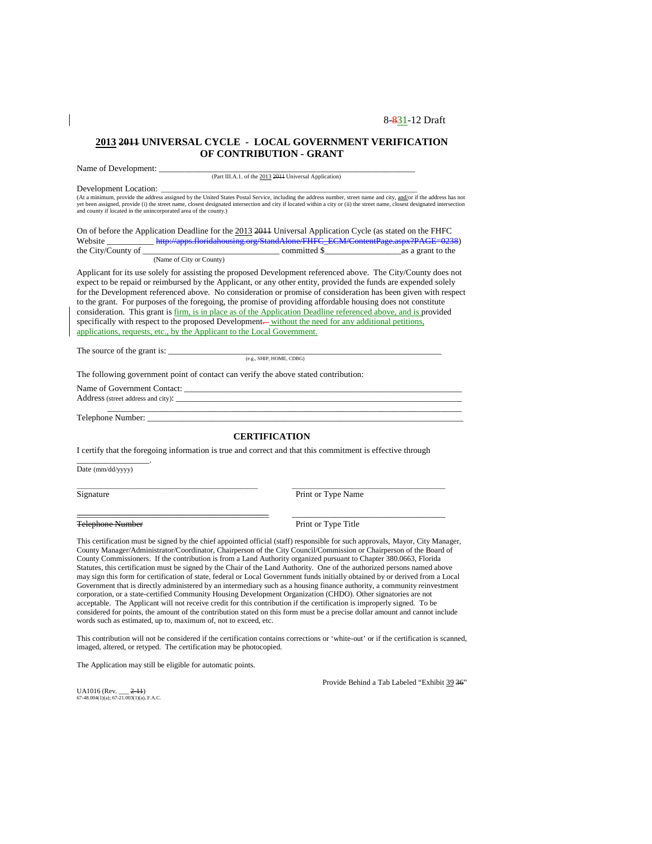# **2013 2011 UNIVERSAL CYCLE - LOCAL GOVERNMENT VERIFICATION OF CONTRIBUTION - GRANT**

|                                                                                     | (Part III.A.1. of the 2013 2011 Universal Application)                                                                                                                                                                                                                                                                                                                                                                                                                                                                                                                                                                                                                                         |  |
|-------------------------------------------------------------------------------------|------------------------------------------------------------------------------------------------------------------------------------------------------------------------------------------------------------------------------------------------------------------------------------------------------------------------------------------------------------------------------------------------------------------------------------------------------------------------------------------------------------------------------------------------------------------------------------------------------------------------------------------------------------------------------------------------|--|
| and county if located in the unincorporated area of the county.)                    | (At a minimum, provide the address assigned by the United States Postal Service, including the address number, street name and city, and/or if the address has not<br>yet been assigned, provide (i) the street name, closest designated intersection and city if located within a city or (ii) the street name, closest designated intersection                                                                                                                                                                                                                                                                                                                                               |  |
|                                                                                     | On of before the Application Deadline for the 2013 2011 Universal Application Cycle (as stated on the FHFC                                                                                                                                                                                                                                                                                                                                                                                                                                                                                                                                                                                     |  |
|                                                                                     |                                                                                                                                                                                                                                                                                                                                                                                                                                                                                                                                                                                                                                                                                                |  |
|                                                                                     |                                                                                                                                                                                                                                                                                                                                                                                                                                                                                                                                                                                                                                                                                                |  |
|                                                                                     |                                                                                                                                                                                                                                                                                                                                                                                                                                                                                                                                                                                                                                                                                                |  |
| applications, requests, etc., by the Applicant to the Local Government.             | Applicant for its use solely for assisting the proposed Development referenced above. The City/County does not<br>expect to be repaid or reimbursed by the Applicant, or any other entity, provided the funds are expended solely<br>for the Development referenced above. No consideration or promise of consideration has been given with respect<br>to the grant. For purposes of the foregoing, the promise of providing affordable housing does not constitute<br>consideration. This grant is firm, is in place as of the Application Deadline referenced above, and is provided<br>specifically with respect to the proposed Development—without the need for any additional petitions, |  |
|                                                                                     |                                                                                                                                                                                                                                                                                                                                                                                                                                                                                                                                                                                                                                                                                                |  |
| The following government point of contact can verify the above stated contribution: | Address (street address and city):                                                                                                                                                                                                                                                                                                                                                                                                                                                                                                                                                                                                                                                             |  |
|                                                                                     |                                                                                                                                                                                                                                                                                                                                                                                                                                                                                                                                                                                                                                                                                                |  |
|                                                                                     |                                                                                                                                                                                                                                                                                                                                                                                                                                                                                                                                                                                                                                                                                                |  |
|                                                                                     | <b>CERTIFICATION</b>                                                                                                                                                                                                                                                                                                                                                                                                                                                                                                                                                                                                                                                                           |  |
|                                                                                     | I certify that the foregoing information is true and correct and that this commitment is effective through                                                                                                                                                                                                                                                                                                                                                                                                                                                                                                                                                                                     |  |
| Date (mm/dd/yyyy)                                                                   |                                                                                                                                                                                                                                                                                                                                                                                                                                                                                                                                                                                                                                                                                                |  |

Signature Print or Type Name

Telephone Number Print or Type Title

This certification must be signed by the chief appointed official (staff) responsible for such approvals, Mayor, City Manager, County Manager/Administrator/Coordinator, Chairperson of the City Council/Commission or Chairperson of the Board of County Commissioners. If the contribution is from a Land Authority organized pursuant to Chapter 380.0663, Florida Statutes, this certification must be signed by the Chair of the Land Authority. One of the authorized persons named above may sign this form for certification of state, federal or Local Government funds initially obtained by or derived from a Local Government that is directly administered by an intermediary such as a housing finance authority, a community reinvestment corporation, or a state-certified Community Housing Development Organization (CHDO). Other signatories are not acceptable. The Applicant will not receive credit for this contribution if the certification is improperly signed. To be considered for points, the amount of the contribution stated on this form must be a precise dollar amount and cannot include words such as estimated, up to, maximum of, not to exceed, etc.

\_\_\_\_\_\_\_\_\_\_\_\_\_\_\_\_\_\_\_\_\_\_\_\_\_\_\_\_\_\_\_\_\_\_\_\_\_\_\_\_\_\_\_\_\_\_\_\_\_\_\_\_\_ \_\_\_\_\_\_\_\_\_\_\_\_\_\_\_\_\_\_\_\_\_\_\_\_\_\_\_\_\_\_\_\_\_\_\_\_\_\_\_\_\_\_\_\_\_

\_\_\_\_\_\_\_\_\_\_\_\_\_\_\_\_\_\_\_\_\_\_\_\_\_\_\_\_\_\_\_\_\_\_\_\_\_\_\_\_\_\_\_\_\_ \_\_\_\_\_\_\_\_\_\_\_\_\_\_\_\_\_\_\_\_\_\_\_\_\_\_\_\_\_\_\_\_\_\_\_\_

This contribution will not be considered if the certification contains corrections or 'white-out' or if the certification is scanned, imaged, altered, or retyped. The certification may be photocopied.

The Application may still be eligible for automatic points.

UA1016 (Rev. \_\_\_ <del>2-11</del>)<br>67-48.004(1)(a); 67-21.003(1)(a), F.A.C.

Provide Behind a Tab Labeled "Exhibit 39 36"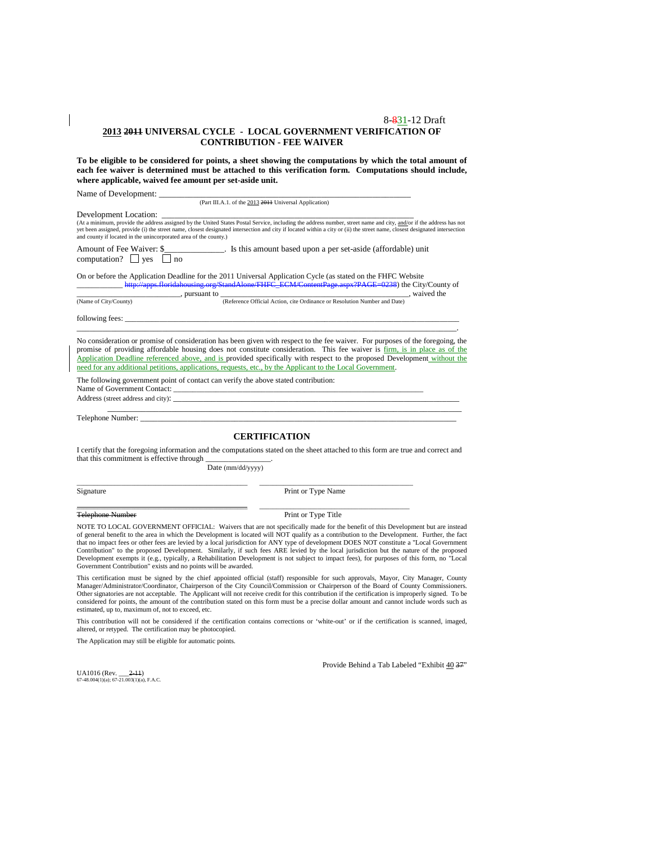## 8-831-12 Draft **2013 2011 UNIVERSAL CYCLE - LOCAL GOVERNMENT VERIFICATION OF CONTRIBUTION - FEE WAIVER**

**To be eligible to be considered for points, a sheet showing the computations by which the total amount of each fee waiver is determined must be attached to this verification form. Computations should include, where applicable, waived fee amount per set-aside unit.**

Name of Development:

(Part III.A.1. of the 2013 2011 Universal Application)

Development Location: <u>example and the United States Postal Service, including the address number, street name and city, and/or if the address has not (At a minimum, provide the address assigned by the United States Postal</u> yet been assigned, provide (i) the street name, closest designated intersection and city if located within a city or (ii) the street name, closest designated intersection and county if located in the unincorporated area of the county.)

Amount of Fee Waiver: \$\_\_\_\_\_\_\_\_\_\_\_\_\_\_. Is this amount based upon a per set-aside (affordable) unit computation?  $\Box$  yes  $\Box$  no

On or before the Application Deadline for the 2011 Universal Application Cycle (as stated on the FHFC Website Alone/FHFC\_ECM/ContentPage.aspx?PAGE=0238) the City/County of

\_\_\_\_\_\_\_\_\_\_\_\_\_\_\_\_\_\_\_\_\_\_\_\_\_\_\_, pursuant to \_\_\_\_\_\_\_\_\_\_\_\_\_\_\_\_\_\_\_\_\_\_\_\_\_\_\_\_\_\_\_\_\_\_\_\_\_\_\_\_\_\_\_\_\_\_\_\_\_, waived the (Name of City/County) (Reference Official Action, cite Ordinance or Resolution Number and Date)

following fees:

No consideration or promise of consideration has been given with respect to the fee waiver. For purposes of the foregoing, the promise of providing affordable housing does not constitute consideration. This fee waiver is firm, is in place as of the Application Deadline referenced above, and is provided specifically with respect to the proposed Development without the need for any additional petitions, applications, requests, etc., by the Applicant to the Local Government.

\_\_\_\_\_\_\_\_\_\_\_\_\_\_\_\_\_\_\_\_\_\_\_\_\_\_\_\_\_\_\_\_\_\_\_\_\_\_\_\_\_\_\_\_\_\_\_\_\_\_\_\_\_\_\_\_\_\_\_\_\_\_\_\_\_\_\_\_\_\_\_\_\_\_\_\_\_\_\_\_\_\_\_\_\_\_\_\_\_.

The following government point of contact can verify the above stated contribution: Name of Government Contact:

Address (street address and city): \_\_\_\_\_\_\_\_\_\_\_\_\_\_\_\_\_\_\_\_\_\_\_\_\_\_\_\_\_\_\_\_\_\_\_\_\_\_\_\_\_\_\_\_\_\_\_\_\_\_\_\_\_\_\_\_\_\_\_\_\_\_\_\_\_\_\_\_\_\_\_\_\_\_\_\_\_\_\_\_\_\_\_

Telephone Number:

# **CERTIFICATION**

I certify that the foregoing information and the computations stated on the sheet attached to this form are true and correct and that this commitment is effective through

Date (mm/dd/yyyy)

\_\_\_\_\_\_\_\_\_\_\_\_\_\_\_\_\_\_\_\_\_\_\_\_\_\_\_\_\_\_\_\_\_\_\_\_\_\_\_\_\_\_\_\_\_\_\_\_\_\_ \_\_\_\_\_\_\_\_\_\_\_\_\_\_\_\_\_\_\_\_\_\_\_\_\_\_\_\_\_\_\_\_\_\_\_\_\_\_\_\_\_\_\_\_\_

Signature Print or Type Name

Telephone Number Print or Type Title

\_\_\_\_\_\_\_\_\_\_\_\_\_\_\_\_\_\_\_\_\_\_\_\_\_\_\_\_\_\_\_\_\_\_\_\_\_\_\_\_\_\_\_\_\_\_\_\_\_\_ \_\_\_\_\_\_\_\_\_\_\_\_\_\_\_\_\_\_\_\_\_\_\_\_\_\_\_\_\_\_\_\_\_\_\_\_\_\_\_\_\_\_\_\_

NOTE TO LOCAL GOVERNMENT OFFICIAL: Waivers that are not specifically made for the benefit of this Development but are instead of general benefit to the area in which the Development is located will NOT qualify as a contribution to the Development. Further, the fact that no impact fees or other fees are levied by a local jurisdiction for ANY type of development DOES NOT constitute a "Local Government Contribution" to the proposed Development. Similarly, if such fees ARE levied by the local jurisdiction but the nature of the proposed Development exempts it (e.g., typically, a Rehabilitation Development is not subject to impact fees), for purposes of this form, no "Local Government Contribution" exists and no points will be awarded.

This certification must be signed by the chief appointed official (staff) responsible for such approvals, Mayor, City Manager, County Manager/Administrator/Coordinator, Chairperson of the City Council/Commission or Chairperson of the Board of County Commissioners. Other signatories are not acceptable. The Applicant will not receive credit for this contribution if the certification is improperly signed. To be considered for points, the amount of the contribution stated on this form must be a precise dollar amount and cannot include words such as estimated, up to, maximum of, not to exceed, etc.

This contribution will not be considered if the certification contains corrections or 'white-out' or if the certification is scanned, imaged, altered, or retyped. The certification may be photocopied.

The Application may still be eligible for automatic points.

Provide Behind a Tab Labeled "Exhibit 40 37"

 $U_A$ 1016 (Rev.  $2-11$ ) 67-48.004(1)(a); 67-21.003(1)(a), F.A.C.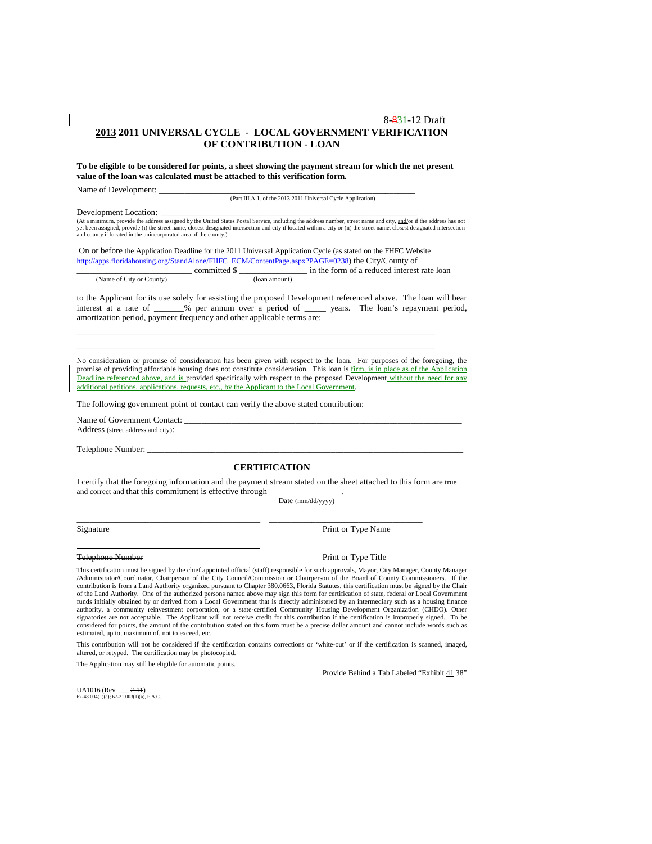# 8-831-12 Draft **2013 2011 UNIVERSAL CYCLE - LOCAL GOVERNMENT VERIFICATION OF CONTRIBUTION - LOAN**

**To be eligible to be considered for points, a sheet showing the payment stream for which the net present value of the loan was calculated must be attached to this verification form.** 

Name of Development:

(Part III.A.1. of the 2013 2011 Universal Cycle Application)

Development Location:<br>(At a minimum, provide the address assigned by the United States Postal Service, including the address number, street name and city, and/or if the address has not<br>yet been assigned, provide (i) the st

On or before the Application Deadline for the 2011 Universal Application Cycle (as stated on the FHFC Website \_\_\_\_\_\_ [http://apps.floridahousing.org/StandAlone/FHFC\\_ECM/ContentPage.aspx?PAGE=0238\)](http://apps.floridahousing.org/StandAlone/FHFC_ECM/ContentPage.aspx?PAGE=0238) the City/County of  $\frac{1}{\text{(loan amount)}}$  in the form of a reduced interest rate loan (Name of City or County)

to the Applicant for its use solely for assisting the proposed Development referenced above. The loan will bear interest at a rate of \_\_\_\_\_\_\_% per annum over a period of \_\_\_\_\_ years. The loan's repayment period, amortization period, payment frequency and other applicable terms are:

\_\_\_\_\_\_\_\_\_\_\_\_\_\_\_\_\_\_\_\_\_\_\_\_\_\_\_\_\_\_\_\_\_\_\_\_\_\_\_\_\_\_\_\_\_\_\_\_\_\_\_\_\_\_\_\_\_\_\_\_\_\_\_\_\_\_\_\_\_\_\_\_\_\_\_\_\_\_\_\_\_\_\_\_\_\_\_\_\_\_\_\_\_\_\_\_\_\_\_\_\_\_\_\_\_ \_\_\_\_\_\_\_\_\_\_\_\_\_\_\_\_\_\_\_\_\_\_\_\_\_\_\_\_\_\_\_\_\_\_\_\_\_\_\_\_\_\_\_\_\_\_\_\_\_\_\_\_\_\_\_\_\_\_\_\_\_\_\_\_\_\_\_\_\_\_\_\_\_\_\_\_\_\_\_\_\_\_\_\_\_\_\_\_\_\_\_\_\_\_\_\_\_\_\_\_\_\_\_\_\_

No consideration or promise of consideration has been given with respect to the loan. For purposes of the foregoing, the promise of providing affordable housing does not constitute consideration. This loan is firm, is in place as of the Application Deadline referenced above, and is provided specifically with respect to the proposed Development without the need for any additional petitions, applications, requests, etc., by the Applicant to the Local Government.

The following government point of contact can verify the above stated contribution:

Name of Government Contact:

Address (street address and city): \_\_\_\_\_\_\_\_\_\_\_\_\_\_\_\_\_\_\_\_\_\_\_\_\_\_\_\_\_\_\_\_\_\_\_\_\_\_\_\_\_\_\_\_\_\_\_\_\_\_\_\_\_\_\_\_\_\_\_\_\_\_\_\_\_\_\_\_\_\_\_\_\_\_\_\_\_\_\_\_\_\_\_

Telephone Number:

# **CERTIFICATION**

I certify that the foregoing information and the payment stream stated on the sheet attached to this form are true and correct and that this commitment is effective through

Date (mm/dd/yyyy)

#### \_\_\_\_\_\_\_\_\_\_\_\_\_\_\_\_\_\_\_\_\_\_\_\_\_\_\_\_\_\_\_\_\_\_\_\_\_\_\_\_\_\_\_ \_\_\_\_\_\_\_\_\_\_\_\_\_\_\_\_\_\_\_\_\_\_\_\_\_\_\_\_\_\_\_\_\_\_\_\_ Signature Print or Type Name

\_\_\_\_\_\_\_\_\_\_\_\_\_\_\_\_\_\_\_\_\_\_\_\_\_\_\_\_\_\_\_\_\_\_\_\_\_\_\_\_\_\_\_ \_\_\_\_\_\_\_\_\_\_\_\_\_\_\_\_\_\_\_\_\_\_\_\_\_\_\_\_\_\_\_\_\_\_\_ Telephone Number Print or Type Title

This certification must be signed by the chief appointed official (staff) responsible for such approvals, Mayor, City Manager, County Manager /Administrator/Coordinator, Chairperson of the City Council/Commission or Chairperson of the Board of County Commissioners. If the contribution is from a Land Authority organized pursuant to Chapter 380.0663, Florida Statutes, this certification must be signed by the Chair of the Land Authority. One of the authorized persons named above may sign this form for certification of state, federal or Local Government funds initially obtained by or derived from a Local Government that is directly administered by an intermediary such as a housing finance authority, a community reinvestment corporation, or a state-certified Community Housing Development Organization (CHDO). Other<br>signatories are not acceptable. The Applicant will not receive credit for this contribution if considered for points, the amount of the contribution stated on this form must be a precise dollar amount and cannot include words such as estimated, up to, maximum of, not to exceed, etc.

This contribution will not be considered if the certification contains corrections or 'white-out' or if the certification is scanned, imaged, altered, or retyped. The certification may be photocopied.

The Application may still be eligible for automatic points.

Provide Behind a Tab Labeled "Exhibit 41 38"

UA1016 (Rev. \_\_\_ 2-11)  $67-48.004(1)(a)$ ;  $67-21.003(1)(a)$ , F.A.C.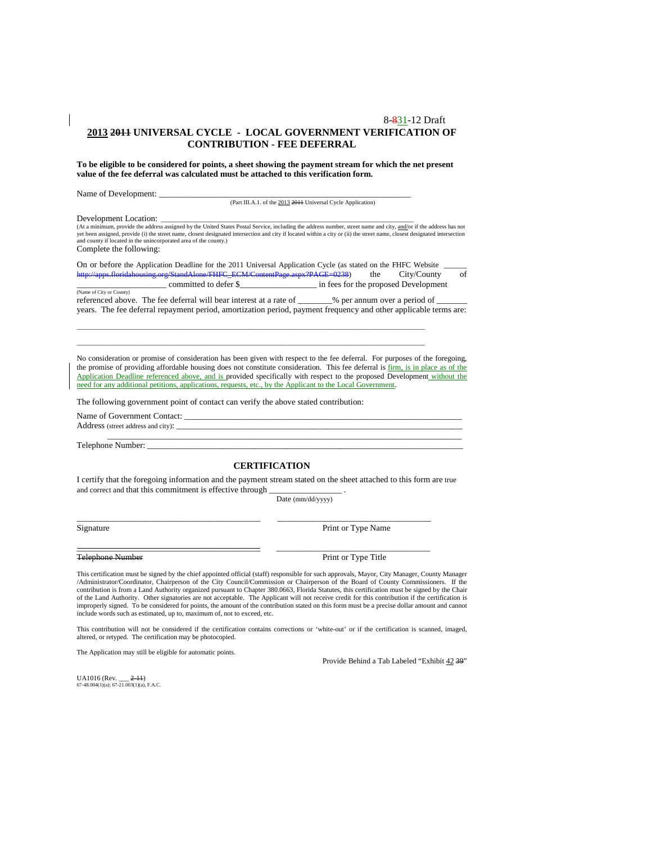# 8-831-12 Draft **2013 2011 UNIVERSAL CYCLE - LOCAL GOVERNMENT VERIFICATION OF CONTRIBUTION - FEE DEFERRAL**

**To be eligible to be considered for points, a sheet showing the payment stream for which the net present value of the fee deferral was calculated must be attached to this verification form.**

Name of Development:

(Part III.A.1. of the 2013 2011 Universal Cycle Application)

Development Location:<br>(At a minimum, provide the address assigned by the United States Postal Service, including the address number, street name and city, <u>and/</u>or if the address has not<br>yet been assigned, provide (i) the and county if located in the unincorporated area of the county.) Complete the following:

| On or before the Application Deadline for the 2011 Universal Application Cycle (as stated on the FHFC Website |     |                                      |    |
|---------------------------------------------------------------------------------------------------------------|-----|--------------------------------------|----|
| http://apps.floridahousing.org/StandAlone/FHFC_ECM/ContentPage.aspx?PAGE=0238)                                | the | City/County                          | of |
| committed to defer \$                                                                                         |     | in fees for the proposed Development |    |
| (Name of City or County)                                                                                      |     |                                      |    |

referenced above. The fee deferral will bear interest at a rate of \_\_\_\_\_\_% per annum over a period of \_\_ years. The fee deferral repayment period, amortization period, payment frequency and other applicable terms are:

\_\_\_\_\_\_\_\_\_\_\_\_\_\_\_\_\_\_\_\_\_\_\_\_\_\_\_\_\_\_\_\_\_\_\_\_\_\_\_\_\_\_\_\_\_\_\_\_\_\_\_\_\_\_\_\_\_\_\_\_\_\_\_\_\_\_\_\_\_\_\_\_\_\_\_\_\_\_\_\_\_\_\_\_\_\_\_\_\_\_\_\_\_\_\_\_\_\_\_\_\_\_ \_\_\_\_\_\_\_\_\_\_\_\_\_\_\_\_\_\_\_\_\_\_\_\_\_\_\_\_\_\_\_\_\_\_\_\_\_\_\_\_\_\_\_\_\_\_\_\_\_\_\_\_\_\_\_\_\_\_\_\_\_\_\_\_\_\_\_\_\_\_\_\_\_\_\_\_\_\_\_\_\_\_\_\_\_\_\_\_\_\_\_\_\_\_\_\_\_\_\_\_\_\_

No consideration or promise of consideration has been given with respect to the fee deferral. For purposes of the foregoing, the promise of providing affordable housing does not constitute consideration. This fee deferral is firm, is in place as of the Application Deadline referenced above, and is provided specifically with respect to the proposed Development without the need for any additional petitions, applications, requests, etc., by the Applicant to the Local Government.

The following government point of contact can verify the above stated contribution:

Name of Government Contact: Address (street address and city):

\_\_\_\_\_\_\_\_\_\_\_\_\_\_\_\_\_\_\_\_\_\_\_\_\_\_\_\_\_\_\_\_\_\_\_\_\_\_\_\_\_\_\_\_\_\_\_\_\_\_\_\_\_\_\_\_\_\_\_\_\_\_\_\_\_\_\_\_\_\_\_\_\_\_\_\_\_\_\_\_\_\_\_ Telephone Number:

#### **CERTIFICATION**

I certify that the foregoing information and the payment stream stated on the sheet attached to this form are true and correct and that this commitment is effective through

\_\_\_\_\_\_\_\_\_\_\_\_\_\_\_\_\_\_\_\_\_\_\_\_\_\_\_\_\_\_\_\_\_\_\_\_\_\_\_\_\_\_\_ \_\_\_\_\_\_\_\_\_\_\_\_\_\_\_\_\_\_\_\_\_\_\_\_\_\_\_\_\_\_\_\_\_\_\_\_

\_\_\_\_\_\_\_\_\_\_\_\_\_\_\_\_\_\_\_\_\_\_\_\_\_\_\_\_\_\_\_\_\_\_\_\_\_\_\_\_\_\_\_ \_\_\_\_\_\_\_\_\_\_\_\_\_\_\_\_\_\_\_\_\_\_\_\_\_\_\_\_\_\_\_\_\_\_\_\_

Date (mm/dd/yyyy)

Signature Print or Type Name

#### Telephone Number Print or Type Title

This certification must be signed by the chief appointed official (staff) responsible for such approvals, Mayor, City Manager, County Manager /Administrator/Coordinator, Chairperson of the City Council/Commission or Chairperson of the Board of County Commissioners. If the contribution is from a Land Authority organized pursuant to Chapter 380.0663, Florida Statutes, this certification must be signed by the Chair of the Land Authority. Other signatories are not acceptable. The Applicant will not receive credit for this contribution if the certification is<br>improperly signed. To be considered for points, the amount of the contributio include words such as estimated, up to, maximum of, not to exceed, etc.

This contribution will not be considered if the certification contains corrections or 'white-out' or if the certification is scanned, imaged, altered, or retyped. The certification may be photocopied.

The Application may still be eligible for automatic points.

Provide Behind a Tab Labeled "Exhibit 42 39"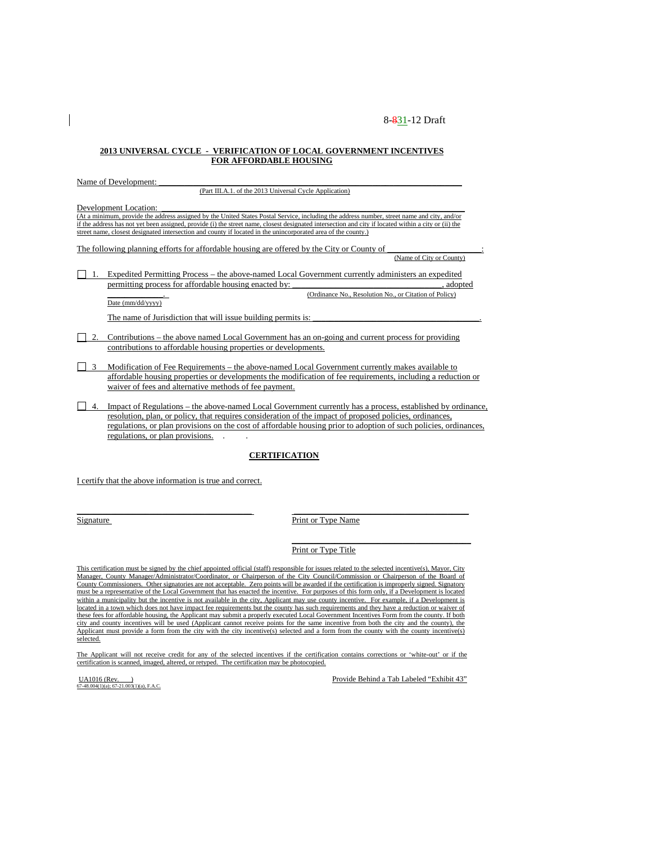\_\_\_\_\_\_\_\_\_\_\_\_\_. (Ordinance No., Resolution No., or Citation of Policy)

### **2013 UNIVERSAL CYCLE - VERIFICATION OF LOCAL GOVERNMENT INCENTIVES FOR AFFORDABLE HOUSING**

Name of Development:

(Part III.A.1. of the 2013 Universal Cycle Application)

Development Location:

(At a minimum, provide the address assigned by the United States Postal Service, including the address number, street name and city, and/or if the address has not yet been assigned, provide (i) the street name, closest designated intersection and city if located within a city or (ii) the street name, closest designated intersection and county if located in the unincorporated area of the county.)

The following planning efforts for affordable housing are offered by the City or County of \_\_\_\_\_\_\_\_\_\_\_\_\_\_\_\_\_\_\_\_\_\_: (Name of City or County)

1. Expedited Permitting Process – the above-named Local Government currently administers an expedited permitting process for affordable housing enacted by: \_\_\_\_\_\_\_\_\_\_\_\_\_\_\_\_\_\_\_\_\_\_\_\_\_\_\_\_\_\_\_\_\_\_\_, adopted

Date (mm/dd/yyyy)

The name of Jurisdiction that will issue building permits is:

- 2. Contributions the above named Local Government has an on-going and current process for providing contributions to affordable housing properties or developments.
- 3 Modification of Fee Requirements the above-named Local Government currently makes available to affordable housing properties or developments the modification of fee requirements, including a reduction or waiver of fees and alternative methods of fee payment.
- 4. Impact of Regulations the above-named Local Government currently has a process, established by ordinance, resolution, plan, or policy, that requires consideration of the impact of proposed policies, ordinances, regulations, or plan provisions on the cost of affordable housing prior to adoption of such policies, ordinances, regulations, or plan provisions. . .

# **CERTIFICATION**

I certify that the above information is true and correct.

\_\_\_\_\_\_\_\_\_\_\_\_\_\_\_\_\_\_\_\_\_\_\_\_\_\_\_\_\_\_\_\_\_\_\_\_\_\_\_\_\_ \_\_\_\_\_\_\_\_\_\_\_\_\_\_\_\_\_\_\_\_\_\_\_\_\_\_\_\_\_\_\_\_\_\_\_\_\_\_\_\_\_ Signature Print or Type Name

> \_\_\_\_\_\_\_\_\_\_\_\_\_\_\_\_\_\_\_\_\_\_\_\_\_\_\_\_\_\_\_\_\_\_\_\_\_\_\_\_\_\_ Print or Type Title

This certification must be signed by the chief appointed official (staff) responsible for issues related to the selected incentive(s), Mayor, City Manager, County Manager/Administrator/Coordinator, or Chairperson of the City Council/Commission or Chairperson of the Board of County Commissioners. Other signatories are not acceptable. Zero points will be awarded if the certification is improperly signed. Signatory must be a representative of the Local Government that has enacted the incentive. For purposes of this form only, if a Development is located within a municipality but the incentive is not available in the city, Applicant may use county incentive. For example, if a Development is located in a town which does not have impact fee requirements but the county has such requirements and they have a reduction or waiver of these fees for affordable housing, the Applicant may submit a properly executed Local Government Incentives Form from the county. If both city and county incentives will be used (Applicant cannot receive points for the same incentive from both the city and the county), the Applicant must provide a form from the city with the city incentive(s) selected and a form from the county with the county incentive(s) selected.

The Applicant will not receive credit for any of the selected incentives if the certification contains corrections or 'white-out' or if the certification is scanned, imaged, altered, or retyped. The certification may be photocopied.

UA1016 (Rev. \_\_)<br>67-48.004(1)(a); 67-21.003(1)(a), F.A.C.

Provide Behind a Tab Labeled "Exhibit 43"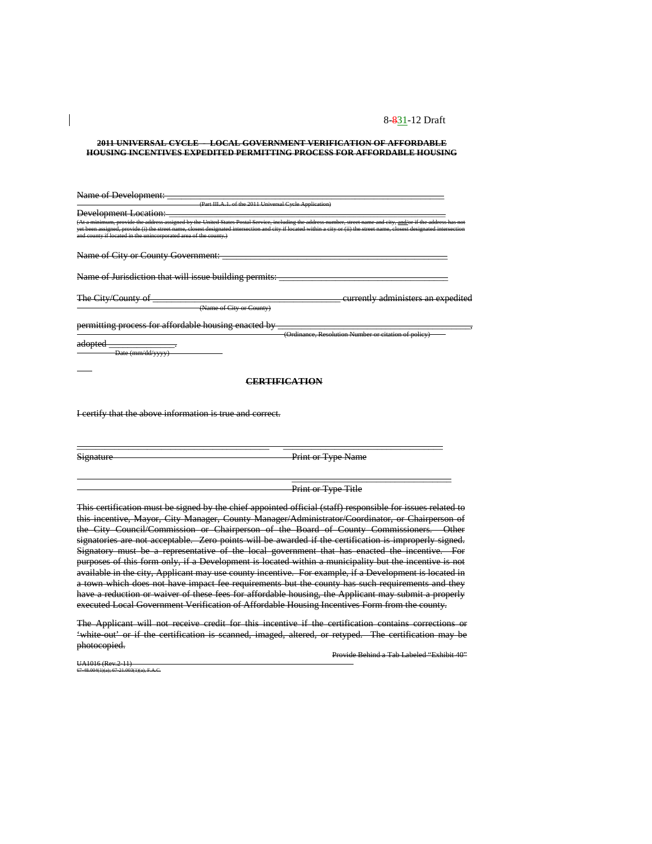#### **2011 UNIVERSAL CYCLE - LOCAL GOVERNMENT VERIFICATION OF AFFORDABLE HOUSING INCENTIVES EXPEDITED PERMITTING PROCESS FOR AFFORDABLE HOUSING**

| Name of Development:                                                                                                                                                                                                                                                                                                                                                                                                 |
|----------------------------------------------------------------------------------------------------------------------------------------------------------------------------------------------------------------------------------------------------------------------------------------------------------------------------------------------------------------------------------------------------------------------|
| (Part III.A.1. of the 2011 Universal Cycle Application)                                                                                                                                                                                                                                                                                                                                                              |
| <b>Development Location:</b>                                                                                                                                                                                                                                                                                                                                                                                         |
| (At a minimum, provide the address assigned by the United States Postal Service, including the address number, street name and city, and/or if the address has not<br>yet been assigned, provide (i) the street name, closest designated intersection and city if located within a city or (ii) the street name, closest designated intersection<br>and county if located in the unincorporated area of the county.) |
| Name of City or County Government:                                                                                                                                                                                                                                                                                                                                                                                   |
| Name of Jurisdiction that will issue building permits:                                                                                                                                                                                                                                                                                                                                                               |
| City/County of<br>eurrently administers an expedited<br>(Name of City or County)                                                                                                                                                                                                                                                                                                                                     |
| permitting process for affordable housing enacted by<br>(Ordinance, Resolution Number or citation of policy)                                                                                                                                                                                                                                                                                                         |
| adopted<br>Date (mm/dd/yyyy)                                                                                                                                                                                                                                                                                                                                                                                         |
|                                                                                                                                                                                                                                                                                                                                                                                                                      |

I certify that the above information is true and correct.

| 9. angtur |  |  |  |  |
|-----------|--|--|--|--|
| vienaa    |  |  |  |  |

Print or Type Name

#### **Print or Type Title**

 $\overline{\phantom{a}}$  , and the contribution of the contribution of  $\overline{\phantom{a}}$ 

This certification must be signed by the chief appointed official (staff) responsible for issues related to this incentive, Mayor, City Manager, County Manager/Administrator/Coordinator, or Chairperson of the City Council/Commission or Chairperson of the Board of County Commissioners. Other signatories are not acceptable. Zero points will be awarded if the certification is improperly signed. Signatory must be a representative of the local government that has enacted the incentive. For purposes of this form only, if a Development is located within a municipality but the incentive is not available in the city, Applicant may use county incentive. For example, if a Development is located in a town which does not have impact fee requirements but the county has such requirements and they have a reduction or waiver of these fees for affordable housing, the Applicant may submit a properly executed Local Government Verification of Affordable Housing Incentives Form from the county.

\_\_\_\_\_\_\_\_\_\_\_\_\_\_\_\_\_\_\_\_\_\_\_\_\_\_\_\_\_\_\_\_\_\_\_\_\_\_\_\_\_ \_\_\_\_\_\_\_\_\_\_\_\_\_\_\_\_\_\_\_\_\_\_\_\_\_\_\_\_\_\_\_\_\_\_

The Applicant will not receive credit for this incentive if the certification contains corrections or 'white-out' or if the certification is scanned, imaged, altered, or retyped. The certification may be photocopied.

Provide Behind a Tab Labeled "Exhibit 40"

A1016 (Rev.2-11) 67-48.004(1)(a); 67-21.003(1)(a), F.A.C.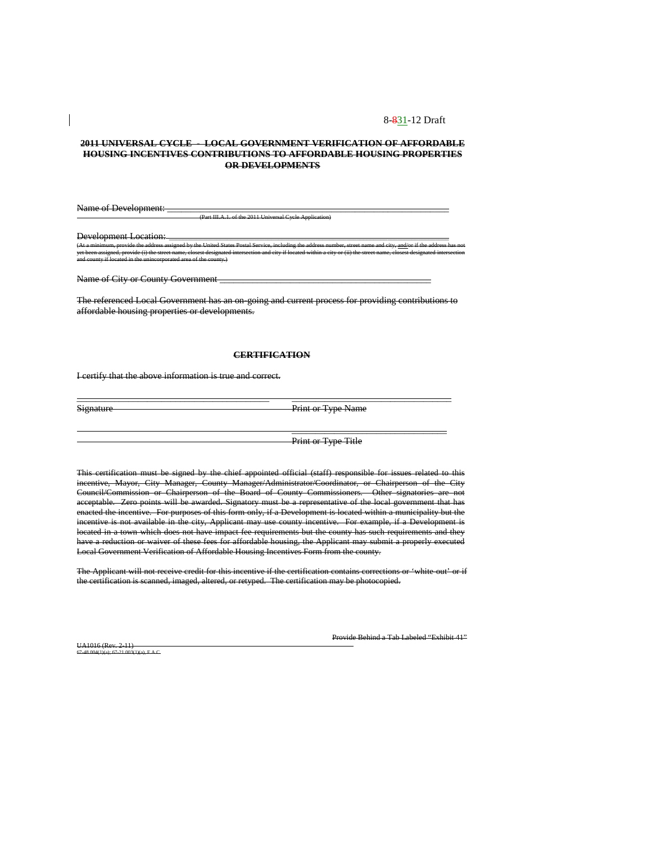## **2011 UNIVERSAL CYCLE - LOCAL GOVERNMENT VERIFICATION OF AFFORDABLE HOUSING INCENTIVES CONTRIBUTIONS TO AFFORDABLE HOUSING PROPERTIES OR DEVELOPMENTS**

Name of Development: (Part III.A.1. of the 2011 Universal Cycle Application)

(At a minimum, provide the address assigned by the United States Postal Service, including the address number, street name and city, <u>and/</u>or if the address has not yet been assigned, provide (i) the street name, closest designated intersection and city if located within a city or (ii) the street name, closest designated intersection and county if located in the unincorporated area of the county.)

Name of City or County Government

Development Location:

The referenced Local Government has an on-going and current process for providing contributions to affordable housing properties or developments.

#### **CERTIFICATION**

\_\_\_\_\_\_\_\_\_\_\_\_\_\_\_\_\_\_\_\_\_\_\_\_\_\_\_\_\_\_\_\_\_\_\_\_\_\_\_\_\_ \_\_\_\_\_\_\_\_\_\_\_\_\_\_\_\_\_\_\_\_\_\_\_\_\_\_\_\_\_\_\_\_\_\_

I certify that the above information is true and correct.

Signature Print or Type Name

 $\overline{\phantom{a}}$  , and the contribution of the contribution of  $\overline{\phantom{a}}$ 

Print or Type Title

This certification must be signed by the chief appointed official (staff) responsible for issues related to this incentive, Mayor, City Manager, County Manager/Administrator/Coordinator, or Chairperson of the City Council/Commission or Chairperson of the Board of County Commissioners. Other signatories are not acceptable. Zero points will be awarded. Signatory must be a representative of the local government that has enacted the incentive. For purposes of this form only, if a Development is located within a municipality but the incentive is not available in the city, Applicant may use county incentive. For example, if a Development is located in a town which does not have impact fee requirements but the county has such requirements and they have a reduction or waiver of these fees for affordable housing, the Applicant may submit a properly executed Local Government Verification of Affordable Housing Incentives Form from the county.

The Applicant will not receive credit for this incentive if the certification contains corrections or 'white-out' or if the certification is scanned, imaged, altered, or retyped. The certification may be photocopied.

UA1016 (Rev. 2-11)  $0.54C$  Provide Behind a Tab Labeled "Exhibit 41"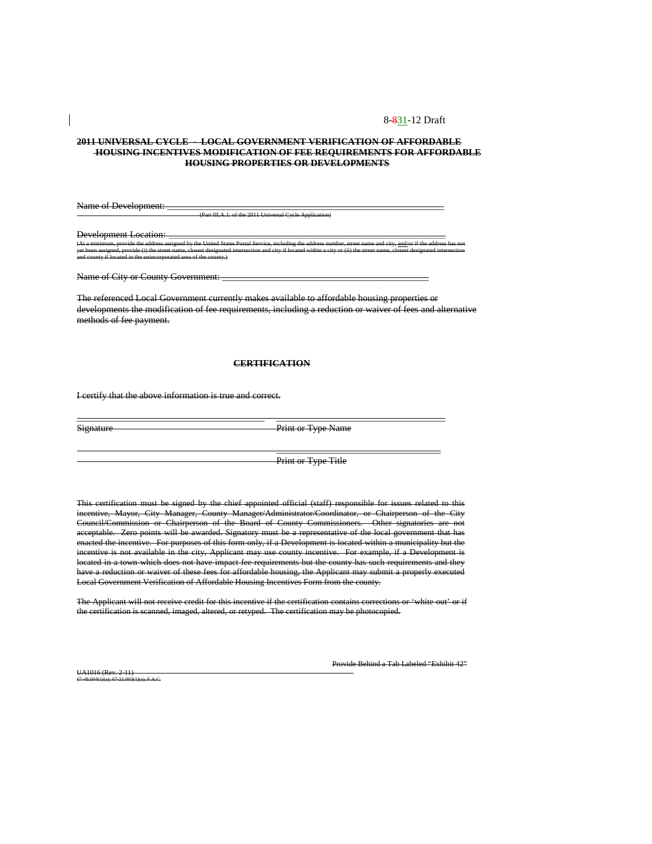# **2011 UNIVERSAL CYCLE - LOCAL GOVERNMENT VERIFICATION OF AFFORDABLE HOUSING INCENTIVES MODIFICATION OF FEE REQUIREMENTS FOR AFFORDABLE HOUSING PROPERTIES OR DEVELOPMENTS**

Name of Development:

(Part III.A.1. of the 2011 Universal Cycle Application)

Development Location: (At a minimum, provide the address assigned by the United States Postal Service, including the address number, street name and city, <u>and/</u>or if the address has not yet been assigned, provide (i) the street name, closest designated intersection and city if located within a city or (ii) the street name, closest designated intersection and county if located in the unincorporated area of the county.)

Name of City or County Government: \_\_\_\_\_\_\_\_\_\_\_\_\_\_\_\_\_\_\_\_\_\_\_\_\_\_\_\_\_\_\_\_\_\_\_\_\_\_\_\_\_\_\_\_

The referenced Local Government currently makes available to affordable housing properties or developments the modification of fee requirements, including a reduction or waiver of fees and alternative methods of fee payment.

# **CERTIFICATION**

\_\_\_\_\_\_\_\_\_\_\_\_\_\_\_\_\_\_\_\_\_\_\_\_\_\_\_\_\_\_\_\_\_\_\_\_\_\_\_\_ \_\_\_\_\_\_\_\_\_\_\_\_\_\_\_\_\_\_\_\_\_\_\_\_\_\_\_\_\_\_\_\_\_\_\_\_

I certify that the above information is true and correct.

Signature Print or Type Name

Print or Type Title

 $\overline{\phantom{a}}$  , and the contract of the contract of the contract of the contract of the contract of the contract of the contract of the contract of the contract of the contract of the contract of the contract of the contrac

This certification must be signed by the chief appointed official (staff) responsible for issues related to this incentive, Mayor, City Manager, County Manager/Administrator/Coordinator, or Chairperson of the City Council/Commission or Chairperson of the Board of County Commissioners. Other signatories are not acceptable. Zero points will be awarded. Signatory must be a representative of the local government that has enacted the incentive. For purposes of this form only, if a Development is located within a municipality but the incentive is not available in the city, Applicant may use county incentive. For example, if a Development is located in a town which does not have impact fee requirements but the county has such requirements and they have a reduction or waiver of these fees for affordable housing, the Applicant may submit a properly executed Local Government Verification of Affordable Housing Incentives Form from the county.

The Applicant will not receive credit for this incentive if the certification contains corrections or 'white-out' or if the certification is scanned, imaged, altered, or retyped. The certification may be photocopied.

Provide Behind a Tab Labeled "Exhibit 42"

UA1016 (Rev. 2-11) 67-48.004(1)(a); 67-21.003(1)(a), F.A.C.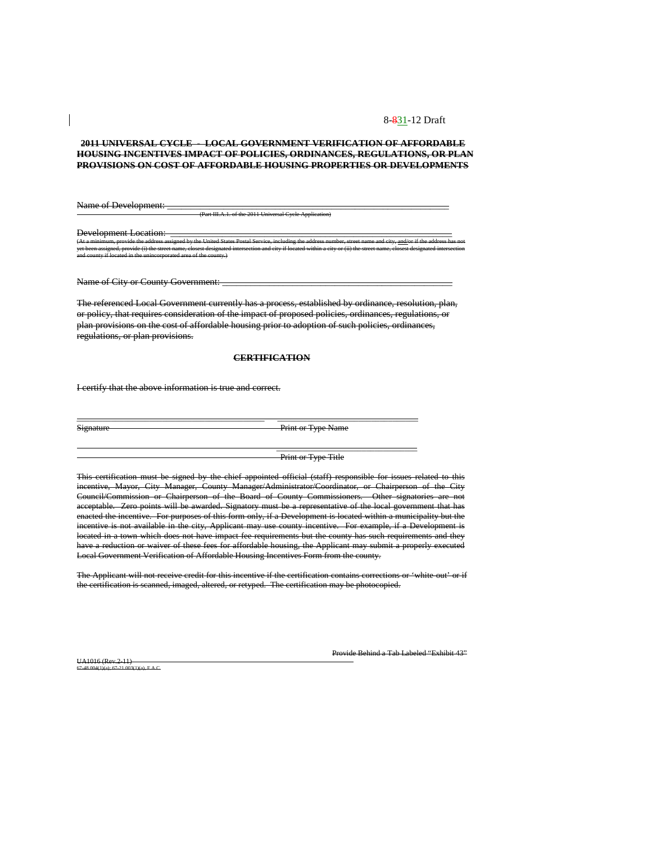## **2011 UNIVERSAL CYCLE - LOCAL GOVERNMENT VERIFICATION OF AFFORDABLE HOUSING INCENTIVES IMPACT OF POLICIES, ORDINANCES, REGULATIONS, OR PLAN PROVISIONS ON COST OF AFFORDABLE HOUSING PROPERTIES OR DEVELOPMENTS**

Name of Development:  $(2a^{2} + b^{2})$ <sup>1</sup>. Of the 2011 Universal Cycle Application

Development Location:<br>(At a minimum provide the address (At a minimum, provide the address assigned by the United States Postal Service, including the address number, street name and city, <u>and/</u>or if the address has not yet been assigned, provide (i) the street name, closest designated intersection and city if located within a city or (ii) the street name, closest designated intersection and county if located in the unincorporated area of the county.)

Name of City or County Government: \_\_\_\_\_\_\_\_\_\_\_\_\_\_\_\_\_\_\_\_\_\_\_\_\_\_\_\_\_\_\_\_\_\_\_\_\_\_\_\_\_\_\_\_\_\_\_\_\_

The referenced Local Government currently has a process, established by ordinance, resolution, plan, or policy, that requires consideration of the impact of proposed policies, ordinances, regulations, or plan provisions on the cost of affordable housing prior to adoption of such policies, ordinances, regulations, or plan provisions.

#### **CERTIFICATION**

\_\_\_\_\_\_\_\_\_\_\_\_\_\_\_\_\_\_\_\_\_\_\_\_\_\_\_\_\_\_\_\_\_\_\_\_\_\_\_\_\_\_\_\_ \_\_\_\_\_\_\_\_\_\_\_\_\_\_\_\_\_\_\_\_\_\_\_\_\_\_\_\_\_\_\_\_\_

I certify that the above information is true and correct.

Signature Print or Type Name

Print or Type Title

 $\overline{\phantom{a}}$  ,  $\overline{\phantom{a}}$  ,  $\overline{\phantom{a}}$  ,  $\overline{\phantom{a}}$  ,  $\overline{\phantom{a}}$  ,  $\overline{\phantom{a}}$  ,  $\overline{\phantom{a}}$  ,  $\overline{\phantom{a}}$  ,  $\overline{\phantom{a}}$  ,  $\overline{\phantom{a}}$  ,  $\overline{\phantom{a}}$  ,  $\overline{\phantom{a}}$  ,  $\overline{\phantom{a}}$  ,  $\overline{\phantom{a}}$  ,  $\overline{\phantom{a}}$  ,  $\overline{\phantom{a}}$ 

This certification must be signed by the chief appointed official (staff) responsible for issues related to this incentive, Mayor, City Manager, County Manager/Administrator/Coordinator, or Chairperson of the City Council/Commission or Chairperson of the Board of County Commissioners. Other signatories are not acceptable. Zero points will be awarded. Signatory must be a representative of the local government that has enacted the incentive. For purposes of this form only, if a Development is located within a municipality but the incentive is not available in the city, Applicant may use county incentive. For example, if a Development is located in a town which does not have impact fee requirements but the county has such requirements and they have a reduction or waiver of these fees for affordable housing, the Applicant may submit a properly executed Local Government Verification of Affordable Housing Incentives Form from the county.

The Applicant will not receive credit for this incentive if the certification contains corrections or 'white-out' or if the certification is scanned, imaged, altered, or retyped. The certification may be photocopied.

UA1016 (Rev.2-11)  $6.5AC$  Provide Behind a Tab Labeled "Exhibit 43"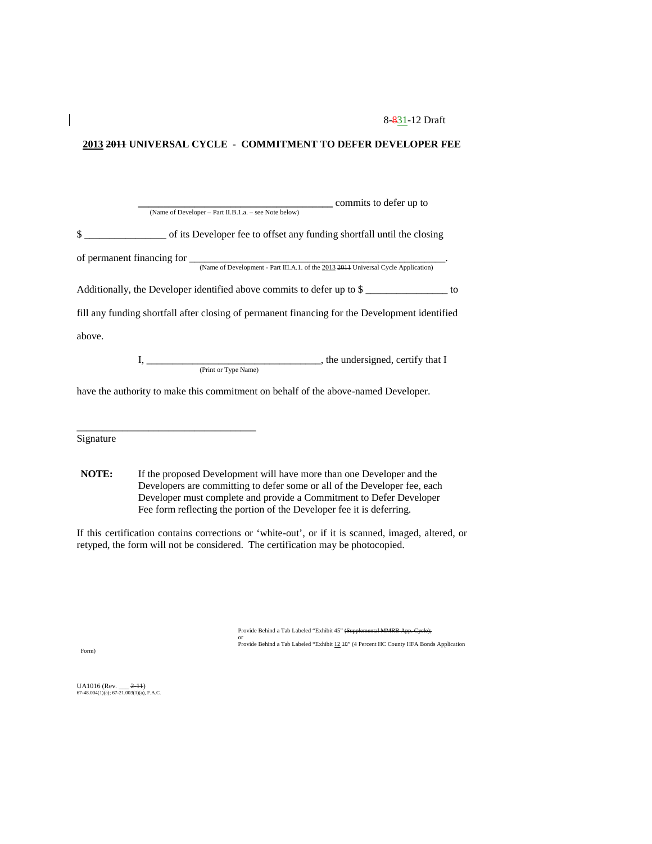# **2013 2011 UNIVERSAL CYCLE - COMMITMENT TO DEFER DEVELOPER FEE**

|              | commits to defer up to                                                                         |  |
|--------------|------------------------------------------------------------------------------------------------|--|
|              | (Name of Developer - Part II.B.1.a. - see Note below)                                          |  |
| $\mathbb{S}$ | of its Developer fee to offset any funding shortfall until the closing                         |  |
|              |                                                                                                |  |
|              | (Name of Development - Part III.A.1. of the 2013 2011 Universal Cycle Application)             |  |
|              | Additionally, the Developer identified above commits to defer up to \$                         |  |
|              | fill any funding shortfall after closing of permanent financing for the Development identified |  |
| above.       |                                                                                                |  |
|              | the undersigned, certify that I<br>(Print or Type Name)                                        |  |

have the authority to make this commitment on behalf of the above-named Developer.

Signature

\_\_\_\_\_\_\_\_\_\_\_\_\_\_\_\_\_\_\_\_\_\_\_\_\_\_\_\_\_\_\_\_\_\_\_

**NOTE:** If the proposed Development will have more than one Developer and the Developers are committing to defer some or all of the Developer fee, each Developer must complete and provide a Commitment to Defer Developer Fee form reflecting the portion of the Developer fee it is deferring.

If this certification contains corrections or 'white-out', or if it is scanned, imaged, altered, or retyped, the form will not be considered. The certification may be photocopied.

> Provide Behind a Tab Labeled "Exhibit 45" (Supplemental MMRB App. Cycle); or<br>Provide Behind a Tab Labeled "Exhibit <u>12</u> <del>10</del>" (4 Percent HC County HFA Bonds Application

Form)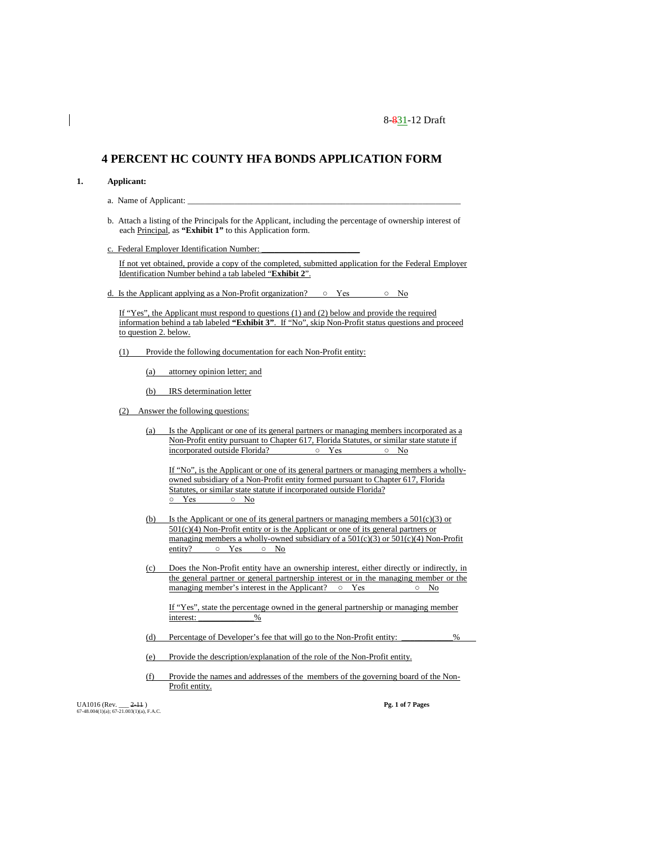# **4 PERCENT HC COUNTY HFA BONDS APPLICATION FORM**

# **1. Applicant:**

- a. Name of Applicant:
- b. Attach a listing of the Principals for the Applicant, including the percentage of ownership interest of each Principal, as **"Exhibit 1"** to this Application form.

c. Federal Employer Identification Number:

If not yet obtained, provide a copy of the completed, submitted application for the Federal Employer Identification Number behind a tab labeled "**Exhibit 2**".

d. Is the Applicant applying as a Non-Profit organization?  $\circ$  Yes  $\circ$  No

If "Yes", the Applicant must respond to questions (1) and (2) below and provide the required information behind a tab labeled **"Exhibit 3"**. If "No", skip Non-Profit status questions and proceed to question 2. below.

(1) Provide the following documentation for each Non-Profit entity:

(a) attorney opinion letter; and

(b) IRS determination letter

#### (2) Answer the following questions:

(a) Is the Applicant or one of its general partners or managing members incorporated as a <u>Non-Profit entity pursuant to Chapter 617, Florida Statutes, or similar state statute if</u><br>incorporated outside Florida?  $\circ$  Yes  $\circ$  No incorporated outside Florida?

If "No", is the Applicant or one of its general partners or managing members a whollyowned subsidiary of a Non-Profit entity formed pursuant to Chapter 617, Florida Statutes, or similar state statute if incorporated outside Florida? ○ Yes ○ No

- (b) Is the Applicant or one of its general partners or managing members a  $501(c)(3)$  or  $501(c)(4)$  Non-Profit entity or is the Applicant or one of its general partners or managing members a wholly-owned subsidiary of a  $501(c)(3)$  or  $501(c)(4)$  Non-Profit entity?  $\circ$  Yes  $\circ$  No
- (c) Does the Non-Profit entity have an ownership interest, either directly or indirectly, in the general partner or general partnership interest or in the managing member or the managing member's interest in the Applicant?  $\circ$  Yes  $\circ$  No

If "Yes", state the percentage owned in the general partnership or managing member interest: \_\_\_\_\_\_\_\_\_\_\_\_\_%

- (d) Percentage of Developer's fee that will go to the Non-Profit entity: \_\_\_\_\_\_\_\_\_\_\_\_%
- (e) Provide the description/explanation of the role of the Non-Profit entity.
- (f) Provide the names and addresses of the members of the governing board of the Non-Profit entity.

UA1016 (Rev. <u>2-11</u>) **Pg. 1 of 7 Pages** 67-48.004(1)(a); 67-21.003(1)(a), F.A.C.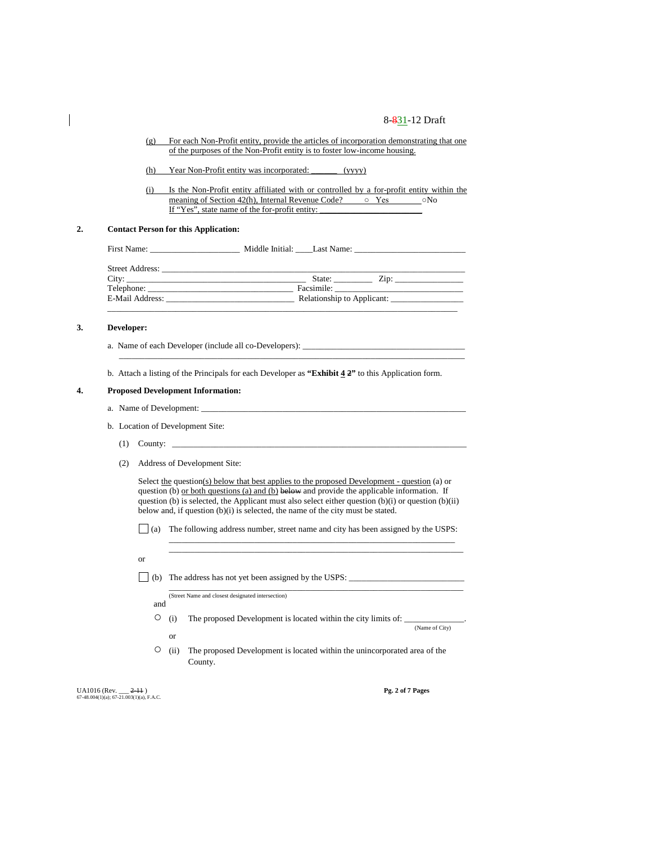- (g) For each Non-Profit entity, provide the articles of incorporation demonstrating that one of the purposes of the Non-Profit entity is to foster low-income housing.
- (h) Year Non-Profit entity was incorporated: \_\_\_\_\_\_ (yyyy)
- (i) Is the Non-Profit entity affiliated with or controlled by a for-profit entity within the meaning of Section 42(h), Internal Revenue Code?  $\circ$  Yes  $\circ$  No If "Yes", state name of the for-profit entity:

### **2. Contact Person for this Application:**

| City: | State: $\angle$ Zip: $\angle$ |
|-------|-------------------------------|
|       |                               |
|       |                               |
|       |                               |

#### **3. Developer:**

a. Name of each Developer (include all co-Developers):

b. Attach a listing of the Principals for each Developer as **"Exhibit 4 2"** to this Application form.

\_\_\_\_\_\_\_\_\_\_\_\_\_\_\_\_\_\_\_\_\_\_\_\_\_\_\_\_\_\_\_\_\_\_\_\_\_\_\_\_\_\_\_\_\_\_\_\_\_\_\_\_\_\_\_\_\_\_\_\_\_\_\_\_\_\_\_\_\_\_\_\_\_\_\_\_\_\_\_\_\_

# **4. Proposed Development Information:**

a. Name of Development:

b. Location of Development Site:

- $(1)$  County:  $\overline{\phantom{a}}$
- (2) Address of Development Site:

Select the question(s) below that best applies to the proposed Development - question (a) or question (b) or both questions (a) and (b) below and provide the applicable information. If question (b) is selected, the Applicant must also select either question (b)(i) or question (b)(ii) below and, if question (b)(i) is selected, the name of the city must be stated.

 $\Box$  (a) The following address number, street name and city has been assigned by the USPS:

\_\_\_\_\_\_\_\_\_\_\_\_\_\_\_\_\_\_\_\_\_\_\_\_\_\_\_\_\_\_\_\_\_\_\_\_\_\_\_\_\_\_\_\_\_\_\_\_\_\_\_\_\_\_\_\_\_\_\_\_\_\_\_\_\_\_\_ \_\_\_\_\_\_\_\_\_\_\_\_\_\_\_\_\_\_\_\_\_\_\_\_\_\_\_\_\_\_\_\_\_\_\_\_\_\_\_\_\_\_\_\_\_\_\_\_\_\_\_\_\_\_\_\_\_\_\_\_\_\_\_\_\_\_\_\_\_

\_\_\_\_\_\_\_\_\_\_\_\_\_\_\_\_\_\_\_\_\_\_\_\_\_\_\_\_\_\_\_\_\_\_\_\_\_\_\_\_\_\_\_\_\_\_\_\_\_\_\_\_\_\_\_\_\_\_\_\_\_\_\_\_\_\_\_\_\_

or  $\Box$  (b) The address has not yet been assigned by the USPS:  $\Box$ 

(Street Name and closest designated intersection) and  $\circ$  (i) The proposed Development is located within the city limits of: (Name of City) or

○ (ii) The proposed Development is located within the unincorporated area of the County.

UA1016 (Rev. \_\_\_ 2-11 ) **Pg. 2 of 7 Pages** 67-48.004(1)(a); 67-21.003(1)(a), F.A.C.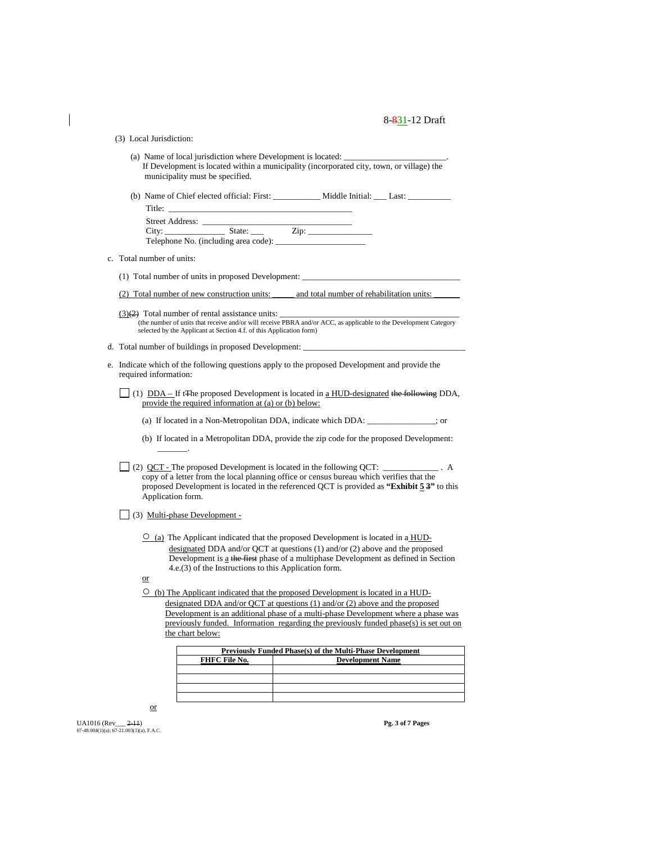- (a) Name of local jurisdiction where Development is located: If Development is located within a municipality (incorporated city, town, or village) the municipality must be specified.
- (b) Name of Chief elected official: First: \_\_\_\_\_\_\_\_\_\_\_ Middle Initial: \_\_\_ Last: \_\_\_\_\_\_\_\_\_\_

| Title:                               |                 |  |
|--------------------------------------|-----------------|--|
| <b>Street Address:</b>               |                 |  |
| City: State:                         | $\mathbf{Zip:}$ |  |
| Telephone No. (including area code): |                 |  |

- c. Total number of units:
	- $(1)$  Total number of units in proposed Development:  $\Box$

(2) Total number of new construction units: \_\_\_\_\_\_ and total number of rehabilitation units:

- $(3)(2)$  Total number of rental assistance units: (the number of units that receive and/or will receive PBRA and/or ACC, as applicable to the Development Category selected by the Applicant at Section 4.f. of this Application form)
- d. Total number of buildings in proposed Development:
- e. Indicate which of the following questions apply to the proposed Development and provide the required information:

(1)  $DDA – If f+The proposed Development is located in a HUD-designed the following DDA,$ </u> provide the required information at (a) or (b) below:

- (a) If located in a Non-Metropolitan DDA, indicate which DDA: \_\_\_\_\_\_\_\_\_\_\_\_\_\_\_\_; or
- (b) If located in a Metropolitan DDA, provide the zip code for the proposed Development: \_\_\_\_\_\_\_.
- $\Box$  (2) <u>QCT -</u> The proposed Development is located in the following QCT: \_\_\_\_\_\_\_\_\_\_\_\_\_\_\_. A copy of a letter from the local planning office or census bureau which verifies that the proposed Development is located in the referenced QCT is provided as **"Exhibit 5 3"** to this Application form.
- $\Box$  (3) Multi-phase Development -
	- $\overline{O}$  (a) The Applicant indicated that the proposed Development is located in a HUDdesignated DDA and/or QCT at questions (1) and/or (2) above and the proposed Development is a the first phase of a multiphase Development as defined in Section 4.e.(3) of the Instructions to this Application form.
	- or
	- (b) The Applicant indicated that the proposed Development is located in a HUDdesignated DDA and/or QCT at questions (1) and/or (2) above and the proposed Development is an additional phase of a multi-phase Development where a phase was previously funded. Information regarding the previously funded phase(s) is set out on the chart below:

| Previously Funded Phase(s) of the Multi-Phase Development |                         |  |  |
|-----------------------------------------------------------|-------------------------|--|--|
| FHFC File No.                                             | <b>Development Name</b> |  |  |
|                                                           |                         |  |  |
|                                                           |                         |  |  |
|                                                           |                         |  |  |
|                                                           |                         |  |  |

UA1016 (Rev\_\_\_ 2-11) **Pg. 3 of 7 Pages** 67-48.004(1)(a); 67-21.003(1)(a), F.A.C.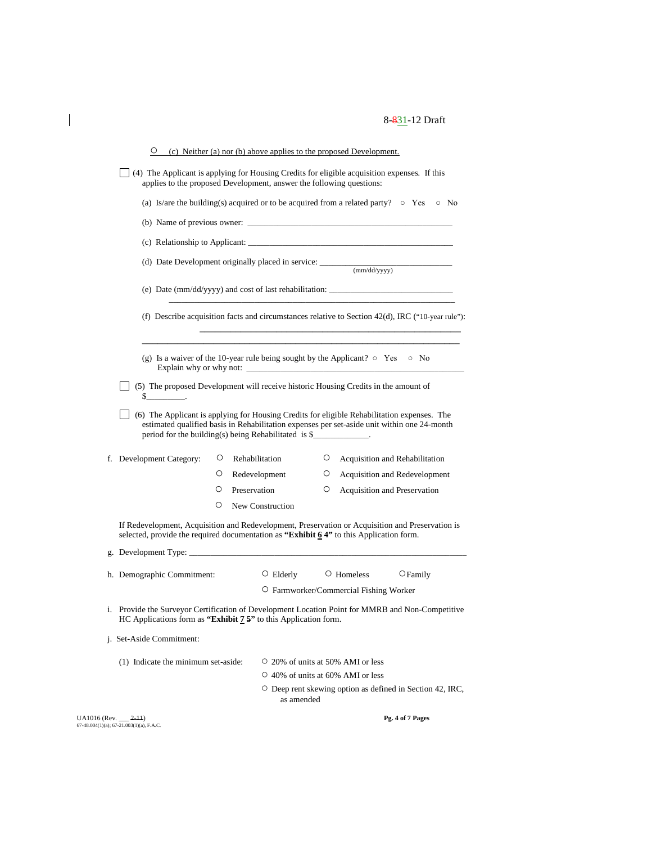| $\Box$ (4) The Applicant is applying for Housing Credits for eligible acquisition expenses. If this<br>applies to the proposed Development, answer the following questions:                                                                                            |                  |                                                                                    |                                                                 |
|------------------------------------------------------------------------------------------------------------------------------------------------------------------------------------------------------------------------------------------------------------------------|------------------|------------------------------------------------------------------------------------|-----------------------------------------------------------------|
| (a) Is/are the building(s) acquired or to be acquired from a related party? $\circ$ Yes $\circ$ No                                                                                                                                                                     |                  |                                                                                    |                                                                 |
| (b) Name of previous owner: $\frac{1}{2}$                                                                                                                                                                                                                              |                  |                                                                                    |                                                                 |
|                                                                                                                                                                                                                                                                        |                  |                                                                                    |                                                                 |
|                                                                                                                                                                                                                                                                        |                  |                                                                                    |                                                                 |
| (e) Date $\frac{\text{mm}{\text{dd}}\text{yyyy}}{\text{and cost of last rehabilitation:}}$                                                                                                                                                                             |                  |                                                                                    |                                                                 |
| (f) Describe acquisition facts and circumstances relative to Section 42(d), IRC ("10-year rule"):                                                                                                                                                                      |                  |                                                                                    |                                                                 |
| (g) Is a waiver of the 10-year rule being sought by the Applicant? $\circ$ Yes $\circ$ No                                                                                                                                                                              |                  |                                                                                    |                                                                 |
| (5) The proposed Development will receive historic Housing Credits in the amount of<br>$s$ <sub>___________</sub> .                                                                                                                                                    |                  |                                                                                    |                                                                 |
| $\Box$ (6) The Applicant is applying for Housing Credits for eligible Rehabilitation expenses. The<br>estimated qualified basis in Rehabilitation expenses per set-aside unit within one 24-month<br>period for the building(s) being Rehabilitated is \$____________. |                  |                                                                                    |                                                                 |
| f. Development Category:<br>$\circ$                                                                                                                                                                                                                                    | Rehabilitation   | $\circ$                                                                            | Acquisition and Rehabilitation                                  |
| $\circ$                                                                                                                                                                                                                                                                | Redevelopment    | $\circ$                                                                            | Acquisition and Redevelopment                                   |
| $\circ$<br>Preservation                                                                                                                                                                                                                                                |                  | $\circ$                                                                            | Acquisition and Preservation                                    |
| O                                                                                                                                                                                                                                                                      | New Construction |                                                                                    |                                                                 |
| If Redevelopment, Acquisition and Redevelopment, Preservation or Acquisition and Preservation is<br>selected, provide the required documentation as "Exhibit $64"$ to this Application form.                                                                           |                  |                                                                                    |                                                                 |
|                                                                                                                                                                                                                                                                        |                  |                                                                                    |                                                                 |
|                                                                                                                                                                                                                                                                        |                  |                                                                                    |                                                                 |
| h. Demographic Commitment:                                                                                                                                                                                                                                             |                  | $\circ$ Elderly $\circ$ Homeless                                                   | $\bigcirc$ Family                                               |
|                                                                                                                                                                                                                                                                        |                  | O Farmworker/Commercial Fishing Worker                                             |                                                                 |
| i. Provide the Surveyor Certification of Development Location Point for MMRB and Non-Competitive<br>HC Applications form as "Exhibit $7.5$ " to this Application form.                                                                                                 |                  |                                                                                    |                                                                 |
| j. Set-Aside Commitment:                                                                                                                                                                                                                                               |                  |                                                                                    |                                                                 |
|                                                                                                                                                                                                                                                                        |                  |                                                                                    |                                                                 |
| (1) Indicate the minimum set-aside:                                                                                                                                                                                                                                    |                  | $\circ$ 20% of units at 50% AMI or less<br>$\circ$ 40% of units at 60% AMI or less |                                                                 |
|                                                                                                                                                                                                                                                                        | as amended       |                                                                                    | $\circ$ Deep rent skewing option as defined in Section 42, IRC, |

 $\overline{\phantom{a}}$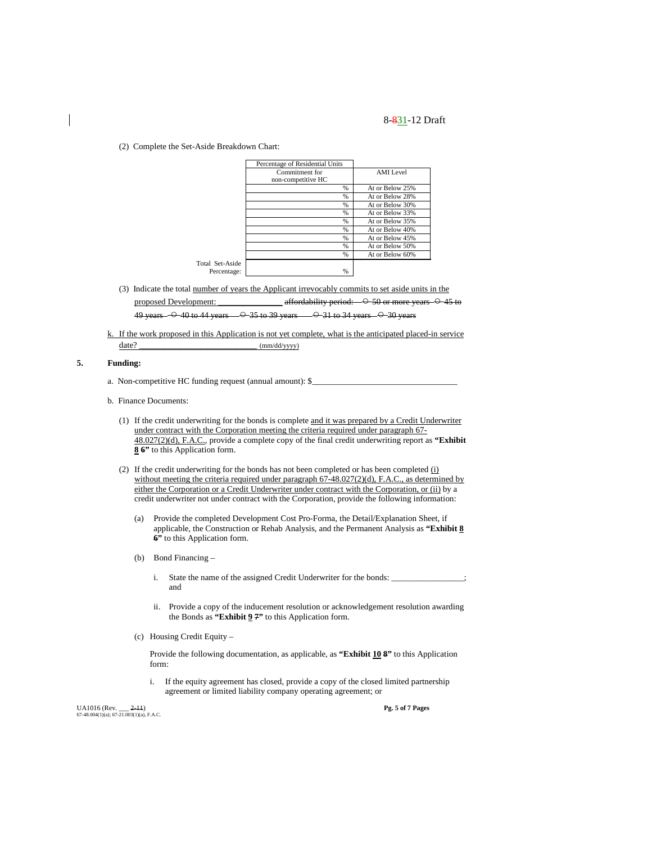(2) Complete the Set-Aside Breakdown Chart:

|                 | Percentage of Residential Units |                 |
|-----------------|---------------------------------|-----------------|
|                 | Commitment for                  | AMI Level       |
|                 | non-competitive HC              |                 |
|                 | %                               | At or Below 25% |
|                 | %                               | At or Below 28% |
|                 | %                               | At or Below 30% |
|                 | %                               | At or Below 33% |
|                 | %                               | At or Below 35% |
|                 | %                               | At or Below 40% |
|                 | %                               | At or Below 45% |
|                 | %                               | At or Below 50% |
|                 | %                               | At or Below 60% |
| Total Set-Aside |                                 |                 |
| Percentage:     | %                               |                 |

- (3) Indicate the total number of years the Applicant irrevocably commits to set aside units in the proposed Development: \_\_\_\_\_\_\_\_\_\_\_\_\_\_\_ affordability period:  $-$  0-50 or more years  $-$  0-45 to 49 years  $\sim$  0 40 to 44 years  $\sim$  0 35 to 39 years  $\sim$  0 31 to 34 years  $\sim$  30 years
- k. If the work proposed in this Application is not yet complete, what is the anticipated placed-in service date? \_\_\_\_\_\_\_\_\_\_\_\_\_\_\_\_\_\_\_\_\_\_\_ (mm/dd/yyyy)

### **5. Funding:**

a. Non-competitive HC funding request (annual amount):  $\S$ 

- b. Finance Documents:
	- (1) If the credit underwriting for the bonds is complete and it was prepared by a Credit Underwriter under contract with the Corporation meeting the criteria required under paragraph 67- 48.027(2)(d), F.A.C., provide a complete copy of the final credit underwriting report as **"Exhibit 8 6"** to this Application form.
	- (2) If the credit underwriting for the bonds has not been completed or has been completed  $(i)$ without meeting the criteria required under paragraph 67-48.027(2)(d), F.A.C., as determined by either the Corporation or a Credit Underwriter under contract with the Corporation, or (ii) by a credit underwriter not under contract with the Corporation, provide the following information:
		- (a) Provide the completed Development Cost Pro-Forma, the Detail/Explanation Sheet, if applicable, the Construction or Rehab Analysis, and the Permanent Analysis as **"Exhibit 8 6"** to this Application form.
		- (b) Bond Financing
			- i. State the name of the assigned Credit Underwriter for the bonds: and
			- ii. Provide a copy of the inducement resolution or acknowledgement resolution awarding the Bonds as **"Exhibit 9 7"** to this Application form.
		- (c) Housing Credit Equity –

Provide the following documentation, as applicable, as **"Exhibit 10 8"** to this Application form:

i. If the equity agreement has closed, provide a copy of the closed limited partnership agreement or limited liability company operating agreement; or

UA1016 (Rev. <u>2-11)</u> **Pg. 5** of 7 **Pages** 67-48.004(1)(a); 67-21.003(1)(a), F.A.C.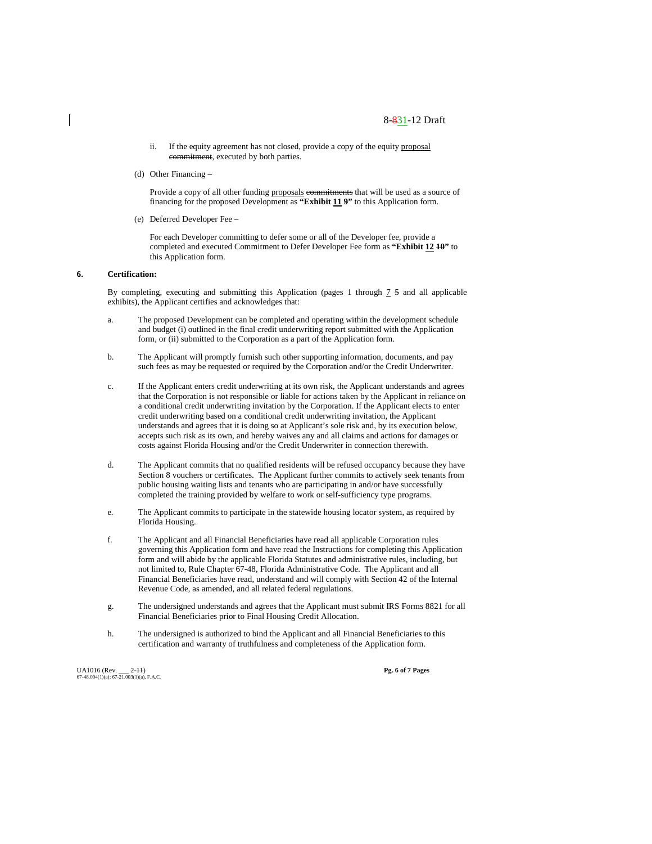- ii. If the equity agreement has not closed, provide a copy of the equity proposal commitment, executed by both parties.
- (d) Other Financing –

Provide a copy of all other funding proposals commitments that will be used as a source of financing for the proposed Development as **"Exhibit 11 9"** to this Application form.

(e) Deferred Developer Fee –

For each Developer committing to defer some or all of the Developer fee, provide a completed and executed Commitment to Defer Developer Fee form as **"Exhibit 12 10"** to this Application form.

#### **6. Certification:**

By completing, executing and submitting this Application (pages 1 through  $\frac{7}{5}$  5 and all applicable exhibits), the Applicant certifies and acknowledges that:

- a. The proposed Development can be completed and operating within the development schedule and budget (i) outlined in the final credit underwriting report submitted with the Application form, or (ii) submitted to the Corporation as a part of the Application form.
- b. The Applicant will promptly furnish such other supporting information, documents, and pay such fees as may be requested or required by the Corporation and/or the Credit Underwriter.
- c. If the Applicant enters credit underwriting at its own risk, the Applicant understands and agrees that the Corporation is not responsible or liable for actions taken by the Applicant in reliance on a conditional credit underwriting invitation by the Corporation. If the Applicant elects to enter credit underwriting based on a conditional credit underwriting invitation, the Applicant understands and agrees that it is doing so at Applicant's sole risk and, by its execution below, accepts such risk as its own, and hereby waives any and all claims and actions for damages or costs against Florida Housing and/or the Credit Underwriter in connection therewith.
- d. The Applicant commits that no qualified residents will be refused occupancy because they have Section 8 vouchers or certificates. The Applicant further commits to actively seek tenants from public housing waiting lists and tenants who are participating in and/or have successfully completed the training provided by welfare to work or self-sufficiency type programs.
- e. The Applicant commits to participate in the statewide housing locator system, as required by Florida Housing.
- f. The Applicant and all Financial Beneficiaries have read all applicable Corporation rules governing this Application form and have read the Instructions for completing this Application form and will abide by the applicable Florida Statutes and administrative rules, including, but not limited to, Rule Chapter 67-48, Florida Administrative Code. The Applicant and all Financial Beneficiaries have read, understand and will comply with Section 42 of the Internal Revenue Code, as amended, and all related federal regulations.
- g. The undersigned understands and agrees that the Applicant must submit IRS Forms 8821 for all Financial Beneficiaries prior to Final Housing Credit Allocation.
- h. The undersigned is authorized to bind the Applicant and all Financial Beneficiaries to this certification and warranty of truthfulness and completeness of the Application form.

UA1016 (Rev. <u>2-11)</u> **Pg. 6** of 7 **Pages** 67-48.004(1)(a); 67-21.003(1)(a), F.A.C.